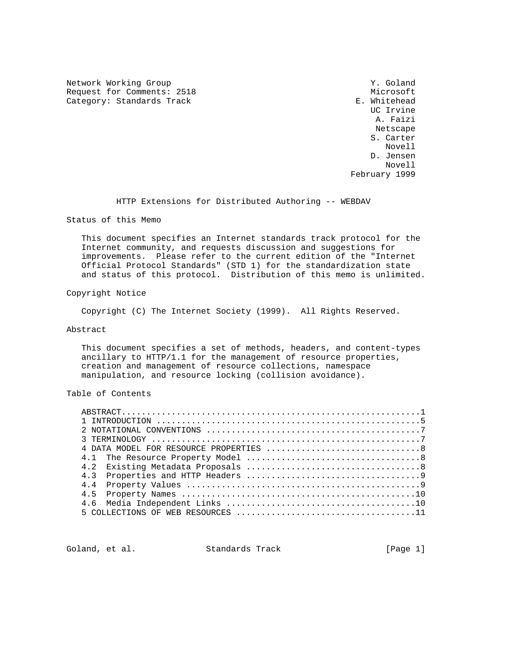Network Working Group Network Working Group Network Working Group Request for Comments: 2518 Microsoft<br>
Category: Standards Track and Microsoft E. Whitehead Category: Standards Track

 UC Irvine A. Faizi Netscape S. Carter Novell D. Jensen Novell February 1999

HTTP Extensions for Distributed Authoring -- WEBDAV

Status of this Memo

 This document specifies an Internet standards track protocol for the Internet community, and requests discussion and suggestions for improvements. Please refer to the current edition of the "Internet Official Protocol Standards" (STD 1) for the standardization state and status of this protocol. Distribution of this memo is unlimited.

Copyright Notice

Copyright (C) The Internet Society (1999). All Rights Reserved.

## Abstract

 This document specifies a set of methods, headers, and content-types ancillary to HTTP/1.1 for the management of resource properties, creation and management of resource collections, namespace manipulation, and resource locking (collision avoidance).

# Table of Contents

| 4.4 |  |
|-----|--|
| 45  |  |
|     |  |
|     |  |

Goland, et al. Standards Track [Page 1]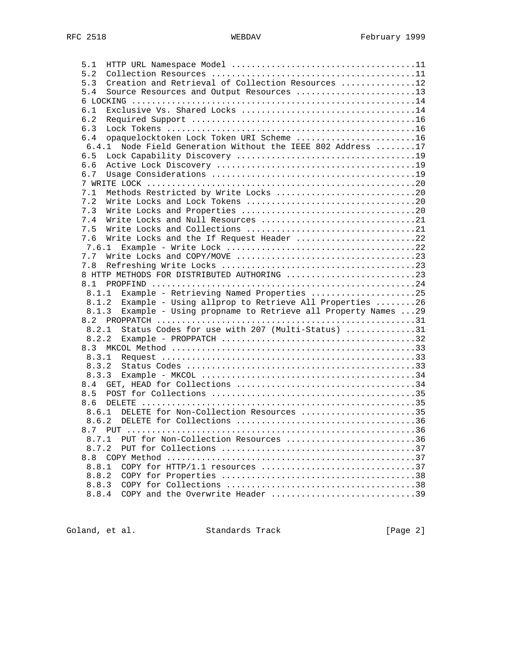| 5.1   |                                                                                           |  |
|-------|-------------------------------------------------------------------------------------------|--|
| 5.2   |                                                                                           |  |
| 5.3   | Creation and Retrieval of Collection Resources 12                                         |  |
| 5.4   | Source Resources and Output Resources 13                                                  |  |
|       |                                                                                           |  |
| 6.1   |                                                                                           |  |
| 6.2   |                                                                                           |  |
| 6.3   |                                                                                           |  |
| 6.4   | opaquelocktoken Lock Token URI Scheme 16                                                  |  |
| 6.4.1 | Node Field Generation Without the IEEE 802 Address 17                                     |  |
| 6.5   |                                                                                           |  |
| 6.6   |                                                                                           |  |
| 6.7   |                                                                                           |  |
|       |                                                                                           |  |
| 7.1   | Methods Restricted by Write Locks 20                                                      |  |
| 7.2   |                                                                                           |  |
| 7.3   |                                                                                           |  |
| 7.4   | Write Locks and Null Resources 21                                                         |  |
| 7.5   |                                                                                           |  |
| 7.6   | Write Locks and the If Request Header 22                                                  |  |
| 7.6.1 |                                                                                           |  |
| 7.7   |                                                                                           |  |
| 7.8   |                                                                                           |  |
|       | 8 HTTP METHODS FOR DISTRIBUTED AUTHORING 23                                               |  |
| 8.1   |                                                                                           |  |
| 8.1.1 | Example - Retrieving Named Properties 25                                                  |  |
| 8.1.2 | Example - Using allprop to Retrieve All Properties 26                                     |  |
| 8.1.3 | Example - Using propname to Retrieve all Property Names  29                               |  |
| 8.2   | PROPPATCH $\dots\dots\dots\dots\dots\dots\dots\dots\dots\dots\dots\dots\dots\dots\dots31$ |  |
| 8.2.1 | Status Codes for use with 207 (Multi-Status) 31                                           |  |
| 8.2.2 |                                                                                           |  |
| 8.3   |                                                                                           |  |
| 8.3.1 |                                                                                           |  |
| 8.3.2 |                                                                                           |  |
| 8.3.3 |                                                                                           |  |
| 8.4   |                                                                                           |  |
| 8.5   |                                                                                           |  |
| 8.6   |                                                                                           |  |
|       | 8.6.1 DELETE for Non-Collection Resources 35                                              |  |
|       |                                                                                           |  |
|       | 8 7 PHT                                                                                   |  |
| 8.7.1 | PUT for Non-Collection Resources 36                                                       |  |
| 8.7.2 |                                                                                           |  |
| 8.8   |                                                                                           |  |
| 8.8.1 | COPY for HTTP/1.1 resources 37                                                            |  |
| 8.8.2 |                                                                                           |  |
| 8.8.3 |                                                                                           |  |
| 8.8.4 | COPY and the Overwrite Header 39                                                          |  |
|       |                                                                                           |  |

Goland, et al. Standards Track [Page 2]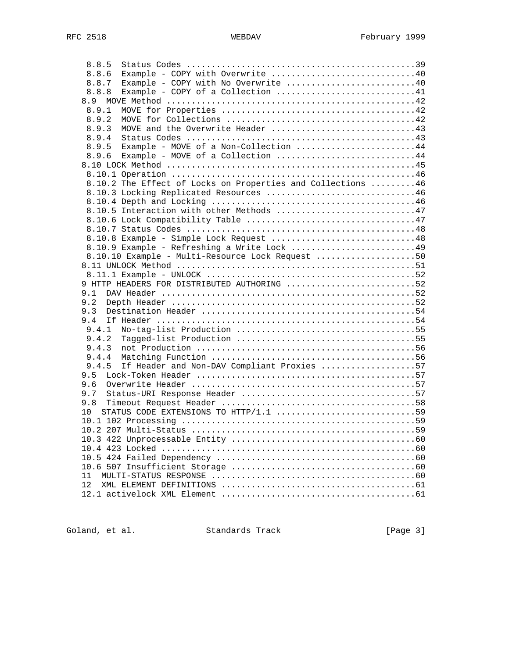| 8.8.5                                                       |    |
|-------------------------------------------------------------|----|
| Example - COPY with Overwrite 40<br>8.8.6                   |    |
| Example - COPY with No Overwrite 40<br>8.8.7                |    |
| Example - COPY of a Collection 41<br>8.8.8                  |    |
| 8.9                                                         |    |
| 8.9.1                                                       |    |
| 8.9.2                                                       |    |
| MOVE and the Overwrite Header 43<br>8.9.3                   |    |
| 8.9.4                                                       |    |
| Example - MOVE of a Non-Collection 44<br>8.9.5              |    |
| Example - MOVE of a Collection 44<br>8.9.6                  |    |
|                                                             |    |
|                                                             |    |
| 8.10.2 The Effect of Locks on Properties and Collections 46 |    |
| 8.10.3 Locking Replicated Resources 46                      |    |
|                                                             |    |
| 8.10.5 Interaction with other Methods 47                    |    |
|                                                             |    |
|                                                             |    |
| 8.10.8 Example - Simple Lock Request 48                     |    |
| 8.10.9 Example - Refreshing a Write Lock 49                 |    |
|                                                             |    |
| 8.10.10 Example - Multi-Resource Lock Request 50            |    |
|                                                             |    |
|                                                             |    |
| 9 HTTP HEADERS FOR DISTRIBUTED AUTHORING 52                 |    |
| 9.1                                                         |    |
| 9.2                                                         |    |
| 9.3                                                         |    |
| 9.4                                                         |    |
| 9.4.1                                                       |    |
| 9.4.2                                                       |    |
| 9.4.3                                                       |    |
| 9.4.4                                                       |    |
| If Header and Non-DAV Compliant Proxies 57<br>9.4.5         |    |
| 9.5                                                         |    |
| 9.6                                                         |    |
| 9.7                                                         |    |
| 9.8                                                         |    |
| $10 \,$                                                     |    |
|                                                             |    |
|                                                             | 59 |
|                                                             |    |
|                                                             |    |
|                                                             |    |
|                                                             |    |
| 11                                                          |    |
| 12                                                          |    |
|                                                             |    |
|                                                             |    |

Goland, et al. Standards Track [Page 3]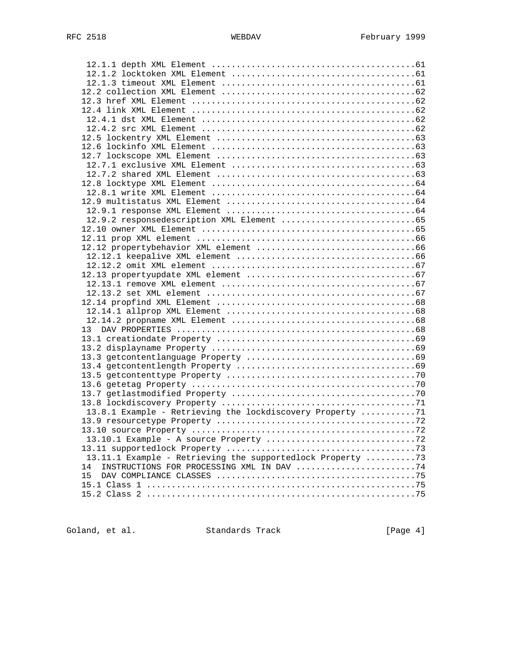| 13 <sup>7</sup>                                            |  |
|------------------------------------------------------------|--|
|                                                            |  |
|                                                            |  |
|                                                            |  |
|                                                            |  |
|                                                            |  |
|                                                            |  |
|                                                            |  |
|                                                            |  |
|                                                            |  |
| 13.8.1 Example - Retrieving the lockdiscovery Property 71  |  |
|                                                            |  |
|                                                            |  |
|                                                            |  |
|                                                            |  |
| 13.11.1 Example - Retrieving the supportedlock Property 73 |  |
| INSTRUCTIONS FOR PROCESSING XML IN DAV 74<br>14            |  |
| 15                                                         |  |
|                                                            |  |
|                                                            |  |
|                                                            |  |

Goland, et al. Standards Track [Page 4]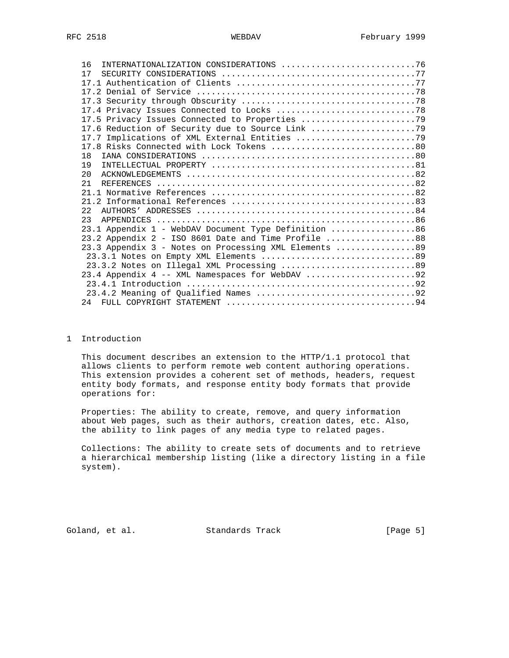| INTERNATIONALIZATION CONSIDERATIONS 76<br>16           |
|--------------------------------------------------------|
| 17                                                     |
|                                                        |
|                                                        |
|                                                        |
|                                                        |
|                                                        |
| 17.6 Reduction of Security due to Source Link          |
|                                                        |
|                                                        |
| 18                                                     |
| 19                                                     |
| 2.0                                                    |
| 21                                                     |
|                                                        |
|                                                        |
| 2.2.                                                   |
| 23                                                     |
| 23.1 Appendix 1 - WebDAV Document Type Definition 86   |
| 23.2 Appendix 2 - ISO 8601 Date and Time Profile 88    |
| 23.3 Appendix 3 - Notes on Processing XML Elements  89 |
|                                                        |
| 23.3.2 Notes on Illegal XML Processing  89             |
|                                                        |
|                                                        |
|                                                        |
|                                                        |

# 1 Introduction

 This document describes an extension to the HTTP/1.1 protocol that allows clients to perform remote web content authoring operations. This extension provides a coherent set of methods, headers, request entity body formats, and response entity body formats that provide operations for:

 Properties: The ability to create, remove, and query information about Web pages, such as their authors, creation dates, etc. Also, the ability to link pages of any media type to related pages.

 Collections: The ability to create sets of documents and to retrieve a hierarchical membership listing (like a directory listing in a file system).

Goland, et al. Standards Track [Page 5]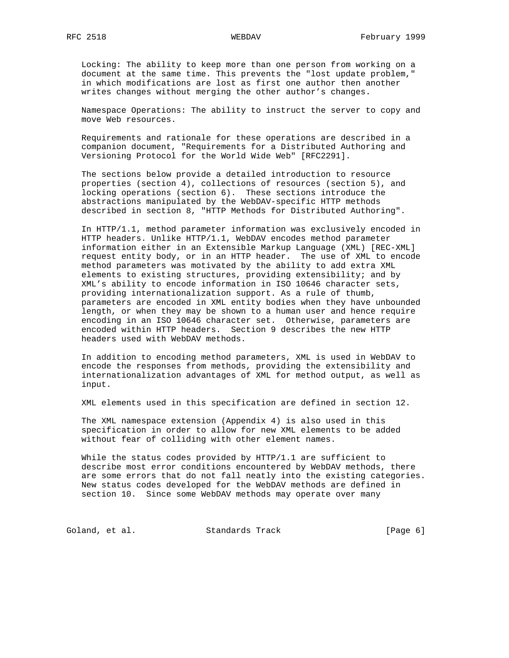Locking: The ability to keep more than one person from working on a document at the same time. This prevents the "lost update problem," in which modifications are lost as first one author then another writes changes without merging the other author's changes.

 Namespace Operations: The ability to instruct the server to copy and move Web resources.

 Requirements and rationale for these operations are described in a companion document, "Requirements for a Distributed Authoring and Versioning Protocol for the World Wide Web" [RFC2291].

 The sections below provide a detailed introduction to resource properties (section 4), collections of resources (section 5), and locking operations (section 6). These sections introduce the abstractions manipulated by the WebDAV-specific HTTP methods described in section 8, "HTTP Methods for Distributed Authoring".

 In HTTP/1.1, method parameter information was exclusively encoded in HTTP headers. Unlike HTTP/1.1, WebDAV encodes method parameter information either in an Extensible Markup Language (XML) [REC-XML] request entity body, or in an HTTP header. The use of XML to encode method parameters was motivated by the ability to add extra XML elements to existing structures, providing extensibility; and by XML's ability to encode information in ISO 10646 character sets, providing internationalization support. As a rule of thumb, parameters are encoded in XML entity bodies when they have unbounded length, or when they may be shown to a human user and hence require encoding in an ISO 10646 character set. Otherwise, parameters are encoded within HTTP headers. Section 9 describes the new HTTP headers used with WebDAV methods.

 In addition to encoding method parameters, XML is used in WebDAV to encode the responses from methods, providing the extensibility and internationalization advantages of XML for method output, as well as input.

XML elements used in this specification are defined in section 12.

 The XML namespace extension (Appendix 4) is also used in this specification in order to allow for new XML elements to be added without fear of colliding with other element names.

 While the status codes provided by HTTP/1.1 are sufficient to describe most error conditions encountered by WebDAV methods, there are some errors that do not fall neatly into the existing categories. New status codes developed for the WebDAV methods are defined in section 10. Since some WebDAV methods may operate over many

Goland, et al. Standards Track [Page 6]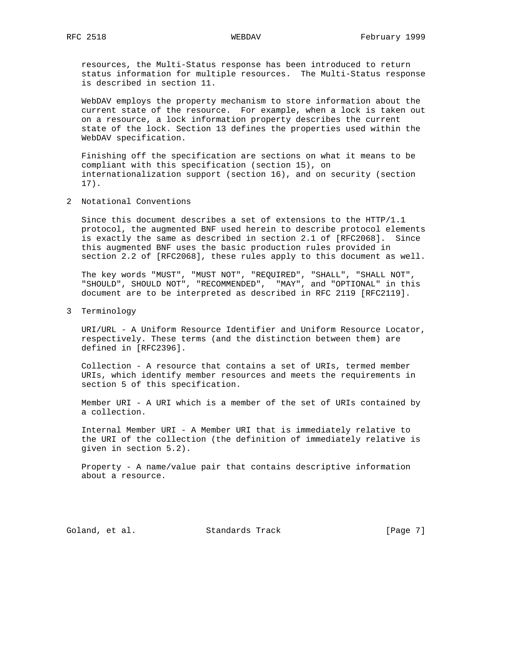resources, the Multi-Status response has been introduced to return status information for multiple resources. The Multi-Status response is described in section 11.

 WebDAV employs the property mechanism to store information about the current state of the resource. For example, when a lock is taken out on a resource, a lock information property describes the current state of the lock. Section 13 defines the properties used within the WebDAV specification.

 Finishing off the specification are sections on what it means to be compliant with this specification (section 15), on internationalization support (section 16), and on security (section 17).

2 Notational Conventions

 Since this document describes a set of extensions to the HTTP/1.1 protocol, the augmented BNF used herein to describe protocol elements is exactly the same as described in section 2.1 of [RFC2068]. Since this augmented BNF uses the basic production rules provided in section 2.2 of [RFC2068], these rules apply to this document as well.

 The key words "MUST", "MUST NOT", "REQUIRED", "SHALL", "SHALL NOT", "SHOULD", SHOULD NOT", "RECOMMENDED", "MAY", and "OPTIONAL" in this document are to be interpreted as described in RFC 2119 [RFC2119].

3 Terminology

 URI/URL - A Uniform Resource Identifier and Uniform Resource Locator, respectively. These terms (and the distinction between them) are defined in [RFC2396].

 Collection - A resource that contains a set of URIs, termed member URIs, which identify member resources and meets the requirements in section 5 of this specification.

 Member URI - A URI which is a member of the set of URIs contained by a collection.

 Internal Member URI - A Member URI that is immediately relative to the URI of the collection (the definition of immediately relative is given in section 5.2).

 Property - A name/value pair that contains descriptive information about a resource.

Goland, et al. Standards Track [Page 7]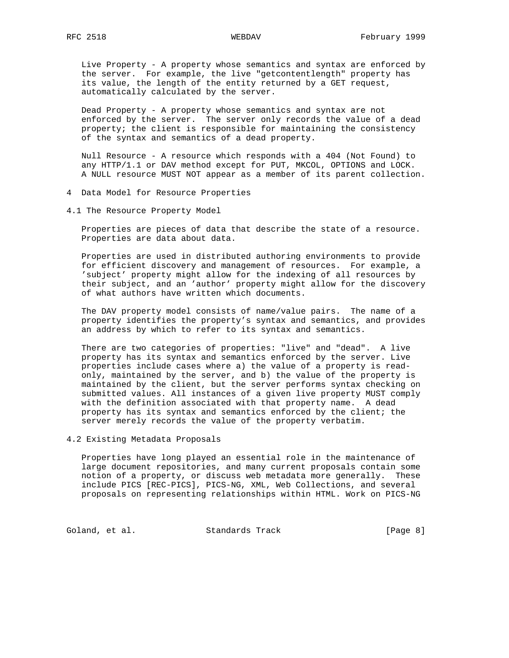Live Property - A property whose semantics and syntax are enforced by the server. For example, the live "getcontentlength" property has its value, the length of the entity returned by a GET request, automatically calculated by the server.

 Dead Property - A property whose semantics and syntax are not enforced by the server. The server only records the value of a dead property; the client is responsible for maintaining the consistency of the syntax and semantics of a dead property.

 Null Resource - A resource which responds with a 404 (Not Found) to any HTTP/1.1 or DAV method except for PUT, MKCOL, OPTIONS and LOCK. A NULL resource MUST NOT appear as a member of its parent collection.

- 4 Data Model for Resource Properties
- 4.1 The Resource Property Model

 Properties are pieces of data that describe the state of a resource. Properties are data about data.

 Properties are used in distributed authoring environments to provide for efficient discovery and management of resources. For example, a 'subject' property might allow for the indexing of all resources by their subject, and an 'author' property might allow for the discovery of what authors have written which documents.

 The DAV property model consists of name/value pairs. The name of a property identifies the property's syntax and semantics, and provides an address by which to refer to its syntax and semantics.

 There are two categories of properties: "live" and "dead". A live property has its syntax and semantics enforced by the server. Live properties include cases where a) the value of a property is read only, maintained by the server, and b) the value of the property is maintained by the client, but the server performs syntax checking on submitted values. All instances of a given live property MUST comply with the definition associated with that property name. A dead property has its syntax and semantics enforced by the client; the server merely records the value of the property verbatim.

4.2 Existing Metadata Proposals

 Properties have long played an essential role in the maintenance of large document repositories, and many current proposals contain some notion of a property, or discuss web metadata more generally. These include PICS [REC-PICS], PICS-NG, XML, Web Collections, and several proposals on representing relationships within HTML. Work on PICS-NG

Goland, et al. Standards Track [Page 8]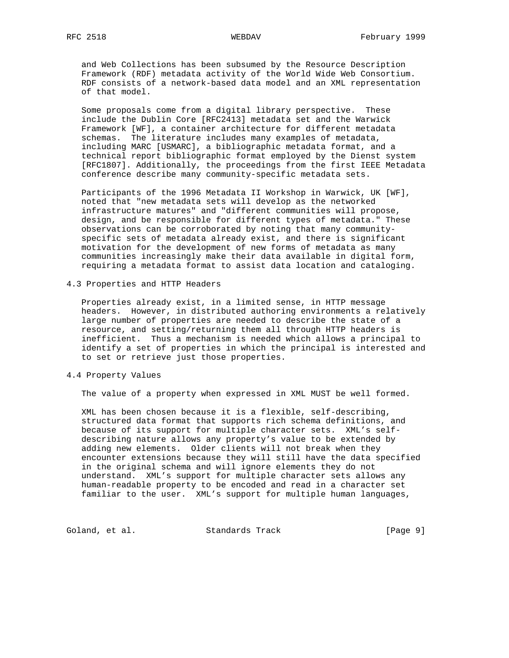and Web Collections has been subsumed by the Resource Description Framework (RDF) metadata activity of the World Wide Web Consortium. RDF consists of a network-based data model and an XML representation of that model.

 Some proposals come from a digital library perspective. These include the Dublin Core [RFC2413] metadata set and the Warwick Framework [WF], a container architecture for different metadata schemas. The literature includes many examples of metadata, including MARC [USMARC], a bibliographic metadata format, and a technical report bibliographic format employed by the Dienst system [RFC1807]. Additionally, the proceedings from the first IEEE Metadata conference describe many community-specific metadata sets.

 Participants of the 1996 Metadata II Workshop in Warwick, UK [WF], noted that "new metadata sets will develop as the networked infrastructure matures" and "different communities will propose, design, and be responsible for different types of metadata." These observations can be corroborated by noting that many community specific sets of metadata already exist, and there is significant motivation for the development of new forms of metadata as many communities increasingly make their data available in digital form, requiring a metadata format to assist data location and cataloging.

4.3 Properties and HTTP Headers

 Properties already exist, in a limited sense, in HTTP message headers. However, in distributed authoring environments a relatively large number of properties are needed to describe the state of a resource, and setting/returning them all through HTTP headers is inefficient. Thus a mechanism is needed which allows a principal to identify a set of properties in which the principal is interested and to set or retrieve just those properties.

## 4.4 Property Values

The value of a property when expressed in XML MUST be well formed.

 XML has been chosen because it is a flexible, self-describing, structured data format that supports rich schema definitions, and because of its support for multiple character sets. XML's self describing nature allows any property's value to be extended by adding new elements. Older clients will not break when they encounter extensions because they will still have the data specified in the original schema and will ignore elements they do not understand. XML's support for multiple character sets allows any human-readable property to be encoded and read in a character set familiar to the user. XML's support for multiple human languages,

Goland, et al. Standards Track [Page 9]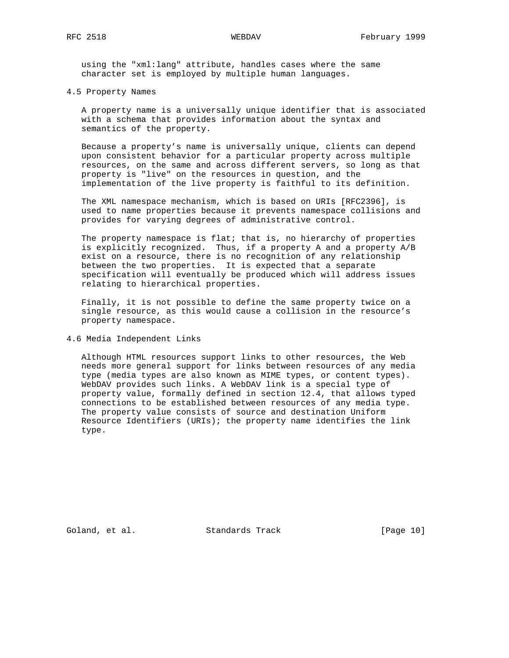using the "xml:lang" attribute, handles cases where the same character set is employed by multiple human languages.

## 4.5 Property Names

 A property name is a universally unique identifier that is associated with a schema that provides information about the syntax and semantics of the property.

 Because a property's name is universally unique, clients can depend upon consistent behavior for a particular property across multiple resources, on the same and across different servers, so long as that property is "live" on the resources in question, and the implementation of the live property is faithful to its definition.

 The XML namespace mechanism, which is based on URIs [RFC2396], is used to name properties because it prevents namespace collisions and provides for varying degrees of administrative control.

 The property namespace is flat; that is, no hierarchy of properties is explicitly recognized. Thus, if a property A and a property A/B exist on a resource, there is no recognition of any relationship between the two properties. It is expected that a separate specification will eventually be produced which will address issues relating to hierarchical properties.

 Finally, it is not possible to define the same property twice on a single resource, as this would cause a collision in the resource's property namespace.

## 4.6 Media Independent Links

 Although HTML resources support links to other resources, the Web needs more general support for links between resources of any media type (media types are also known as MIME types, or content types). WebDAV provides such links. A WebDAV link is a special type of property value, formally defined in section 12.4, that allows typed connections to be established between resources of any media type. The property value consists of source and destination Uniform Resource Identifiers (URIs); the property name identifies the link type.

Goland, et al. Standards Track [Page 10]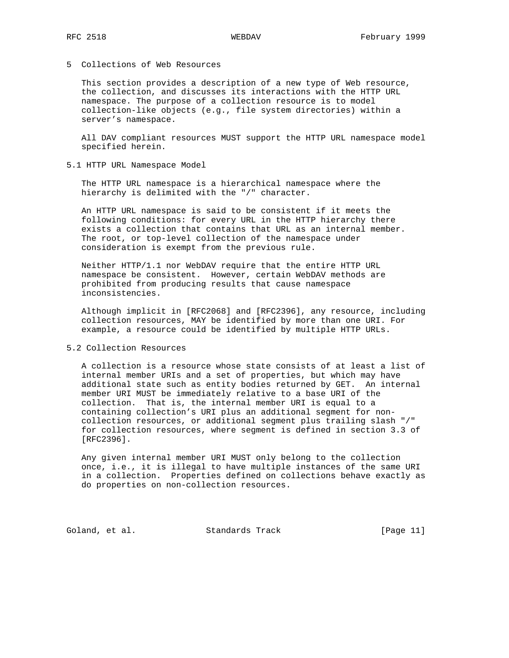# 5 Collections of Web Resources

 This section provides a description of a new type of Web resource, the collection, and discusses its interactions with the HTTP URL namespace. The purpose of a collection resource is to model collection-like objects (e.g., file system directories) within a server's namespace.

 All DAV compliant resources MUST support the HTTP URL namespace model specified herein.

5.1 HTTP URL Namespace Model

 The HTTP URL namespace is a hierarchical namespace where the hierarchy is delimited with the "/" character.

 An HTTP URL namespace is said to be consistent if it meets the following conditions: for every URL in the HTTP hierarchy there exists a collection that contains that URL as an internal member. The root, or top-level collection of the namespace under consideration is exempt from the previous rule.

 Neither HTTP/1.1 nor WebDAV require that the entire HTTP URL namespace be consistent. However, certain WebDAV methods are prohibited from producing results that cause namespace inconsistencies.

 Although implicit in [RFC2068] and [RFC2396], any resource, including collection resources, MAY be identified by more than one URI. For example, a resource could be identified by multiple HTTP URLs.

### 5.2 Collection Resources

 A collection is a resource whose state consists of at least a list of internal member URIs and a set of properties, but which may have additional state such as entity bodies returned by GET. An internal member URI MUST be immediately relative to a base URI of the collection. That is, the internal member URI is equal to a containing collection's URI plus an additional segment for non collection resources, or additional segment plus trailing slash "/" for collection resources, where segment is defined in section 3.3 of [RFC2396].

 Any given internal member URI MUST only belong to the collection once, i.e., it is illegal to have multiple instances of the same URI in a collection. Properties defined on collections behave exactly as do properties on non-collection resources.

Goland, et al. Standards Track [Page 11]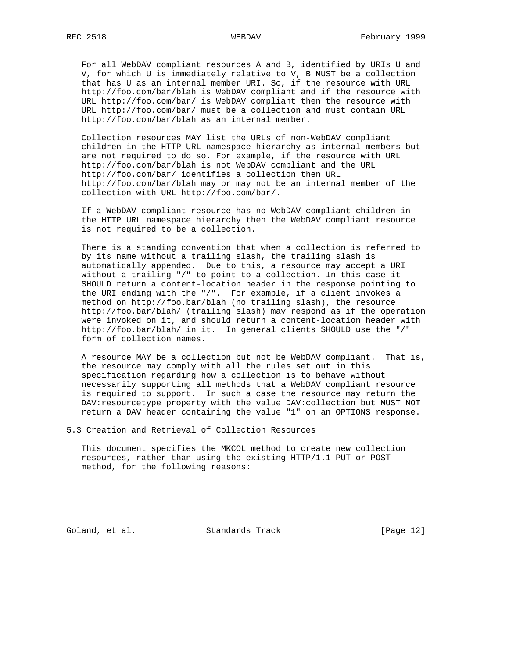For all WebDAV compliant resources A and B, identified by URIs U and V, for which U is immediately relative to V, B MUST be a collection that has U as an internal member URI. So, if the resource with URL http://foo.com/bar/blah is WebDAV compliant and if the resource with URL http://foo.com/bar/ is WebDAV compliant then the resource with URL http://foo.com/bar/ must be a collection and must contain URL http://foo.com/bar/blah as an internal member.

 Collection resources MAY list the URLs of non-WebDAV compliant children in the HTTP URL namespace hierarchy as internal members but are not required to do so. For example, if the resource with URL http://foo.com/bar/blah is not WebDAV compliant and the URL http://foo.com/bar/ identifies a collection then URL http://foo.com/bar/blah may or may not be an internal member of the collection with URL http://foo.com/bar/.

 If a WebDAV compliant resource has no WebDAV compliant children in the HTTP URL namespace hierarchy then the WebDAV compliant resource is not required to be a collection.

 There is a standing convention that when a collection is referred to by its name without a trailing slash, the trailing slash is automatically appended. Due to this, a resource may accept a URI without a trailing "/" to point to a collection. In this case it SHOULD return a content-location header in the response pointing to the URI ending with the "/". For example, if a client invokes a method on http://foo.bar/blah (no trailing slash), the resource http://foo.bar/blah/ (trailing slash) may respond as if the operation were invoked on it, and should return a content-location header with http://foo.bar/blah/ in it. In general clients SHOULD use the "/" form of collection names.

 A resource MAY be a collection but not be WebDAV compliant. That is, the resource may comply with all the rules set out in this specification regarding how a collection is to behave without necessarily supporting all methods that a WebDAV compliant resource is required to support. In such a case the resource may return the DAV:resourcetype property with the value DAV:collection but MUST NOT return a DAV header containing the value "1" on an OPTIONS response.

5.3 Creation and Retrieval of Collection Resources

 This document specifies the MKCOL method to create new collection resources, rather than using the existing HTTP/1.1 PUT or POST method, for the following reasons:

Goland, et al. Standards Track [Page 12]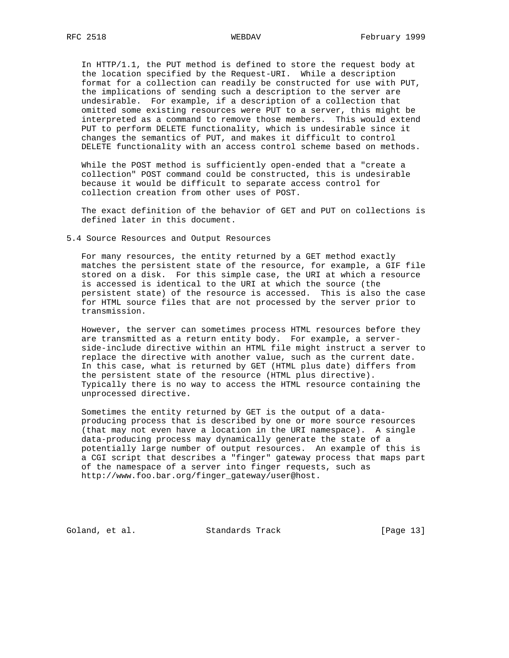In HTTP/1.1, the PUT method is defined to store the request body at the location specified by the Request-URI. While a description format for a collection can readily be constructed for use with PUT, the implications of sending such a description to the server are undesirable. For example, if a description of a collection that omitted some existing resources were PUT to a server, this might be interpreted as a command to remove those members. This would extend PUT to perform DELETE functionality, which is undesirable since it changes the semantics of PUT, and makes it difficult to control

 While the POST method is sufficiently open-ended that a "create a collection" POST command could be constructed, this is undesirable because it would be difficult to separate access control for collection creation from other uses of POST.

DELETE functionality with an access control scheme based on methods.

 The exact definition of the behavior of GET and PUT on collections is defined later in this document.

5.4 Source Resources and Output Resources

 For many resources, the entity returned by a GET method exactly matches the persistent state of the resource, for example, a GIF file stored on a disk. For this simple case, the URI at which a resource is accessed is identical to the URI at which the source (the persistent state) of the resource is accessed. This is also the case for HTML source files that are not processed by the server prior to transmission.

 However, the server can sometimes process HTML resources before they are transmitted as a return entity body. For example, a server side-include directive within an HTML file might instruct a server to replace the directive with another value, such as the current date. In this case, what is returned by GET (HTML plus date) differs from the persistent state of the resource (HTML plus directive). Typically there is no way to access the HTML resource containing the unprocessed directive.

 Sometimes the entity returned by GET is the output of a data producing process that is described by one or more source resources (that may not even have a location in the URI namespace). A single data-producing process may dynamically generate the state of a potentially large number of output resources. An example of this is a CGI script that describes a "finger" gateway process that maps part of the namespace of a server into finger requests, such as http://www.foo.bar.org/finger\_gateway/user@host.

Goland, et al. Standards Track [Page 13]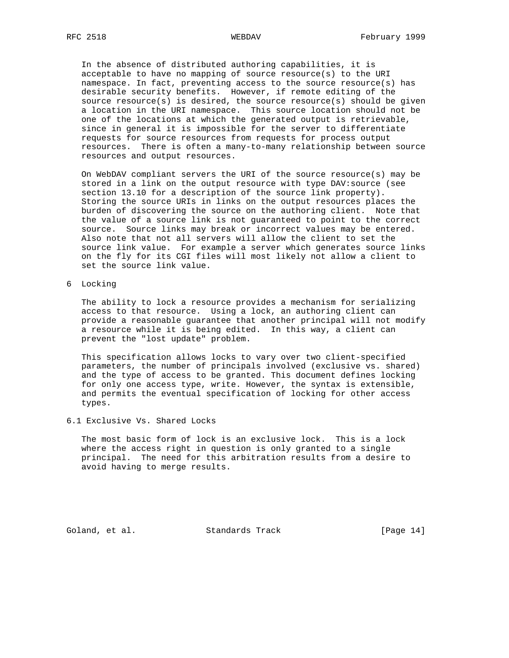In the absence of distributed authoring capabilities, it is acceptable to have no mapping of source resource(s) to the URI namespace. In fact, preventing access to the source resource(s) has desirable security benefits. However, if remote editing of the source resource(s) is desired, the source resource(s) should be given a location in the URI namespace. This source location should not be one of the locations at which the generated output is retrievable, since in general it is impossible for the server to differentiate requests for source resources from requests for process output resources. There is often a many-to-many relationship between source resources and output resources.

 On WebDAV compliant servers the URI of the source resource(s) may be stored in a link on the output resource with type DAV:source (see section 13.10 for a description of the source link property). Storing the source URIs in links on the output resources places the burden of discovering the source on the authoring client. Note that the value of a source link is not guaranteed to point to the correct source. Source links may break or incorrect values may be entered. Also note that not all servers will allow the client to set the source link value. For example a server which generates source links on the fly for its CGI files will most likely not allow a client to set the source link value.

6 Locking

 The ability to lock a resource provides a mechanism for serializing access to that resource. Using a lock, an authoring client can provide a reasonable guarantee that another principal will not modify a resource while it is being edited. In this way, a client can prevent the "lost update" problem.

 This specification allows locks to vary over two client-specified parameters, the number of principals involved (exclusive vs. shared) and the type of access to be granted. This document defines locking for only one access type, write. However, the syntax is extensible, and permits the eventual specification of locking for other access types.

6.1 Exclusive Vs. Shared Locks

 The most basic form of lock is an exclusive lock. This is a lock where the access right in question is only granted to a single principal. The need for this arbitration results from a desire to avoid having to merge results.

Goland, et al. Standards Track [Page 14]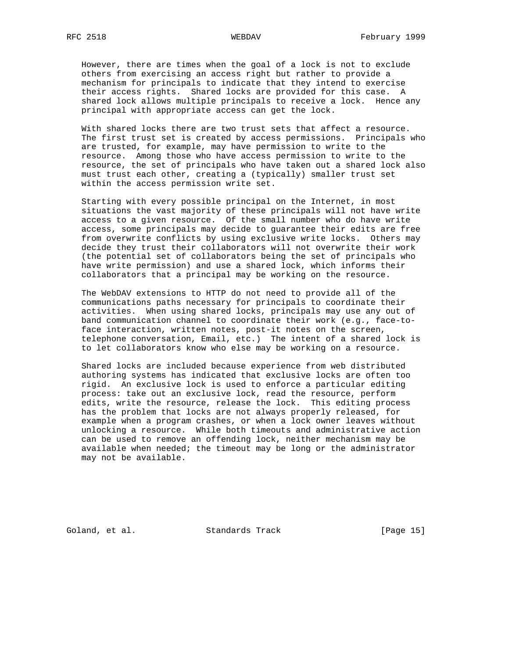However, there are times when the goal of a lock is not to exclude others from exercising an access right but rather to provide a mechanism for principals to indicate that they intend to exercise their access rights. Shared locks are provided for this case. A shared lock allows multiple principals to receive a lock. Hence any principal with appropriate access can get the lock.

 With shared locks there are two trust sets that affect a resource. The first trust set is created by access permissions. Principals who are trusted, for example, may have permission to write to the resource. Among those who have access permission to write to the resource, the set of principals who have taken out a shared lock also must trust each other, creating a (typically) smaller trust set within the access permission write set.

 Starting with every possible principal on the Internet, in most situations the vast majority of these principals will not have write access to a given resource. Of the small number who do have write access, some principals may decide to guarantee their edits are free from overwrite conflicts by using exclusive write locks. Others may decide they trust their collaborators will not overwrite their work (the potential set of collaborators being the set of principals who have write permission) and use a shared lock, which informs their collaborators that a principal may be working on the resource.

 The WebDAV extensions to HTTP do not need to provide all of the communications paths necessary for principals to coordinate their activities. When using shared locks, principals may use any out of band communication channel to coordinate their work (e.g., face-to face interaction, written notes, post-it notes on the screen, telephone conversation, Email, etc.) The intent of a shared lock is to let collaborators know who else may be working on a resource.

 Shared locks are included because experience from web distributed authoring systems has indicated that exclusive locks are often too rigid. An exclusive lock is used to enforce a particular editing process: take out an exclusive lock, read the resource, perform edits, write the resource, release the lock. This editing process has the problem that locks are not always properly released, for example when a program crashes, or when a lock owner leaves without unlocking a resource. While both timeouts and administrative action can be used to remove an offending lock, neither mechanism may be available when needed; the timeout may be long or the administrator may not be available.

Goland, et al. Standards Track [Page 15]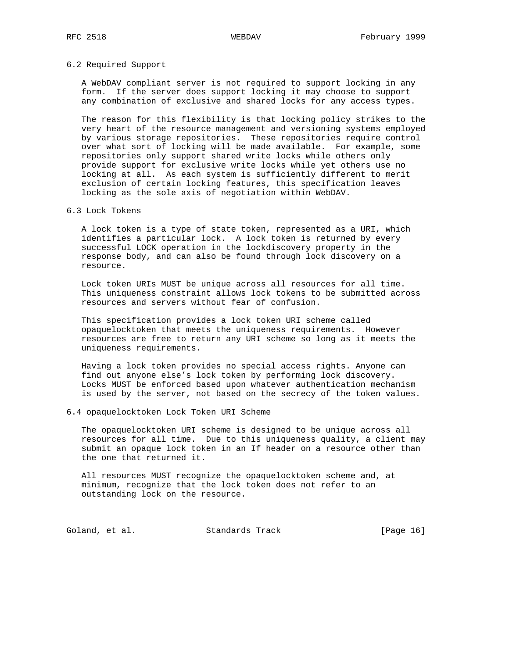## 6.2 Required Support

 A WebDAV compliant server is not required to support locking in any form. If the server does support locking it may choose to support any combination of exclusive and shared locks for any access types.

 The reason for this flexibility is that locking policy strikes to the very heart of the resource management and versioning systems employed by various storage repositories. These repositories require control over what sort of locking will be made available. For example, some repositories only support shared write locks while others only provide support for exclusive write locks while yet others use no locking at all. As each system is sufficiently different to merit exclusion of certain locking features, this specification leaves locking as the sole axis of negotiation within WebDAV.

## 6.3 Lock Tokens

 A lock token is a type of state token, represented as a URI, which identifies a particular lock. A lock token is returned by every successful LOCK operation in the lockdiscovery property in the response body, and can also be found through lock discovery on a resource.

 Lock token URIs MUST be unique across all resources for all time. This uniqueness constraint allows lock tokens to be submitted across resources and servers without fear of confusion.

 This specification provides a lock token URI scheme called opaquelocktoken that meets the uniqueness requirements. However resources are free to return any URI scheme so long as it meets the uniqueness requirements.

 Having a lock token provides no special access rights. Anyone can find out anyone else's lock token by performing lock discovery. Locks MUST be enforced based upon whatever authentication mechanism is used by the server, not based on the secrecy of the token values.

## 6.4 opaquelocktoken Lock Token URI Scheme

 The opaquelocktoken URI scheme is designed to be unique across all resources for all time. Due to this uniqueness quality, a client may submit an opaque lock token in an If header on a resource other than the one that returned it.

 All resources MUST recognize the opaquelocktoken scheme and, at minimum, recognize that the lock token does not refer to an outstanding lock on the resource.

Goland, et al. Standards Track [Page 16]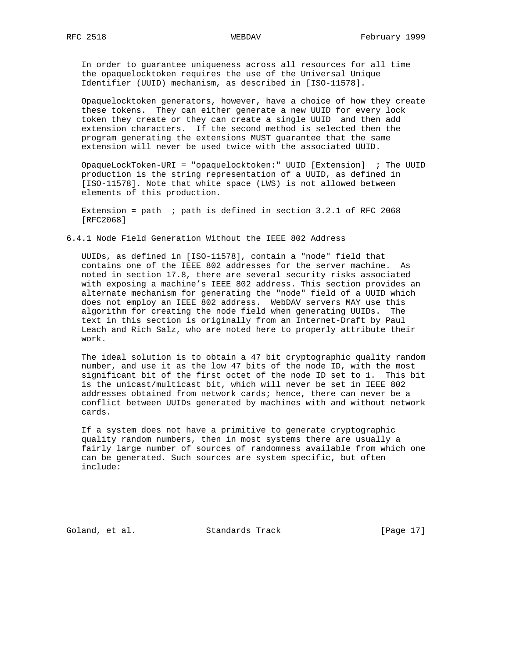In order to guarantee uniqueness across all resources for all time the opaquelocktoken requires the use of the Universal Unique Identifier (UUID) mechanism, as described in [ISO-11578].

 Opaquelocktoken generators, however, have a choice of how they create these tokens. They can either generate a new UUID for every lock token they create or they can create a single UUID and then add extension characters. If the second method is selected then the program generating the extensions MUST guarantee that the same extension will never be used twice with the associated UUID.

 OpaqueLockToken-URI = "opaquelocktoken:" UUID [Extension] ; The UUID production is the string representation of a UUID, as defined in [ISO-11578]. Note that white space (LWS) is not allowed between elements of this production.

Extension = path  $i$  path is defined in section 3.2.1 of RFC 2068 [RFC2068]

6.4.1 Node Field Generation Without the IEEE 802 Address

 UUIDs, as defined in [ISO-11578], contain a "node" field that contains one of the IEEE 802 addresses for the server machine. As noted in section 17.8, there are several security risks associated with exposing a machine's IEEE 802 address. This section provides an alternate mechanism for generating the "node" field of a UUID which does not employ an IEEE 802 address. WebDAV servers MAY use this algorithm for creating the node field when generating UUIDs. The text in this section is originally from an Internet-Draft by Paul Leach and Rich Salz, who are noted here to properly attribute their work.

 The ideal solution is to obtain a 47 bit cryptographic quality random number, and use it as the low 47 bits of the node ID, with the most significant bit of the first octet of the node ID set to 1. This bit is the unicast/multicast bit, which will never be set in IEEE 802 addresses obtained from network cards; hence, there can never be a conflict between UUIDs generated by machines with and without network cards.

 If a system does not have a primitive to generate cryptographic quality random numbers, then in most systems there are usually a fairly large number of sources of randomness available from which one can be generated. Such sources are system specific, but often include:

Goland, et al. Standards Track [Page 17]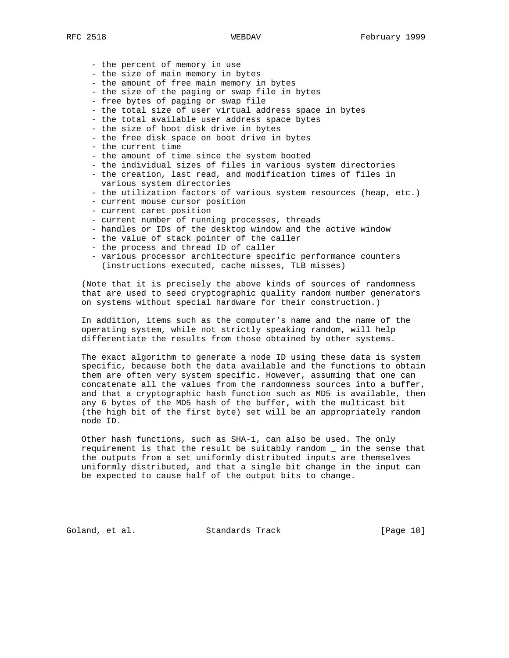- the percent of memory in use
- the size of main memory in bytes
- the amount of free main memory in bytes
- the size of the paging or swap file in bytes
- free bytes of paging or swap file
- the total size of user virtual address space in bytes
- the total available user address space bytes
- the size of boot disk drive in bytes
- the free disk space on boot drive in bytes
- the current time
- the amount of time since the system booted
- the individual sizes of files in various system directories
- the creation, last read, and modification times of files in various system directories
- the utilization factors of various system resources (heap, etc.)
- current mouse cursor position
- current caret position
- current number of running processes, threads
- handles or IDs of the desktop window and the active window
- the value of stack pointer of the caller
- the process and thread ID of caller
- various processor architecture specific performance counters (instructions executed, cache misses, TLB misses)

 (Note that it is precisely the above kinds of sources of randomness that are used to seed cryptographic quality random number generators on systems without special hardware for their construction.)

 In addition, items such as the computer's name and the name of the operating system, while not strictly speaking random, will help differentiate the results from those obtained by other systems.

 The exact algorithm to generate a node ID using these data is system specific, because both the data available and the functions to obtain them are often very system specific. However, assuming that one can concatenate all the values from the randomness sources into a buffer, and that a cryptographic hash function such as MD5 is available, then any 6 bytes of the MD5 hash of the buffer, with the multicast bit (the high bit of the first byte) set will be an appropriately random node ID.

 Other hash functions, such as SHA-1, can also be used. The only requirement is that the result be suitably random \_ in the sense that the outputs from a set uniformly distributed inputs are themselves uniformly distributed, and that a single bit change in the input can be expected to cause half of the output bits to change.

Goland, et al. Standards Track [Page 18]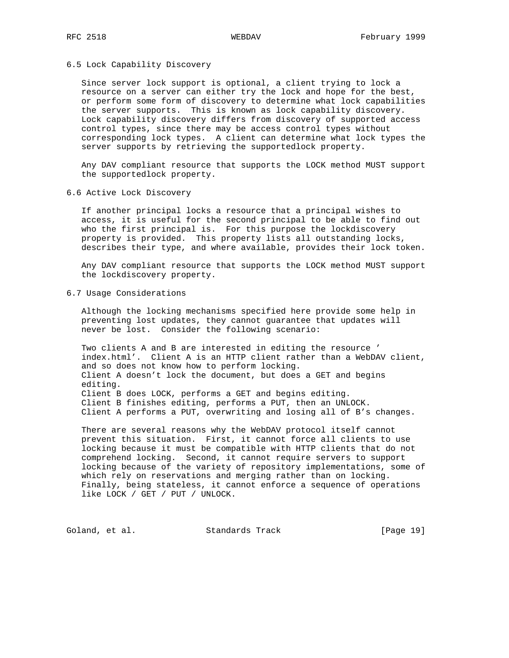## 6.5 Lock Capability Discovery

 Since server lock support is optional, a client trying to lock a resource on a server can either try the lock and hope for the best, or perform some form of discovery to determine what lock capabilities the server supports. This is known as lock capability discovery. Lock capability discovery differs from discovery of supported access control types, since there may be access control types without corresponding lock types. A client can determine what lock types the server supports by retrieving the supportedlock property.

 Any DAV compliant resource that supports the LOCK method MUST support the supportedlock property.

6.6 Active Lock Discovery

 If another principal locks a resource that a principal wishes to access, it is useful for the second principal to be able to find out who the first principal is. For this purpose the lockdiscovery property is provided. This property lists all outstanding locks, describes their type, and where available, provides their lock token.

 Any DAV compliant resource that supports the LOCK method MUST support the lockdiscovery property.

6.7 Usage Considerations

 Although the locking mechanisms specified here provide some help in preventing lost updates, they cannot guarantee that updates will never be lost. Consider the following scenario:

 Two clients A and B are interested in editing the resource ' index.html'. Client A is an HTTP client rather than a WebDAV client, and so does not know how to perform locking. Client A doesn't lock the document, but does a GET and begins editing. Client B does LOCK, performs a GET and begins editing. Client B finishes editing, performs a PUT, then an UNLOCK. Client A performs a PUT, overwriting and losing all of B's changes.

 There are several reasons why the WebDAV protocol itself cannot prevent this situation. First, it cannot force all clients to use locking because it must be compatible with HTTP clients that do not comprehend locking. Second, it cannot require servers to support locking because of the variety of repository implementations, some of which rely on reservations and merging rather than on locking. Finally, being stateless, it cannot enforce a sequence of operations like LOCK / GET / PUT / UNLOCK.

Goland, et al. Standards Track [Page 19]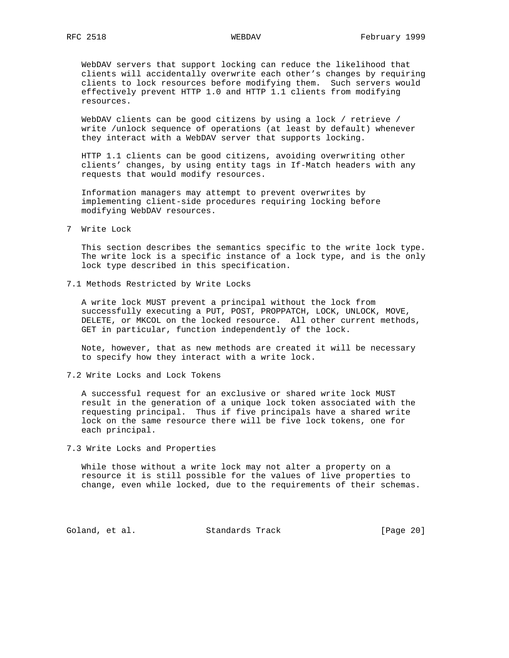WebDAV servers that support locking can reduce the likelihood that clients will accidentally overwrite each other's changes by requiring clients to lock resources before modifying them. Such servers would effectively prevent HTTP 1.0 and HTTP 1.1 clients from modifying resources.

 WebDAV clients can be good citizens by using a lock / retrieve / write /unlock sequence of operations (at least by default) whenever they interact with a WebDAV server that supports locking.

 HTTP 1.1 clients can be good citizens, avoiding overwriting other clients' changes, by using entity tags in If-Match headers with any requests that would modify resources.

 Information managers may attempt to prevent overwrites by implementing client-side procedures requiring locking before modifying WebDAV resources.

7 Write Lock

 This section describes the semantics specific to the write lock type. The write lock is a specific instance of a lock type, and is the only lock type described in this specification.

7.1 Methods Restricted by Write Locks

 A write lock MUST prevent a principal without the lock from successfully executing a PUT, POST, PROPPATCH, LOCK, UNLOCK, MOVE, DELETE, or MKCOL on the locked resource. All other current methods, GET in particular, function independently of the lock.

 Note, however, that as new methods are created it will be necessary to specify how they interact with a write lock.

7.2 Write Locks and Lock Tokens

 A successful request for an exclusive or shared write lock MUST result in the generation of a unique lock token associated with the requesting principal. Thus if five principals have a shared write lock on the same resource there will be five lock tokens, one for each principal.

7.3 Write Locks and Properties

 While those without a write lock may not alter a property on a resource it is still possible for the values of live properties to change, even while locked, due to the requirements of their schemas.

Goland, et al. Standards Track [Page 20]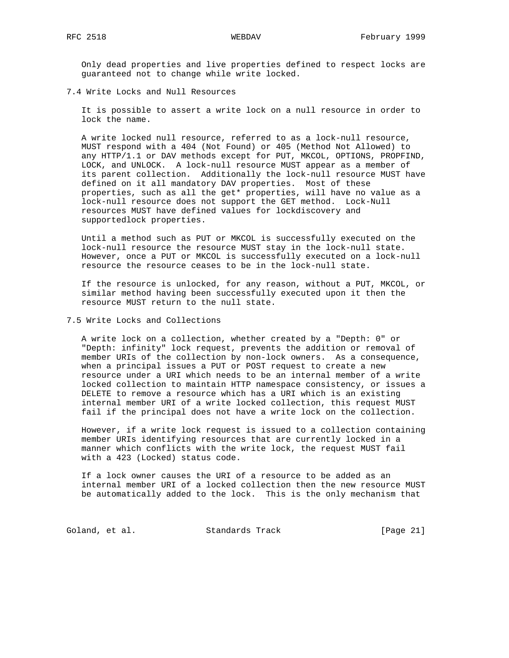Only dead properties and live properties defined to respect locks are guaranteed not to change while write locked.

7.4 Write Locks and Null Resources

 It is possible to assert a write lock on a null resource in order to lock the name.

 A write locked null resource, referred to as a lock-null resource, MUST respond with a 404 (Not Found) or 405 (Method Not Allowed) to any HTTP/1.1 or DAV methods except for PUT, MKCOL, OPTIONS, PROPFIND, LOCK, and UNLOCK. A lock-null resource MUST appear as a member of its parent collection. Additionally the lock-null resource MUST have defined on it all mandatory DAV properties. Most of these properties, such as all the get\* properties, will have no value as a lock-null resource does not support the GET method. Lock-Null resources MUST have defined values for lockdiscovery and supportedlock properties.

 Until a method such as PUT or MKCOL is successfully executed on the lock-null resource the resource MUST stay in the lock-null state. However, once a PUT or MKCOL is successfully executed on a lock-null resource the resource ceases to be in the lock-null state.

 If the resource is unlocked, for any reason, without a PUT, MKCOL, or similar method having been successfully executed upon it then the resource MUST return to the null state.

7.5 Write Locks and Collections

 A write lock on a collection, whether created by a "Depth: 0" or "Depth: infinity" lock request, prevents the addition or removal of member URIs of the collection by non-lock owners. As a consequence, when a principal issues a PUT or POST request to create a new resource under a URI which needs to be an internal member of a write locked collection to maintain HTTP namespace consistency, or issues a DELETE to remove a resource which has a URI which is an existing internal member URI of a write locked collection, this request MUST fail if the principal does not have a write lock on the collection.

 However, if a write lock request is issued to a collection containing member URIs identifying resources that are currently locked in a manner which conflicts with the write lock, the request MUST fail with a 423 (Locked) status code.

 If a lock owner causes the URI of a resource to be added as an internal member URI of a locked collection then the new resource MUST be automatically added to the lock. This is the only mechanism that

Goland, et al. Standards Track [Page 21]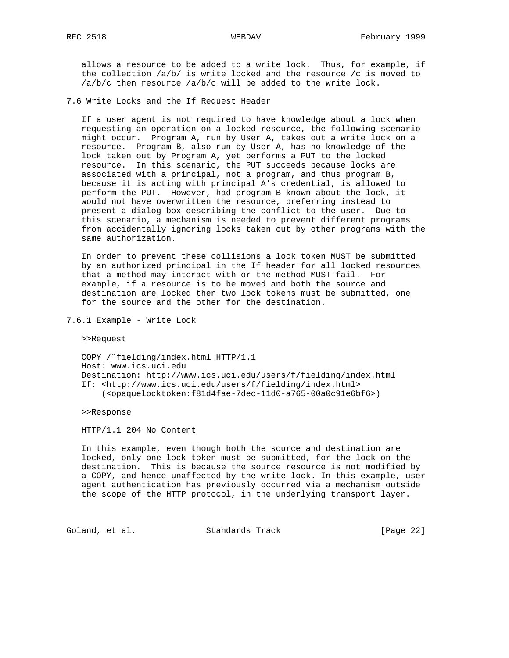allows a resource to be added to a write lock. Thus, for example, if the collection /a/b/ is write locked and the resource /c is moved to /a/b/c then resource /a/b/c will be added to the write lock.

7.6 Write Locks and the If Request Header

 If a user agent is not required to have knowledge about a lock when requesting an operation on a locked resource, the following scenario might occur. Program A, run by User A, takes out a write lock on a resource. Program B, also run by User A, has no knowledge of the lock taken out by Program A, yet performs a PUT to the locked resource. In this scenario, the PUT succeeds because locks are associated with a principal, not a program, and thus program B, because it is acting with principal A's credential, is allowed to perform the PUT. However, had program B known about the lock, it would not have overwritten the resource, preferring instead to present a dialog box describing the conflict to the user. Due to this scenario, a mechanism is needed to prevent different programs from accidentally ignoring locks taken out by other programs with the same authorization.

 In order to prevent these collisions a lock token MUST be submitted by an authorized principal in the If header for all locked resources that a method may interact with or the method MUST fail. For example, if a resource is to be moved and both the source and destination are locked then two lock tokens must be submitted, one for the source and the other for the destination.

7.6.1 Example - Write Lock

>>Request

 COPY /˜fielding/index.html HTTP/1.1 Host: www.ics.uci.edu Destination: http://www.ics.uci.edu/users/f/fielding/index.html If: <http://www.ics.uci.edu/users/f/fielding/index.html> (<opaquelocktoken:f81d4fae-7dec-11d0-a765-00a0c91e6bf6>)

>>Response

HTTP/1.1 204 No Content

 In this example, even though both the source and destination are locked, only one lock token must be submitted, for the lock on the destination. This is because the source resource is not modified by a COPY, and hence unaffected by the write lock. In this example, user agent authentication has previously occurred via a mechanism outside the scope of the HTTP protocol, in the underlying transport layer.

Goland, et al. Standards Track [Page 22]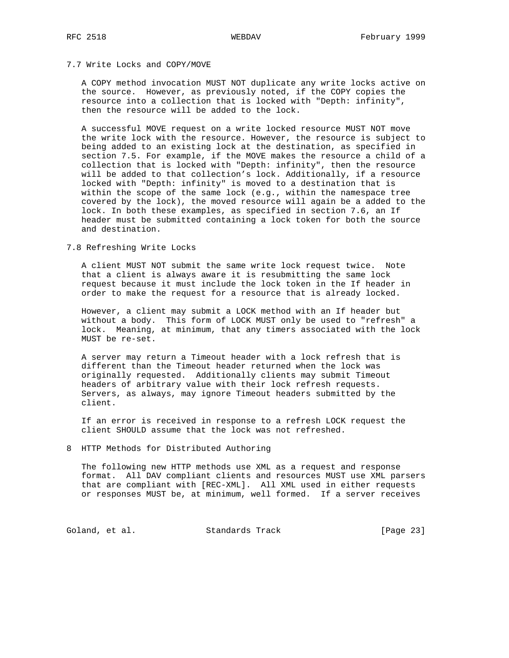# 7.7 Write Locks and COPY/MOVE

 A COPY method invocation MUST NOT duplicate any write locks active on the source. However, as previously noted, if the COPY copies the resource into a collection that is locked with "Depth: infinity", then the resource will be added to the lock.

 A successful MOVE request on a write locked resource MUST NOT move the write lock with the resource. However, the resource is subject to being added to an existing lock at the destination, as specified in section 7.5. For example, if the MOVE makes the resource a child of a collection that is locked with "Depth: infinity", then the resource will be added to that collection's lock. Additionally, if a resource locked with "Depth: infinity" is moved to a destination that is within the scope of the same lock (e.g., within the namespace tree covered by the lock), the moved resource will again be a added to the lock. In both these examples, as specified in section 7.6, an If header must be submitted containing a lock token for both the source and destination.

### 7.8 Refreshing Write Locks

 A client MUST NOT submit the same write lock request twice. Note that a client is always aware it is resubmitting the same lock request because it must include the lock token in the If header in order to make the request for a resource that is already locked.

 However, a client may submit a LOCK method with an If header but without a body. This form of LOCK MUST only be used to "refresh" a lock. Meaning, at minimum, that any timers associated with the lock MUST be re-set.

 A server may return a Timeout header with a lock refresh that is different than the Timeout header returned when the lock was originally requested. Additionally clients may submit Timeout headers of arbitrary value with their lock refresh requests. Servers, as always, may ignore Timeout headers submitted by the client.

 If an error is received in response to a refresh LOCK request the client SHOULD assume that the lock was not refreshed.

# 8 HTTP Methods for Distributed Authoring

 The following new HTTP methods use XML as a request and response format. All DAV compliant clients and resources MUST use XML parsers that are compliant with [REC-XML]. All XML used in either requests or responses MUST be, at minimum, well formed. If a server receives

Goland, et al. Standards Track [Page 23]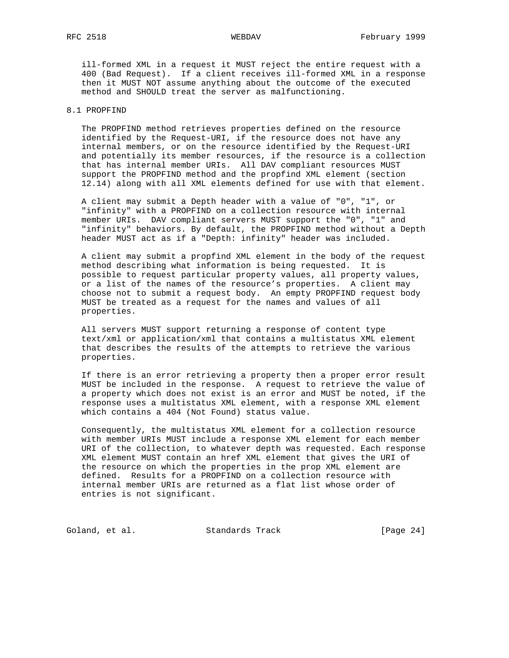ill-formed XML in a request it MUST reject the entire request with a 400 (Bad Request). If a client receives ill-formed XML in a response then it MUST NOT assume anything about the outcome of the executed method and SHOULD treat the server as malfunctioning.

# 8.1 PROPFIND

 The PROPFIND method retrieves properties defined on the resource identified by the Request-URI, if the resource does not have any internal members, or on the resource identified by the Request-URI and potentially its member resources, if the resource is a collection that has internal member URIs. All DAV compliant resources MUST support the PROPFIND method and the propfind XML element (section 12.14) along with all XML elements defined for use with that element.

 A client may submit a Depth header with a value of "0", "1", or "infinity" with a PROPFIND on a collection resource with internal member URIs. DAV compliant servers MUST support the "0", "1" and "infinity" behaviors. By default, the PROPFIND method without a Depth header MUST act as if a "Depth: infinity" header was included.

 A client may submit a propfind XML element in the body of the request method describing what information is being requested. It is possible to request particular property values, all property values, or a list of the names of the resource's properties. A client may choose not to submit a request body. An empty PROPFIND request body MUST be treated as a request for the names and values of all properties.

 All servers MUST support returning a response of content type text/xml or application/xml that contains a multistatus XML element that describes the results of the attempts to retrieve the various properties.

 If there is an error retrieving a property then a proper error result MUST be included in the response. A request to retrieve the value of a property which does not exist is an error and MUST be noted, if the response uses a multistatus XML element, with a response XML element which contains a 404 (Not Found) status value.

 Consequently, the multistatus XML element for a collection resource with member URIs MUST include a response XML element for each member URI of the collection, to whatever depth was requested. Each response XML element MUST contain an href XML element that gives the URI of the resource on which the properties in the prop XML element are defined. Results for a PROPFIND on a collection resource with internal member URIs are returned as a flat list whose order of entries is not significant.

Goland, et al. Standards Track [Page 24]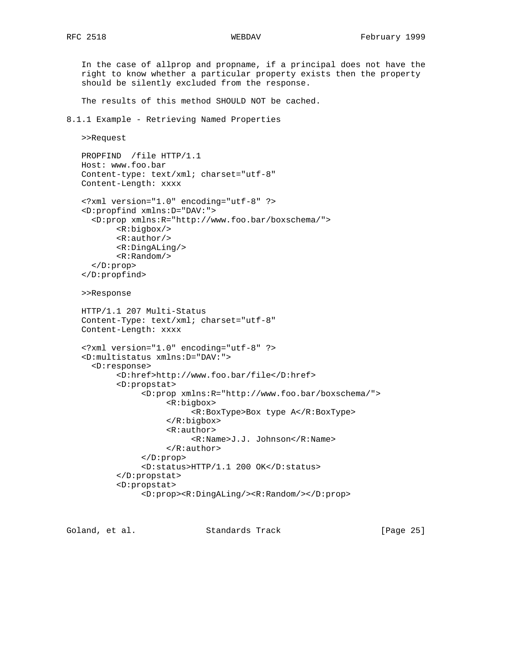should be silently excluded from the response.

 In the case of allprop and propname, if a principal does not have the right to know whether a particular property exists then the property

 The results of this method SHOULD NOT be cached. 8.1.1 Example - Retrieving Named Properties >>Request PROPFIND /file HTTP/1.1 Host: www.foo.bar Content-type: text/xml; charset="utf-8" Content-Length: xxxx <?xml version="1.0" encoding="utf-8" ?> <D:propfind xmlns:D="DAV:"> <D:prop xmlns:R="http://www.foo.bar/boxschema/"> <R:bigbox/> <R:author/> <R:DingALing/> <R:Random/> </D:prop> </D:propfind> >>Response HTTP/1.1 207 Multi-Status Content-Type: text/xml; charset="utf-8" Content-Length: xxxx <?xml version="1.0" encoding="utf-8" ?> <D:multistatus xmlns:D="DAV:"> <D:response> <D:href>http://www.foo.bar/file</D:href> <D:propstat> <D:prop xmlns:R="http://www.foo.bar/boxschema/"> <R:bigbox> <R:BoxType>Box type A</R:BoxType> </R:bigbox> <R:author> <R:Name>J.J. Johnson</R:Name> </R:author> </D:prop> <D:status>HTTP/1.1 200 OK</D:status> </D:propstat>

Goland, et al. Standards Track [Page 25]

<D:prop><R:DingALing/><R:Random/></D:prop>

<D:propstat>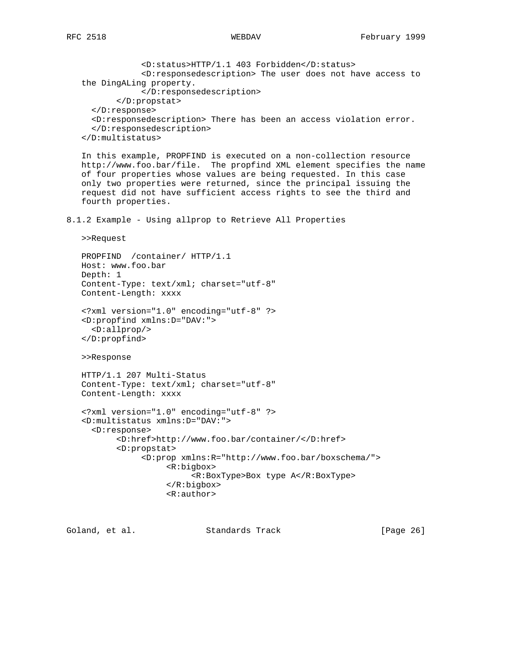<D:status>HTTP/1.1 403 Forbidden</D:status> <D:responsedescription> The user does not have access to the DingALing property. </D:responsedescription> </D:propstat> </D:response> <D:responsedescription> There has been an access violation error. </D:responsedescription> </D:multistatus> In this example, PROPFIND is executed on a non-collection resource http://www.foo.bar/file. The propfind XML element specifies the name of four properties whose values are being requested. In this case only two properties were returned, since the principal issuing the request did not have sufficient access rights to see the third and fourth properties. 8.1.2 Example - Using allprop to Retrieve All Properties >>Request PROPFIND /container/ HTTP/1.1 Host: www.foo.bar Depth: 1 Content-Type: text/xml; charset="utf-8" Content-Length: xxxx <?xml version="1.0" encoding="utf-8" ?> <D:propfind xmlns:D="DAV:"> <D:allprop/> </D:propfind> >>Response HTTP/1.1 207 Multi-Status Content-Type: text/xml; charset="utf-8" Content-Length: xxxx <?xml version="1.0" encoding="utf-8" ?> <D:multistatus xmlns:D="DAV:"> <D:response> <D:href>http://www.foo.bar/container/</D:href> <D:propstat> <D:prop xmlns:R="http://www.foo.bar/boxschema/"> <R:bigbox> <R:BoxType>Box type A</R:BoxType> </R:bigbox> <R:author>

Goland, et al. Standards Track [Page 26]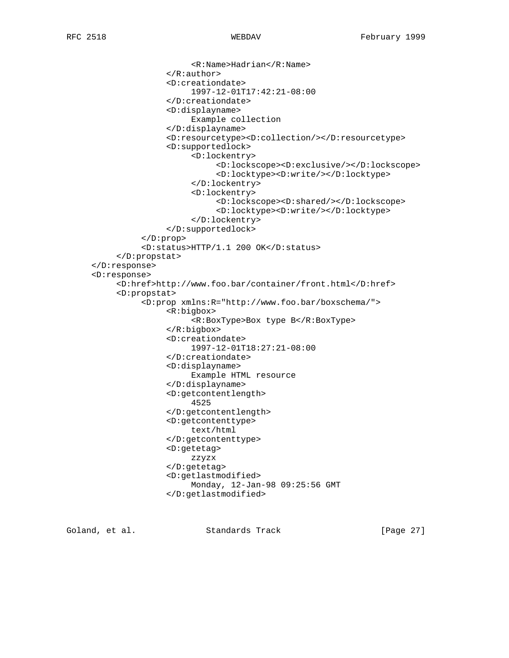```
 <R:Name>Hadrian</R:Name>
                 </R:author>
                 <D:creationdate>
                      1997-12-01T17:42:21-08:00
                 </D:creationdate>
                 <D:displayname>
                      Example collection
                 </D:displayname>
                 <D:resourcetype><D:collection/></D:resourcetype>
                 <D:supportedlock>
                      <D:lockentry>
                           <D:lockscope><D:exclusive/></D:lockscope>
                           <D:locktype><D:write/></D:locktype>
                      </D:lockentry>
                      <D:lockentry>
                           <D:lockscope><D:shared/></D:lockscope>
                            <D:locktype><D:write/></D:locktype>
                      </D:lockentry>
                 </D:supportedlock>
           </D:prop>
           <D:status>HTTP/1.1 200 OK</D:status>
      </D:propstat>
 </D:response>
 <D:response>
      <D:href>http://www.foo.bar/container/front.html</D:href>
      <D:propstat>
           <D:prop xmlns:R="http://www.foo.bar/boxschema/">
                 <R:bigbox>
                      <R:BoxType>Box type B</R:BoxType>
                 </R:bigbox>
                 <D:creationdate>
                      1997-12-01T18:27:21-08:00
                 </D:creationdate>
                 <D:displayname>
                      Example HTML resource
                 </D:displayname>
                 <D:getcontentlength>
                      4525
                 </D:getcontentlength>
                 <D:getcontenttype>
                      text/html
                 </D:getcontenttype>
                 <D:getetag>
                      zzyzx
                 </D:getetag>
                 <D:getlastmodified>
                      Monday, 12-Jan-98 09:25:56 GMT
                 </D:getlastmodified>
```
Goland, et al. Standards Track [Page 27]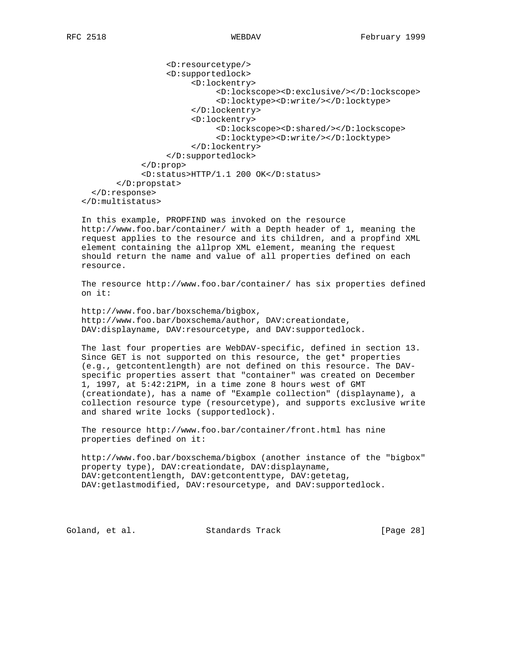```
 <D:resourcetype/>
                   <D:supportedlock>
                        <D:lockentry>
                              <D:lockscope><D:exclusive/></D:lockscope>
                              <D:locktype><D:write/></D:locktype>
                        </D:lockentry>
                        <D:lockentry>
                              <D:lockscope><D:shared/></D:lockscope>
                              <D:locktype><D:write/></D:locktype>
                        </D:lockentry>
                   </D:supportedlock>
             </D:prop>
             <D:status>HTTP/1.1 200 OK</D:status>
        </D:propstat>
   </D:response>
 </D:multistatus>
```
 In this example, PROPFIND was invoked on the resource http://www.foo.bar/container/ with a Depth header of 1, meaning the request applies to the resource and its children, and a propfind XML element containing the allprop XML element, meaning the request should return the name and value of all properties defined on each resource.

 The resource http://www.foo.bar/container/ has six properties defined on it:

 http://www.foo.bar/boxschema/bigbox, http://www.foo.bar/boxschema/author, DAV:creationdate, DAV:displayname, DAV:resourcetype, and DAV:supportedlock.

 The last four properties are WebDAV-specific, defined in section 13. Since GET is not supported on this resource, the get\* properties (e.g., getcontentlength) are not defined on this resource. The DAV specific properties assert that "container" was created on December 1, 1997, at 5:42:21PM, in a time zone 8 hours west of GMT (creationdate), has a name of "Example collection" (displayname), a collection resource type (resourcetype), and supports exclusive write and shared write locks (supportedlock).

 The resource http://www.foo.bar/container/front.html has nine properties defined on it:

 http://www.foo.bar/boxschema/bigbox (another instance of the "bigbox" property type), DAV:creationdate, DAV:displayname, DAV:getcontentlength, DAV:getcontenttype, DAV:getetag, DAV:getlastmodified, DAV:resourcetype, and DAV:supportedlock.

Goland, et al. Standards Track [Page 28]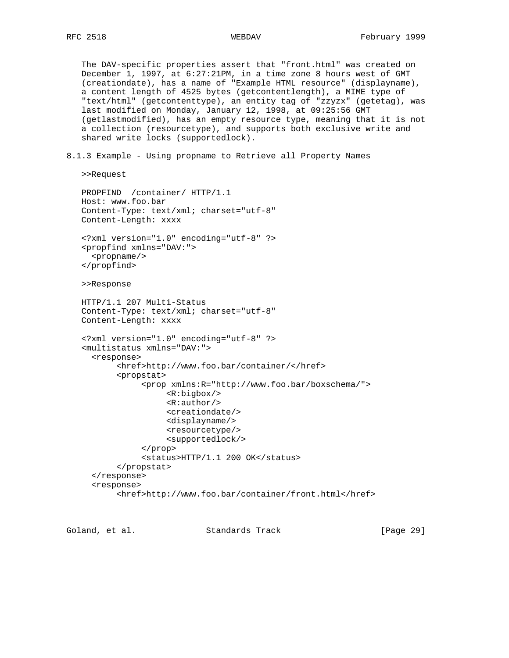The DAV-specific properties assert that "front.html" was created on December 1, 1997, at 6:27:21PM, in a time zone 8 hours west of GMT (creationdate), has a name of "Example HTML resource" (displayname), a content length of 4525 bytes (getcontentlength), a MIME type of "text/html" (getcontenttype), an entity tag of "zzyzx" (getetag), was last modified on Monday, January 12, 1998, at 09:25:56 GMT (getlastmodified), has an empty resource type, meaning that it is not a collection (resourcetype), and supports both exclusive write and shared write locks (supportedlock).

8.1.3 Example - Using propname to Retrieve all Property Names

```
 >>Request
```

```
 PROPFIND /container/ HTTP/1.1
 Host: www.foo.bar
 Content-Type: text/xml; charset="utf-8"
 Content-Length: xxxx
 <?xml version="1.0" encoding="utf-8" ?>
 <propfind xmlns="DAV:">
   <propname/>
 </propfind>
 >>Response
 HTTP/1.1 207 Multi-Status
 Content-Type: text/xml; charset="utf-8"
 Content-Length: xxxx
 <?xml version="1.0" encoding="utf-8" ?>
 <multistatus xmlns="DAV:">
   <response>
        <href>http://www.foo.bar/container/</href>
        <propstat>
              <prop xmlns:R="http://www.foo.bar/boxschema/">
                   <R:bigbox/>
                   <R:author/>
                   <creationdate/>
                   <displayname/>
                   <resourcetype/>
                   <supportedlock/>
              </prop>
              <status>HTTP/1.1 200 OK</status>
        </propstat>
   </response>
   <response>
        <href>http://www.foo.bar/container/front.html</href>
```
Goland, et al. Standards Track [Page 29]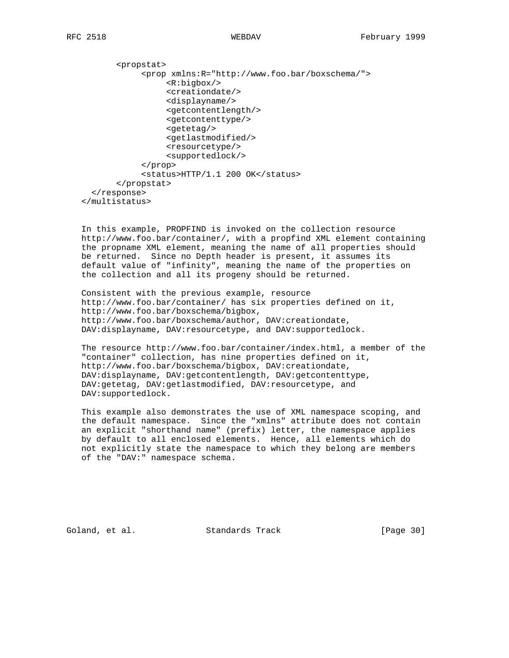<propstat> <prop xmlns:R="http://www.foo.bar/boxschema/"> <R:bigbox/> <creationdate/> <displayname/> <getcontentlength/> <getcontenttype/> <getetag/> <getlastmodified/> <resourcetype/> <supportedlock/> </prop> <status>HTTP/1.1 200 OK</status> </propstat> </response> </multistatus>

 In this example, PROPFIND is invoked on the collection resource http://www.foo.bar/container/, with a propfind XML element containing the propname XML element, meaning the name of all properties should be returned. Since no Depth header is present, it assumes its default value of "infinity", meaning the name of the properties on the collection and all its progeny should be returned.

 Consistent with the previous example, resource http://www.foo.bar/container/ has six properties defined on it, http://www.foo.bar/boxschema/bigbox, http://www.foo.bar/boxschema/author, DAV:creationdate, DAV:displayname, DAV:resourcetype, and DAV:supportedlock.

 The resource http://www.foo.bar/container/index.html, a member of the "container" collection, has nine properties defined on it, http://www.foo.bar/boxschema/bigbox, DAV:creationdate, DAV:displayname, DAV:getcontentlength, DAV:getcontenttype, DAV:getetag, DAV:getlastmodified, DAV:resourcetype, and DAV:supportedlock.

 This example also demonstrates the use of XML namespace scoping, and the default namespace. Since the "xmlns" attribute does not contain an explicit "shorthand name" (prefix) letter, the namespace applies by default to all enclosed elements. Hence, all elements which do not explicitly state the namespace to which they belong are members of the "DAV:" namespace schema.

Goland, et al. Standards Track [Page 30]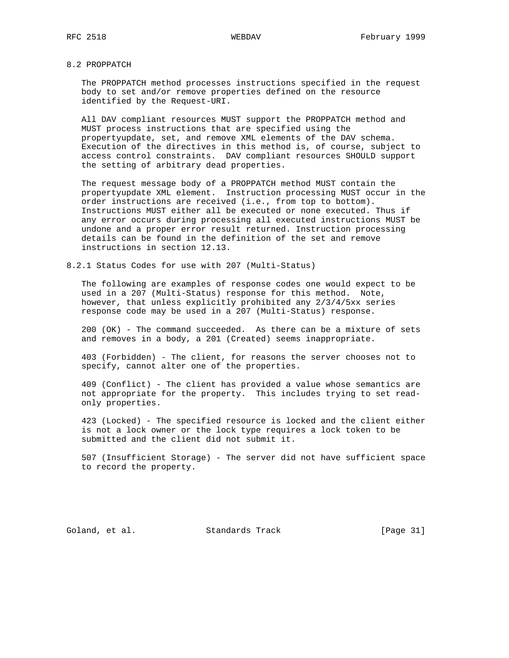# 8.2 PROPPATCH

 The PROPPATCH method processes instructions specified in the request body to set and/or remove properties defined on the resource identified by the Request-URI.

 All DAV compliant resources MUST support the PROPPATCH method and MUST process instructions that are specified using the propertyupdate, set, and remove XML elements of the DAV schema. Execution of the directives in this method is, of course, subject to access control constraints. DAV compliant resources SHOULD support the setting of arbitrary dead properties.

 The request message body of a PROPPATCH method MUST contain the propertyupdate XML element. Instruction processing MUST occur in the order instructions are received (i.e., from top to bottom). Instructions MUST either all be executed or none executed. Thus if any error occurs during processing all executed instructions MUST be undone and a proper error result returned. Instruction processing details can be found in the definition of the set and remove instructions in section 12.13.

8.2.1 Status Codes for use with 207 (Multi-Status)

 The following are examples of response codes one would expect to be used in a 207 (Multi-Status) response for this method. Note, however, that unless explicitly prohibited any 2/3/4/5xx series response code may be used in a 207 (Multi-Status) response.

 200 (OK) - The command succeeded. As there can be a mixture of sets and removes in a body, a 201 (Created) seems inappropriate.

 403 (Forbidden) - The client, for reasons the server chooses not to specify, cannot alter one of the properties.

 409 (Conflict) - The client has provided a value whose semantics are not appropriate for the property. This includes trying to set read only properties.

 423 (Locked) - The specified resource is locked and the client either is not a lock owner or the lock type requires a lock token to be submitted and the client did not submit it.

 507 (Insufficient Storage) - The server did not have sufficient space to record the property.

Goland, et al. Standards Track [Page 31]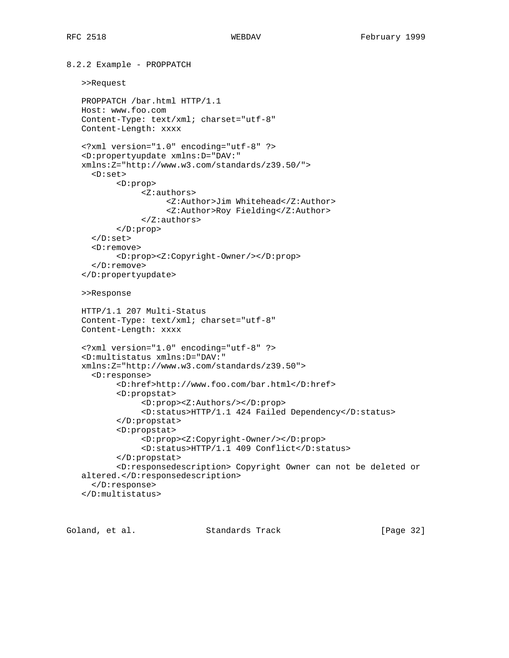```
8.2.2 Example - PROPPATCH
    >>Request
    PROPPATCH /bar.html HTTP/1.1
   Host: www.foo.com
   Content-Type: text/xml; charset="utf-8"
    Content-Length: xxxx
    <?xml version="1.0" encoding="utf-8" ?>
    <D:propertyupdate xmlns:D="DAV:"
   xmlns:Z="http://www.w3.com/standards/z39.50/">
      <D:set>
           <D:prop>
                <Z:authors>
                      <Z:Author>Jim Whitehead</Z:Author>
                      <Z:Author>Roy Fielding</Z:Author>
                </Z:authors>
           </D:prop>
      </D:set>
      <D:remove>
           <D:prop><Z:Copyright-Owner/></D:prop>
      </D:remove>
    </D:propertyupdate>
    >>Response
   HTTP/1.1 207 Multi-Status
    Content-Type: text/xml; charset="utf-8"
   Content-Length: xxxx
    <?xml version="1.0" encoding="utf-8" ?>
    <D:multistatus xmlns:D="DAV:"
   xmlns:Z="http://www.w3.com/standards/z39.50">
      <D:response>
           <D:href>http://www.foo.com/bar.html</D:href>
           <D:propstat>
                <D:prop><Z:Authors/></D:prop>
                <D:status>HTTP/1.1 424 Failed Dependency</D:status>
           </D:propstat>
           <D:propstat>
                <D:prop><Z:Copyright-Owner/></D:prop>
                <D:status>HTTP/1.1 409 Conflict</D:status>
           </D:propstat>
           <D:responsedescription> Copyright Owner can not be deleted or
    altered.</D:responsedescription>
      </D:response>
    </D:multistatus>
```
Goland, et al. Standards Track [Page 32]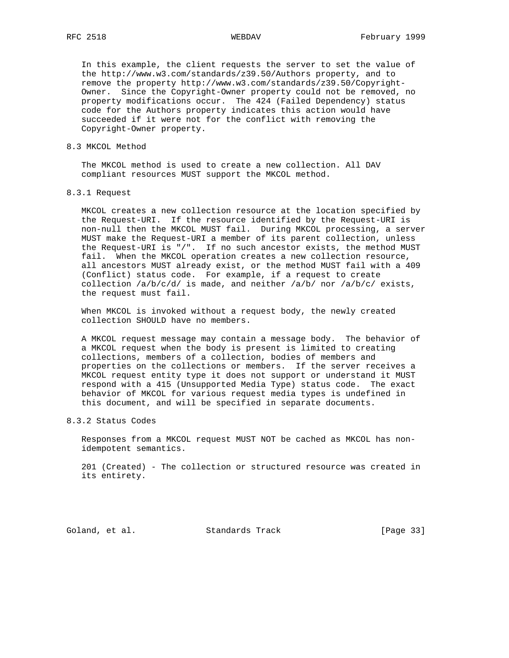In this example, the client requests the server to set the value of the http://www.w3.com/standards/z39.50/Authors property, and to remove the property http://www.w3.com/standards/z39.50/Copyright- Owner. Since the Copyright-Owner property could not be removed, no property modifications occur. The 424 (Failed Dependency) status code for the Authors property indicates this action would have succeeded if it were not for the conflict with removing the Copyright-Owner property.

### 8.3 MKCOL Method

 The MKCOL method is used to create a new collection. All DAV compliant resources MUST support the MKCOL method.

### 8.3.1 Request

 MKCOL creates a new collection resource at the location specified by the Request-URI. If the resource identified by the Request-URI is non-null then the MKCOL MUST fail. During MKCOL processing, a server MUST make the Request-URI a member of its parent collection, unless the Request-URI is "/". If no such ancestor exists, the method MUST fail. When the MKCOL operation creates a new collection resource, all ancestors MUST already exist, or the method MUST fail with a 409 (Conflict) status code. For example, if a request to create collection  $/a/b/c/d$  is made, and neither  $/a/b/$  nor  $/a/b/c/$  exists, the request must fail.

 When MKCOL is invoked without a request body, the newly created collection SHOULD have no members.

 A MKCOL request message may contain a message body. The behavior of a MKCOL request when the body is present is limited to creating collections, members of a collection, bodies of members and properties on the collections or members. If the server receives a MKCOL request entity type it does not support or understand it MUST respond with a 415 (Unsupported Media Type) status code. The exact behavior of MKCOL for various request media types is undefined in this document, and will be specified in separate documents.

# 8.3.2 Status Codes

 Responses from a MKCOL request MUST NOT be cached as MKCOL has non idempotent semantics.

 201 (Created) - The collection or structured resource was created in its entirety.

Goland, et al. Standards Track [Page 33]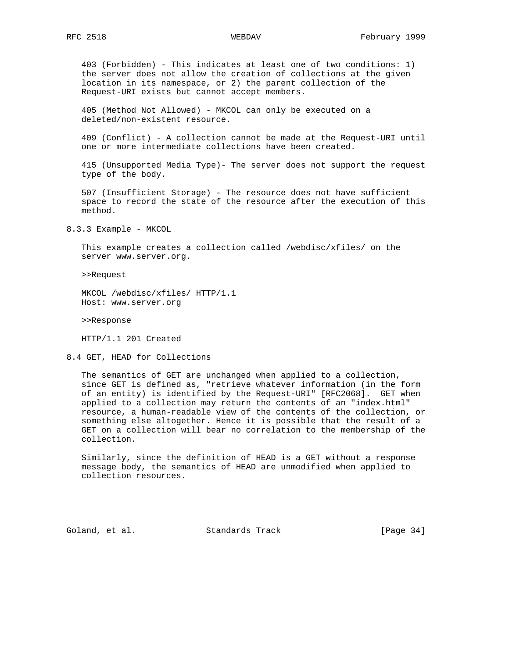403 (Forbidden) - This indicates at least one of two conditions: 1) the server does not allow the creation of collections at the given location in its namespace, or 2) the parent collection of the Request-URI exists but cannot accept members.

 405 (Method Not Allowed) - MKCOL can only be executed on a deleted/non-existent resource.

 409 (Conflict) - A collection cannot be made at the Request-URI until one or more intermediate collections have been created.

 415 (Unsupported Media Type)- The server does not support the request type of the body.

 507 (Insufficient Storage) - The resource does not have sufficient space to record the state of the resource after the execution of this method.

8.3.3 Example - MKCOL

 This example creates a collection called /webdisc/xfiles/ on the server www.server.org.

>>Request

 MKCOL /webdisc/xfiles/ HTTP/1.1 Host: www.server.org

>>Response

HTTP/1.1 201 Created

8.4 GET, HEAD for Collections

 The semantics of GET are unchanged when applied to a collection, since GET is defined as, "retrieve whatever information (in the form of an entity) is identified by the Request-URI" [RFC2068]. GET when applied to a collection may return the contents of an "index.html" resource, a human-readable view of the contents of the collection, or something else altogether. Hence it is possible that the result of a GET on a collection will bear no correlation to the membership of the collection.

 Similarly, since the definition of HEAD is a GET without a response message body, the semantics of HEAD are unmodified when applied to collection resources.

Goland, et al. Standards Track [Page 34]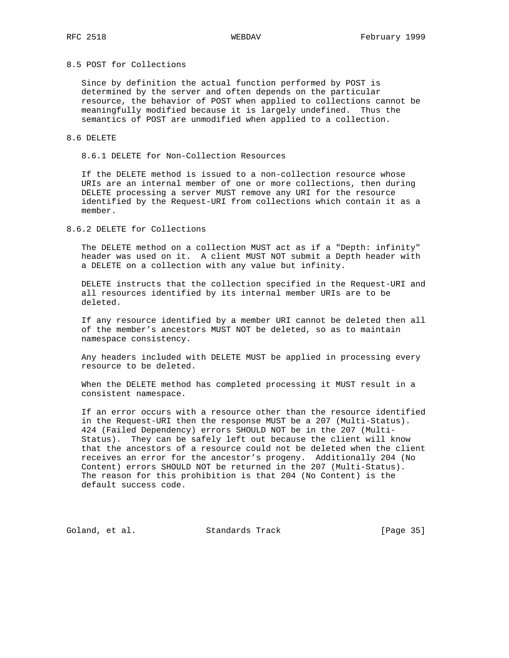# 8.5 POST for Collections

 Since by definition the actual function performed by POST is determined by the server and often depends on the particular resource, the behavior of POST when applied to collections cannot be meaningfully modified because it is largely undefined. Thus the semantics of POST are unmodified when applied to a collection.

### 8.6 DELETE

8.6.1 DELETE for Non-Collection Resources

 If the DELETE method is issued to a non-collection resource whose URIs are an internal member of one or more collections, then during DELETE processing a server MUST remove any URI for the resource identified by the Request-URI from collections which contain it as a member.

## 8.6.2 DELETE for Collections

 The DELETE method on a collection MUST act as if a "Depth: infinity" header was used on it. A client MUST NOT submit a Depth header with a DELETE on a collection with any value but infinity.

 DELETE instructs that the collection specified in the Request-URI and all resources identified by its internal member URIs are to be deleted.

 If any resource identified by a member URI cannot be deleted then all of the member's ancestors MUST NOT be deleted, so as to maintain namespace consistency.

 Any headers included with DELETE MUST be applied in processing every resource to be deleted.

 When the DELETE method has completed processing it MUST result in a consistent namespace.

 If an error occurs with a resource other than the resource identified in the Request-URI then the response MUST be a 207 (Multi-Status). 424 (Failed Dependency) errors SHOULD NOT be in the 207 (Multi- Status). They can be safely left out because the client will know that the ancestors of a resource could not be deleted when the client receives an error for the ancestor's progeny. Additionally 204 (No Content) errors SHOULD NOT be returned in the 207 (Multi-Status). The reason for this prohibition is that 204 (No Content) is the default success code.

Goland, et al. Standards Track [Page 35]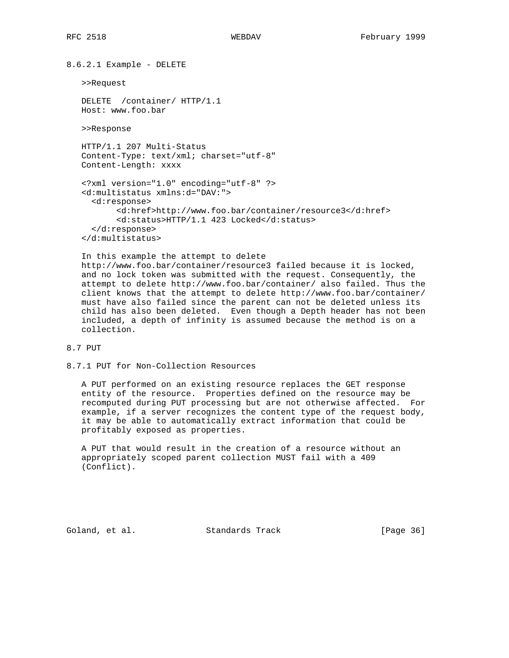8.6.2.1 Example - DELETE

>>Request

 DELETE /container/ HTTP/1.1 Host: www.foo.bar

>>Response

 HTTP/1.1 207 Multi-Status Content-Type: text/xml; charset="utf-8" Content-Length: xxxx

```
 <?xml version="1.0" encoding="utf-8" ?>
 <d:multistatus xmlns:d="DAV:">
   <d:response>
        <d:href>http://www.foo.bar/container/resource3</d:href>
        <d:status>HTTP/1.1 423 Locked</d:status>
   </d:response>
 </d:multistatus>
```
 In this example the attempt to delete http://www.foo.bar/container/resource3 failed because it is locked, and no lock token was submitted with the request. Consequently, the attempt to delete http://www.foo.bar/container/ also failed. Thus the client knows that the attempt to delete http://www.foo.bar/container/ must have also failed since the parent can not be deleted unless its child has also been deleted. Even though a Depth header has not been included, a depth of infinity is assumed because the method is on a collection.

8.7 PUT

```
8.7.1 PUT for Non-Collection Resources
```
 A PUT performed on an existing resource replaces the GET response entity of the resource. Properties defined on the resource may be recomputed during PUT processing but are not otherwise affected. For example, if a server recognizes the content type of the request body, it may be able to automatically extract information that could be profitably exposed as properties.

 A PUT that would result in the creation of a resource without an appropriately scoped parent collection MUST fail with a 409 (Conflict).

Goland, et al. Standards Track [Page 36]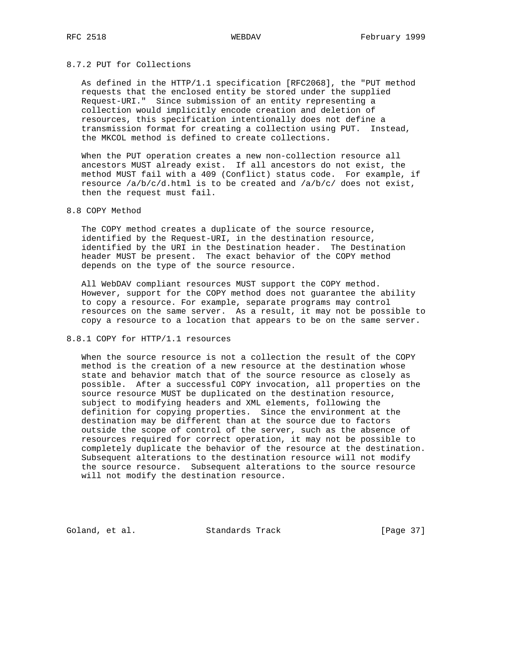# 8.7.2 PUT for Collections

 As defined in the HTTP/1.1 specification [RFC2068], the "PUT method requests that the enclosed entity be stored under the supplied Request-URI." Since submission of an entity representing a collection would implicitly encode creation and deletion of resources, this specification intentionally does not define a transmission format for creating a collection using PUT. Instead, the MKCOL method is defined to create collections.

 When the PUT operation creates a new non-collection resource all ancestors MUST already exist. If all ancestors do not exist, the method MUST fail with a 409 (Conflict) status code. For example, if resource  $/a/b/c/d.html$  is to be created and  $/a/b/c/d$  does not exist, then the request must fail.

## 8.8 COPY Method

 The COPY method creates a duplicate of the source resource, identified by the Request-URI, in the destination resource, identified by the URI in the Destination header. The Destination header MUST be present. The exact behavior of the COPY method depends on the type of the source resource.

 All WebDAV compliant resources MUST support the COPY method. However, support for the COPY method does not guarantee the ability to copy a resource. For example, separate programs may control resources on the same server. As a result, it may not be possible to copy a resource to a location that appears to be on the same server.

# 8.8.1 COPY for HTTP/1.1 resources

 When the source resource is not a collection the result of the COPY method is the creation of a new resource at the destination whose state and behavior match that of the source resource as closely as possible. After a successful COPY invocation, all properties on the source resource MUST be duplicated on the destination resource, subject to modifying headers and XML elements, following the definition for copying properties. Since the environment at the destination may be different than at the source due to factors outside the scope of control of the server, such as the absence of resources required for correct operation, it may not be possible to completely duplicate the behavior of the resource at the destination. Subsequent alterations to the destination resource will not modify the source resource. Subsequent alterations to the source resource will not modify the destination resource.

Goland, et al. Standards Track [Page 37]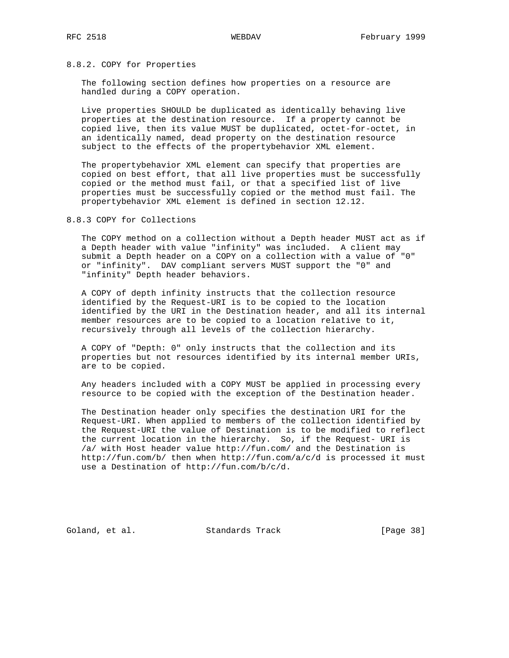## 8.8.2. COPY for Properties

 The following section defines how properties on a resource are handled during a COPY operation.

 Live properties SHOULD be duplicated as identically behaving live properties at the destination resource. If a property cannot be copied live, then its value MUST be duplicated, octet-for-octet, in an identically named, dead property on the destination resource subject to the effects of the propertybehavior XML element.

 The propertybehavior XML element can specify that properties are copied on best effort, that all live properties must be successfully copied or the method must fail, or that a specified list of live properties must be successfully copied or the method must fail. The propertybehavior XML element is defined in section 12.12.

## 8.8.3 COPY for Collections

 The COPY method on a collection without a Depth header MUST act as if a Depth header with value "infinity" was included. A client may submit a Depth header on a COPY on a collection with a value of "0" or "infinity". DAV compliant servers MUST support the "0" and "infinity" Depth header behaviors.

 A COPY of depth infinity instructs that the collection resource identified by the Request-URI is to be copied to the location identified by the URI in the Destination header, and all its internal member resources are to be copied to a location relative to it, recursively through all levels of the collection hierarchy.

 A COPY of "Depth: 0" only instructs that the collection and its properties but not resources identified by its internal member URIs, are to be copied.

 Any headers included with a COPY MUST be applied in processing every resource to be copied with the exception of the Destination header.

 The Destination header only specifies the destination URI for the Request-URI. When applied to members of the collection identified by the Request-URI the value of Destination is to be modified to reflect the current location in the hierarchy. So, if the Request- URI is /a/ with Host header value http://fun.com/ and the Destination is http://fun.com/b/ then when http://fun.com/a/c/d is processed it must use a Destination of http://fun.com/b/c/d.

Goland, et al. Standards Track [Page 38]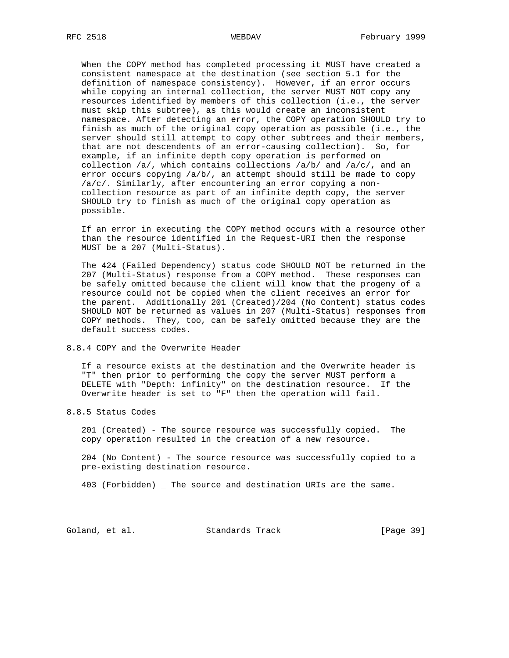When the COPY method has completed processing it MUST have created a consistent namespace at the destination (see section 5.1 for the definition of namespace consistency). However, if an error occurs while copying an internal collection, the server MUST NOT copy any resources identified by members of this collection (i.e., the server must skip this subtree), as this would create an inconsistent namespace. After detecting an error, the COPY operation SHOULD try to finish as much of the original copy operation as possible (i.e., the server should still attempt to copy other subtrees and their members, that are not descendents of an error-causing collection). So, for example, if an infinite depth copy operation is performed on collection  $/a/$ , which contains collections  $/a/b/$  and  $/a/c/$ , and an error occurs copying /a/b/, an attempt should still be made to copy /a/c/. Similarly, after encountering an error copying a non collection resource as part of an infinite depth copy, the server SHOULD try to finish as much of the original copy operation as possible.

 If an error in executing the COPY method occurs with a resource other than the resource identified in the Request-URI then the response MUST be a 207 (Multi-Status).

 The 424 (Failed Dependency) status code SHOULD NOT be returned in the 207 (Multi-Status) response from a COPY method. These responses can be safely omitted because the client will know that the progeny of a resource could not be copied when the client receives an error for the parent. Additionally 201 (Created)/204 (No Content) status codes SHOULD NOT be returned as values in 207 (Multi-Status) responses from COPY methods. They, too, can be safely omitted because they are the default success codes.

8.8.4 COPY and the Overwrite Header

 If a resource exists at the destination and the Overwrite header is "T" then prior to performing the copy the server MUST perform a DELETE with "Depth: infinity" on the destination resource. If the Overwrite header is set to "F" then the operation will fail.

8.8.5 Status Codes

 201 (Created) - The source resource was successfully copied. The copy operation resulted in the creation of a new resource.

 204 (No Content) - The source resource was successfully copied to a pre-existing destination resource.

403 (Forbidden) \_ The source and destination URIs are the same.

Goland, et al. Standards Track [Page 39]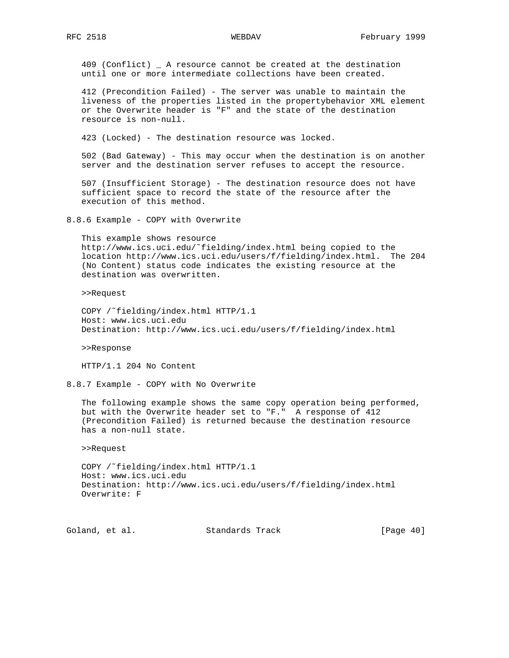409 (Conflict) \_ A resource cannot be created at the destination until one or more intermediate collections have been created.

 412 (Precondition Failed) - The server was unable to maintain the liveness of the properties listed in the propertybehavior XML element or the Overwrite header is "F" and the state of the destination resource is non-null.

423 (Locked) - The destination resource was locked.

 502 (Bad Gateway) - This may occur when the destination is on another server and the destination server refuses to accept the resource.

 507 (Insufficient Storage) - The destination resource does not have sufficient space to record the state of the resource after the execution of this method.

8.8.6 Example - COPY with Overwrite

 This example shows resource http://www.ics.uci.edu/˜fielding/index.html being copied to the location http://www.ics.uci.edu/users/f/fielding/index.html. The 204 (No Content) status code indicates the existing resource at the destination was overwritten.

>>Request

 COPY /˜fielding/index.html HTTP/1.1 Host: www.ics.uci.edu Destination: http://www.ics.uci.edu/users/f/fielding/index.html

>>Response

HTTP/1.1 204 No Content

8.8.7 Example - COPY with No Overwrite

 The following example shows the same copy operation being performed, but with the Overwrite header set to "F." A response of 412 (Precondition Failed) is returned because the destination resource has a non-null state.

>>Request

 COPY /˜fielding/index.html HTTP/1.1 Host: www.ics.uci.edu Destination: http://www.ics.uci.edu/users/f/fielding/index.html Overwrite: F

Goland, et al. Standards Track [Page 40]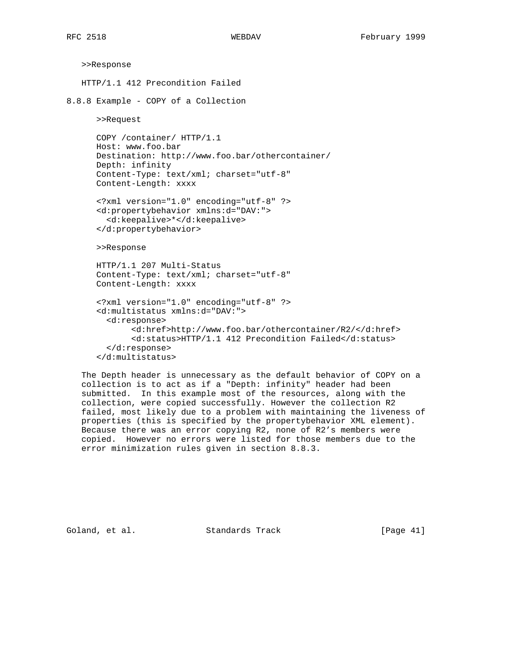```
 >>Response
   HTTP/1.1 412 Precondition Failed
8.8.8 Example - COPY of a Collection
       >>Request
       COPY /container/ HTTP/1.1
       Host: www.foo.bar
       Destination: http://www.foo.bar/othercontainer/
       Depth: infinity
       Content-Type: text/xml; charset="utf-8"
       Content-Length: xxxx
       <?xml version="1.0" encoding="utf-8" ?>
       <d:propertybehavior xmlns:d="DAV:">
         <d:keepalive>*</d:keepalive>
       </d:propertybehavior>
       >>Response
       HTTP/1.1 207 Multi-Status
       Content-Type: text/xml; charset="utf-8"
       Content-Length: xxxx
       <?xml version="1.0" encoding="utf-8" ?>
       <d:multistatus xmlns:d="DAV:">
         <d:response>
              <d:href>http://www.foo.bar/othercontainer/R2/</d:href>
              <d:status>HTTP/1.1 412 Precondition Failed</d:status>
         </d:response>
       </d:multistatus>
```
 The Depth header is unnecessary as the default behavior of COPY on a collection is to act as if a "Depth: infinity" header had been submitted. In this example most of the resources, along with the collection, were copied successfully. However the collection R2 failed, most likely due to a problem with maintaining the liveness of properties (this is specified by the propertybehavior XML element). Because there was an error copying R2, none of R2's members were copied. However no errors were listed for those members due to the error minimization rules given in section 8.8.3.

Goland, et al. Standards Track [Page 41]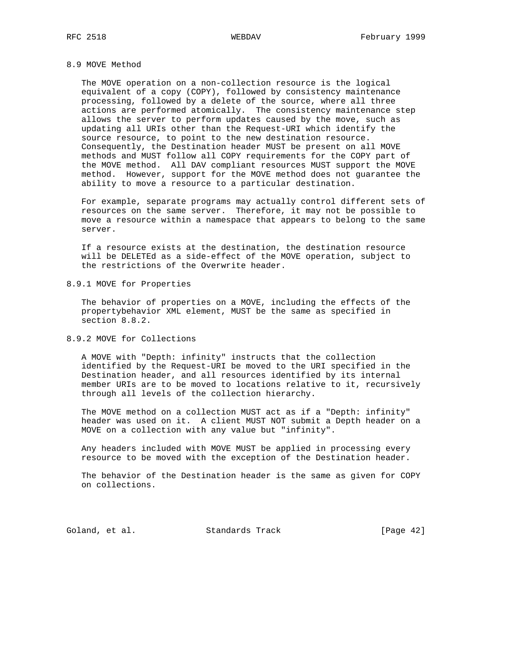# 8.9 MOVE Method

 The MOVE operation on a non-collection resource is the logical equivalent of a copy (COPY), followed by consistency maintenance processing, followed by a delete of the source, where all three actions are performed atomically. The consistency maintenance step allows the server to perform updates caused by the move, such as updating all URIs other than the Request-URI which identify the source resource, to point to the new destination resource. Consequently, the Destination header MUST be present on all MOVE methods and MUST follow all COPY requirements for the COPY part of the MOVE method. All DAV compliant resources MUST support the MOVE method. However, support for the MOVE method does not guarantee the ability to move a resource to a particular destination.

 For example, separate programs may actually control different sets of resources on the same server. Therefore, it may not be possible to move a resource within a namespace that appears to belong to the same server.

 If a resource exists at the destination, the destination resource will be DELETEd as a side-effect of the MOVE operation, subject to the restrictions of the Overwrite header.

8.9.1 MOVE for Properties

 The behavior of properties on a MOVE, including the effects of the propertybehavior XML element, MUST be the same as specified in section 8.8.2.

8.9.2 MOVE for Collections

 A MOVE with "Depth: infinity" instructs that the collection identified by the Request-URI be moved to the URI specified in the Destination header, and all resources identified by its internal member URIs are to be moved to locations relative to it, recursively through all levels of the collection hierarchy.

 The MOVE method on a collection MUST act as if a "Depth: infinity" header was used on it. A client MUST NOT submit a Depth header on a MOVE on a collection with any value but "infinity".

 Any headers included with MOVE MUST be applied in processing every resource to be moved with the exception of the Destination header.

 The behavior of the Destination header is the same as given for COPY on collections.

Goland, et al. Standards Track [Page 42]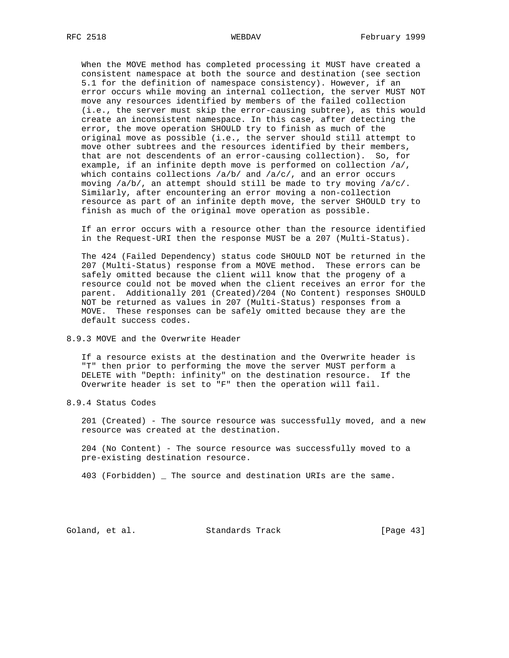When the MOVE method has completed processing it MUST have created a consistent namespace at both the source and destination (see section 5.1 for the definition of namespace consistency). However, if an error occurs while moving an internal collection, the server MUST NOT move any resources identified by members of the failed collection (i.e., the server must skip the error-causing subtree), as this would create an inconsistent namespace. In this case, after detecting the error, the move operation SHOULD try to finish as much of the original move as possible (i.e., the server should still attempt to move other subtrees and the resources identified by their members, that are not descendents of an error-causing collection). So, for example, if an infinite depth move is performed on collection /a/, which contains collections  $/a/b/$  and  $/a/c/$ , and an error occurs moving /a/b/, an attempt should still be made to try moving /a/c/. Similarly, after encountering an error moving a non-collection resource as part of an infinite depth move, the server SHOULD try to finish as much of the original move operation as possible.

 If an error occurs with a resource other than the resource identified in the Request-URI then the response MUST be a 207 (Multi-Status).

 The 424 (Failed Dependency) status code SHOULD NOT be returned in the 207 (Multi-Status) response from a MOVE method. These errors can be safely omitted because the client will know that the progeny of a resource could not be moved when the client receives an error for the parent. Additionally 201 (Created)/204 (No Content) responses SHOULD NOT be returned as values in 207 (Multi-Status) responses from a MOVE. These responses can be safely omitted because they are the default success codes.

# 8.9.3 MOVE and the Overwrite Header

 If a resource exists at the destination and the Overwrite header is "T" then prior to performing the move the server MUST perform a DELETE with "Depth: infinity" on the destination resource. If the Overwrite header is set to "F" then the operation will fail.

8.9.4 Status Codes

 201 (Created) - The source resource was successfully moved, and a new resource was created at the destination.

 204 (No Content) - The source resource was successfully moved to a pre-existing destination resource.

403 (Forbidden) \_ The source and destination URIs are the same.

Goland, et al. Standards Track [Page 43]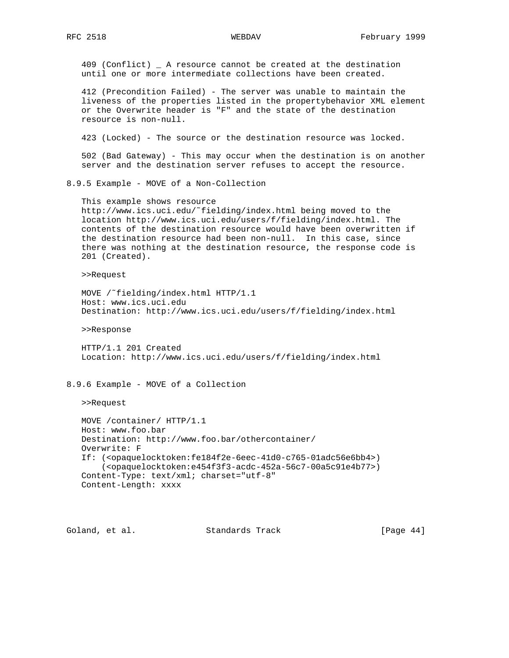409 (Conflict) \_ A resource cannot be created at the destination until one or more intermediate collections have been created.

 412 (Precondition Failed) - The server was unable to maintain the liveness of the properties listed in the propertybehavior XML element or the Overwrite header is "F" and the state of the destination resource is non-null.

423 (Locked) - The source or the destination resource was locked.

 502 (Bad Gateway) - This may occur when the destination is on another server and the destination server refuses to accept the resource.

8.9.5 Example - MOVE of a Non-Collection

 This example shows resource http://www.ics.uci.edu/˜fielding/index.html being moved to the location http://www.ics.uci.edu/users/f/fielding/index.html. The contents of the destination resource would have been overwritten if the destination resource had been non-null. In this case, since there was nothing at the destination resource, the response code is 201 (Created).

>>Request

 MOVE /˜fielding/index.html HTTP/1.1 Host: www.ics.uci.edu Destination: http://www.ics.uci.edu/users/f/fielding/index.html

>>Response

 HTTP/1.1 201 Created Location: http://www.ics.uci.edu/users/f/fielding/index.html

8.9.6 Example - MOVE of a Collection

>>Request

 MOVE /container/ HTTP/1.1 Host: www.foo.bar Destination: http://www.foo.bar/othercontainer/ Overwrite: F If: (<opaquelocktoken:fe184f2e-6eec-41d0-c765-01adc56e6bb4>) (<opaquelocktoken:e454f3f3-acdc-452a-56c7-00a5c91e4b77>) Content-Type: text/xml; charset="utf-8" Content-Length: xxxx

Goland, et al. Standards Track [Page 44]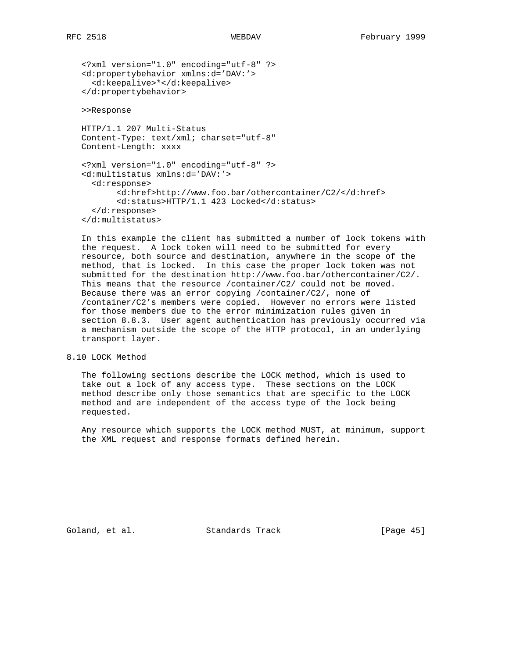<?xml version="1.0" encoding="utf-8" ?> <d:propertybehavior xmlns:d='DAV:'> <d:keepalive>\*</d:keepalive> </d:propertybehavior>

>>Response

 HTTP/1.1 207 Multi-Status Content-Type: text/xml; charset="utf-8" Content-Length: xxxx

 <?xml version="1.0" encoding="utf-8" ?> <d:multistatus xmlns:d='DAV:'> <d:response> <d:href>http://www.foo.bar/othercontainer/C2/</d:href> <d:status>HTTP/1.1 423 Locked</d:status> </d:response> </d:multistatus>

 In this example the client has submitted a number of lock tokens with the request. A lock token will need to be submitted for every resource, both source and destination, anywhere in the scope of the method, that is locked. In this case the proper lock token was not submitted for the destination http://www.foo.bar/othercontainer/C2/. This means that the resource /container/C2/ could not be moved. Because there was an error copying /container/C2/, none of /container/C2's members were copied. However no errors were listed for those members due to the error minimization rules given in section 8.8.3. User agent authentication has previously occurred via a mechanism outside the scope of the HTTP protocol, in an underlying transport layer.

# 8.10 LOCK Method

 The following sections describe the LOCK method, which is used to take out a lock of any access type. These sections on the LOCK method describe only those semantics that are specific to the LOCK method and are independent of the access type of the lock being requested.

 Any resource which supports the LOCK method MUST, at minimum, support the XML request and response formats defined herein.

Goland, et al. Standards Track [Page 45]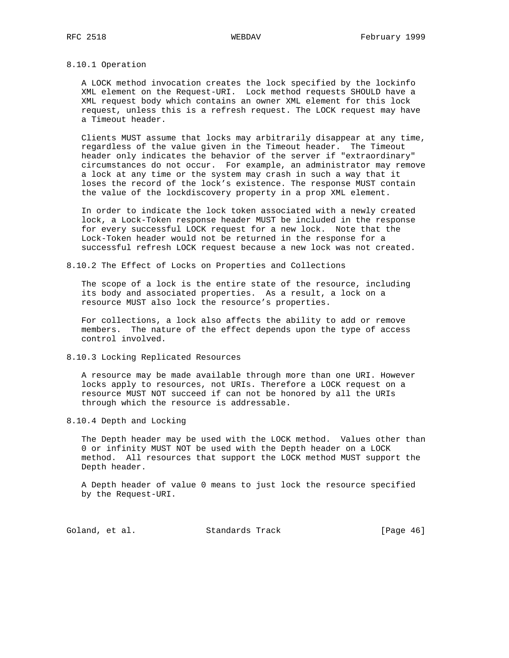## 8.10.1 Operation

 A LOCK method invocation creates the lock specified by the lockinfo XML element on the Request-URI. Lock method requests SHOULD have a XML request body which contains an owner XML element for this lock request, unless this is a refresh request. The LOCK request may have a Timeout header.

 Clients MUST assume that locks may arbitrarily disappear at any time, regardless of the value given in the Timeout header. The Timeout header only indicates the behavior of the server if "extraordinary" circumstances do not occur. For example, an administrator may remove a lock at any time or the system may crash in such a way that it loses the record of the lock's existence. The response MUST contain the value of the lockdiscovery property in a prop XML element.

 In order to indicate the lock token associated with a newly created lock, a Lock-Token response header MUST be included in the response for every successful LOCK request for a new lock. Note that the Lock-Token header would not be returned in the response for a successful refresh LOCK request because a new lock was not created.

8.10.2 The Effect of Locks on Properties and Collections

 The scope of a lock is the entire state of the resource, including its body and associated properties. As a result, a lock on a resource MUST also lock the resource's properties.

 For collections, a lock also affects the ability to add or remove members. The nature of the effect depends upon the type of access control involved.

8.10.3 Locking Replicated Resources

 A resource may be made available through more than one URI. However locks apply to resources, not URIs. Therefore a LOCK request on a resource MUST NOT succeed if can not be honored by all the URIs through which the resource is addressable.

8.10.4 Depth and Locking

 The Depth header may be used with the LOCK method. Values other than 0 or infinity MUST NOT be used with the Depth header on a LOCK method. All resources that support the LOCK method MUST support the Depth header.

 A Depth header of value 0 means to just lock the resource specified by the Request-URI.

Goland, et al. Standards Track [Page 46]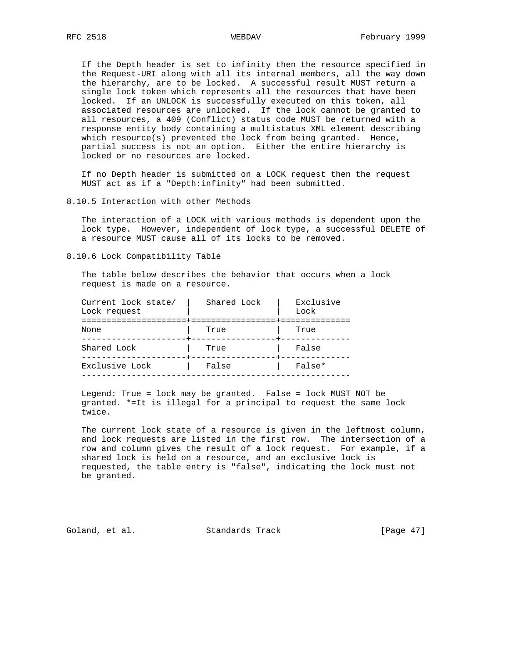If the Depth header is set to infinity then the resource specified in the Request-URI along with all its internal members, all the way down the hierarchy, are to be locked. A successful result MUST return a single lock token which represents all the resources that have been locked. If an UNLOCK is successfully executed on this token, all associated resources are unlocked. If the lock cannot be granted to all resources, a 409 (Conflict) status code MUST be returned with a response entity body containing a multistatus XML element describing which resource(s) prevented the lock from being granted. Hence, partial success is not an option. Either the entire hierarchy is locked or no resources are locked.

 If no Depth header is submitted on a LOCK request then the request MUST act as if a "Depth:infinity" had been submitted.

### 8.10.5 Interaction with other Methods

 The interaction of a LOCK with various methods is dependent upon the lock type. However, independent of lock type, a successful DELETE of a resource MUST cause all of its locks to be removed.

# 8.10.6 Lock Compatibility Table

 The table below describes the behavior that occurs when a lock request is made on a resource.

| Current lock state/<br>Lock request | Shared Lock      | Exclusive<br>Lock |
|-------------------------------------|------------------|-------------------|
| None                                | --------<br>True | True              |
| Shared Lock                         | True             | False             |
| Exclusive Lock                      | False            | False*            |
|                                     |                  |                   |

 Legend: True = lock may be granted. False = lock MUST NOT be granted. \*=It is illegal for a principal to request the same lock twice.

 The current lock state of a resource is given in the leftmost column, and lock requests are listed in the first row. The intersection of a row and column gives the result of a lock request. For example, if a shared lock is held on a resource, and an exclusive lock is requested, the table entry is "false", indicating the lock must not be granted.

Goland, et al. Standards Track [Page 47]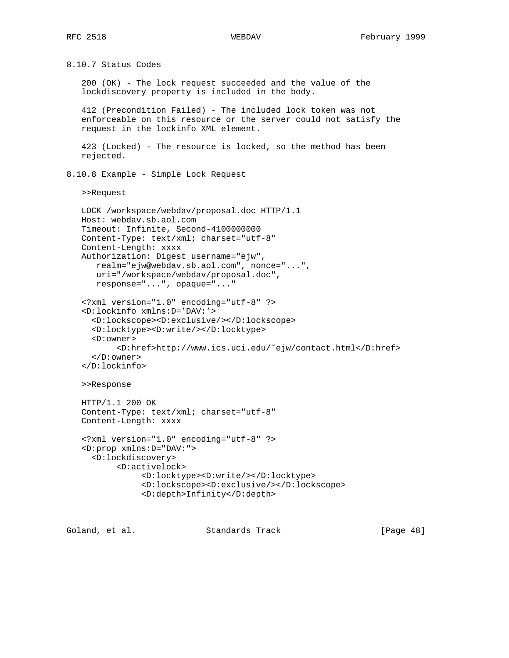8.10.7 Status Codes 200 (OK) - The lock request succeeded and the value of the lockdiscovery property is included in the body. 412 (Precondition Failed) - The included lock token was not enforceable on this resource or the server could not satisfy the request in the lockinfo XML element. 423 (Locked) - The resource is locked, so the method has been rejected. 8.10.8 Example - Simple Lock Request >>Request LOCK /workspace/webdav/proposal.doc HTTP/1.1 Host: webdav.sb.aol.com Timeout: Infinite, Second-4100000000 Content-Type: text/xml; charset="utf-8" Content-Length: xxxx Authorization: Digest username="ejw", realm="ejw@webdav.sb.aol.com", nonce="...", uri="/workspace/webdav/proposal.doc", response="...", opaque="..." <?xml version="1.0" encoding="utf-8" ?> <D:lockinfo xmlns:D='DAV:'> <D:lockscope><D:exclusive/></D:lockscope> <D:locktype><D:write/></D:locktype> <D:owner> <D:href>http://www.ics.uci.edu/˜ejw/contact.html</D:href> </D:owner> </D:lockinfo> >>Response HTTP/1.1 200 OK Content-Type: text/xml; charset="utf-8" Content-Length: xxxx <?xml version="1.0" encoding="utf-8" ?> <D:prop xmlns:D="DAV:"> <D:lockdiscovery> <D:activelock> <D:locktype><D:write/></D:locktype> <D:lockscope><D:exclusive/></D:lockscope> <D:depth>Infinity</D:depth>

Goland, et al. Standards Track [Page 48]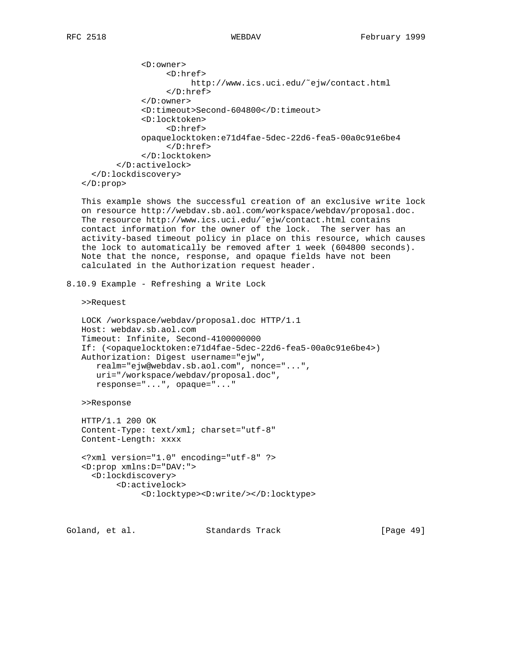```
 <D:owner>
                   <D:href>
                        http://www.ics.uci.edu/˜ejw/contact.html
                   </D:href>
              </D:owner>
              <D:timeout>Second-604800</D:timeout>
              <D:locktoken>
                   <D:href>
             opaquelocktoken:e71d4fae-5dec-22d6-fea5-00a0c91e6be4
                   </D:href>
              </D:locktoken>
        </D:activelock>
   </D:lockdiscovery>
 </D:prop>
```
 This example shows the successful creation of an exclusive write lock on resource http://webdav.sb.aol.com/workspace/webdav/proposal.doc. The resource http://www.ics.uci.edu/˜ejw/contact.html contains contact information for the owner of the lock. The server has an activity-based timeout policy in place on this resource, which causes the lock to automatically be removed after 1 week (604800 seconds). Note that the nonce, response, and opaque fields have not been calculated in the Authorization request header.

8.10.9 Example - Refreshing a Write Lock

>>Request

```
 LOCK /workspace/webdav/proposal.doc HTTP/1.1
 Host: webdav.sb.aol.com
 Timeout: Infinite, Second-4100000000
 If: (<opaquelocktoken:e71d4fae-5dec-22d6-fea5-00a0c91e6be4>)
 Authorization: Digest username="ejw",
    realm="ejw@webdav.sb.aol.com", nonce="...",
    uri="/workspace/webdav/proposal.doc",
    response="...", opaque="..."
```
>>Response

```
 HTTP/1.1 200 OK
 Content-Type: text/xml; charset="utf-8"
 Content-Length: xxxx
```

```
 <?xml version="1.0" encoding="utf-8" ?>
 <D:prop xmlns:D="DAV:">
   <D:lockdiscovery>
        <D:activelock>
             <D:locktype><D:write/></D:locktype>
```
Goland, et al. Standards Track [Page 49]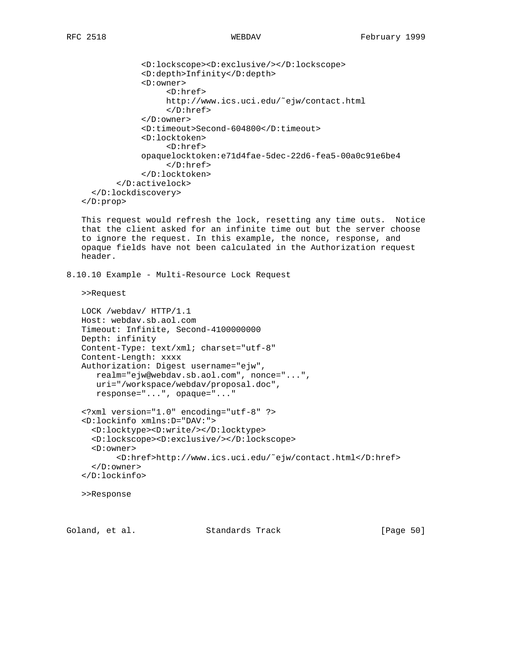```
 <D:lockscope><D:exclusive/></D:lockscope>
             <D:depth>Infinity</D:depth>
             <D:owner>
                   <D:href>
                   http://www.ics.uci.edu/˜ejw/contact.html
                   </D:href>
             </D:owner>
             <D:timeout>Second-604800</D:timeout>
             <D:locktoken>
                   <D:href>
             opaquelocktoken:e71d4fae-5dec-22d6-fea5-00a0c91e6be4
                  </D:href>
             </D:locktoken>
        </D:activelock>
   </D:lockdiscovery>
 </D:prop>
```
 This request would refresh the lock, resetting any time outs. Notice that the client asked for an infinite time out but the server choose to ignore the request. In this example, the nonce, response, and opaque fields have not been calculated in the Authorization request header.

```
8.10.10 Example - Multi-Resource Lock Request
```
>>Request

```
 LOCK /webdav/ HTTP/1.1
 Host: webdav.sb.aol.com
 Timeout: Infinite, Second-4100000000
 Depth: infinity
 Content-Type: text/xml; charset="utf-8"
 Content-Length: xxxx
 Authorization: Digest username="ejw",
    realm="ejw@webdav.sb.aol.com", nonce="...",
    uri="/workspace/webdav/proposal.doc",
    response="...", opaque="..."
 <?xml version="1.0" encoding="utf-8" ?>
 <D:lockinfo xmlns:D="DAV:">
   <D:locktype><D:write/></D:locktype>
   <D:lockscope><D:exclusive/></D:lockscope>
   <D:owner>
        <D:href>http://www.ics.uci.edu/˜ejw/contact.html</D:href>
   </D:owner>
 </D:lockinfo>
```
>>Response

Goland, et al. Standards Track [Page 50]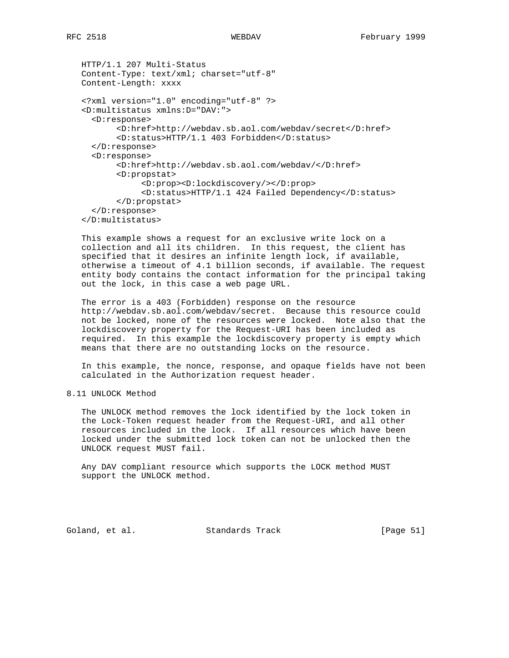```
 HTTP/1.1 207 Multi-Status
 Content-Type: text/xml; charset="utf-8"
 Content-Length: xxxx
 <?xml version="1.0" encoding="utf-8" ?>
 <D:multistatus xmlns:D="DAV:">
   <D:response>
        <D:href>http://webdav.sb.aol.com/webdav/secret</D:href>
        <D:status>HTTP/1.1 403 Forbidden</D:status>
   </D:response>
   <D:response>
        <D:href>http://webdav.sb.aol.com/webdav/</D:href>
        <D:propstat>
             <D:prop><D:lockdiscovery/></D:prop>
             <D:status>HTTP/1.1 424 Failed Dependency</D:status>
        </D:propstat>
   </D:response>
 </D:multistatus>
```
 This example shows a request for an exclusive write lock on a collection and all its children. In this request, the client has specified that it desires an infinite length lock, if available, otherwise a timeout of 4.1 billion seconds, if available. The request entity body contains the contact information for the principal taking out the lock, in this case a web page URL.

 The error is a 403 (Forbidden) response on the resource http://webdav.sb.aol.com/webdav/secret. Because this resource could not be locked, none of the resources were locked. Note also that the lockdiscovery property for the Request-URI has been included as required. In this example the lockdiscovery property is empty which means that there are no outstanding locks on the resource.

 In this example, the nonce, response, and opaque fields have not been calculated in the Authorization request header.

8.11 UNLOCK Method

 The UNLOCK method removes the lock identified by the lock token in the Lock-Token request header from the Request-URI, and all other resources included in the lock. If all resources which have been locked under the submitted lock token can not be unlocked then the UNLOCK request MUST fail.

 Any DAV compliant resource which supports the LOCK method MUST support the UNLOCK method.

Goland, et al. Standards Track [Page 51]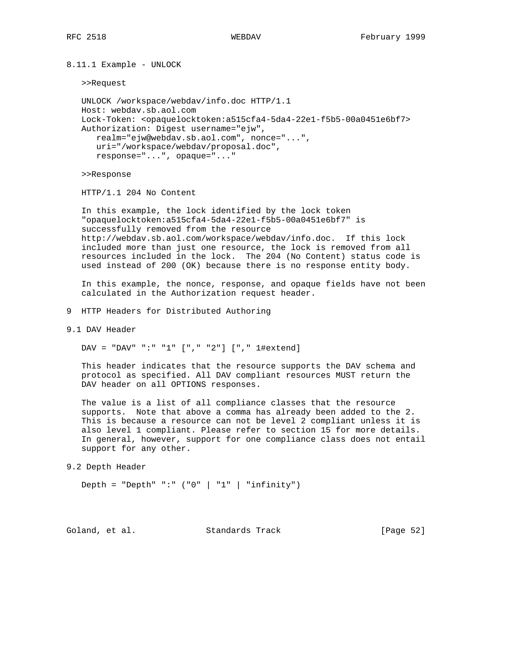8.11.1 Example - UNLOCK

>>Request

```
 UNLOCK /workspace/webdav/info.doc HTTP/1.1
 Host: webdav.sb.aol.com
 Lock-Token: <opaquelocktoken:a515cfa4-5da4-22e1-f5b5-00a0451e6bf7>
 Authorization: Digest username="ejw",
    realm="ejw@webdav.sb.aol.com", nonce="...",
   uri="/workspace/webdav/proposal.doc",
   response="...", opaque="..."
```
>>Response

HTTP/1.1 204 No Content

 In this example, the lock identified by the lock token "opaquelocktoken:a515cfa4-5da4-22e1-f5b5-00a0451e6bf7" is successfully removed from the resource http://webdav.sb.aol.com/workspace/webdav/info.doc. If this lock included more than just one resource, the lock is removed from all resources included in the lock. The 204 (No Content) status code is used instead of 200 (OK) because there is no response entity body.

 In this example, the nonce, response, and opaque fields have not been calculated in the Authorization request header.

9 HTTP Headers for Distributed Authoring

9.1 DAV Header

DAV = "DAV" ":" "1" ["," "2"] ["," 1#extend]

 This header indicates that the resource supports the DAV schema and protocol as specified. All DAV compliant resources MUST return the DAV header on all OPTIONS responses.

 The value is a list of all compliance classes that the resource supports. Note that above a comma has already been added to the 2. This is because a resource can not be level 2 compliant unless it is also level 1 compliant. Please refer to section 15 for more details. In general, however, support for one compliance class does not entail support for any other.

9.2 Depth Header

Depth = "Depth" ":"  $(0)$ " | "1" | "infinity")

Goland, et al. Standards Track [Page 52]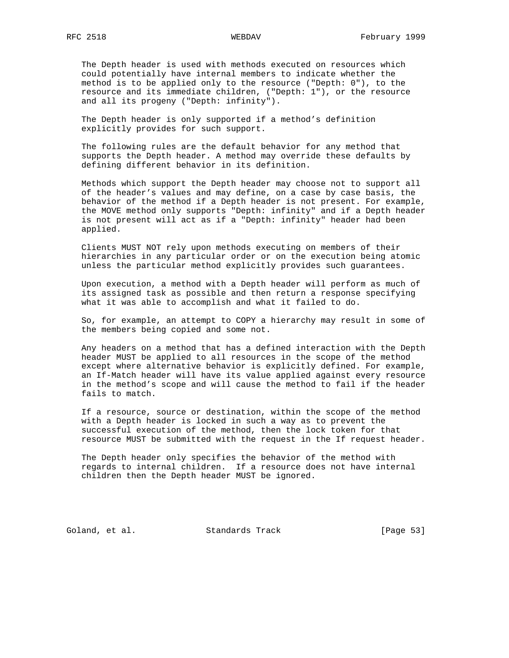The Depth header is used with methods executed on resources which could potentially have internal members to indicate whether the method is to be applied only to the resource ("Depth: 0"), to the resource and its immediate children, ("Depth: 1"), or the resource and all its progeny ("Depth: infinity").

 The Depth header is only supported if a method's definition explicitly provides for such support.

 The following rules are the default behavior for any method that supports the Depth header. A method may override these defaults by defining different behavior in its definition.

 Methods which support the Depth header may choose not to support all of the header's values and may define, on a case by case basis, the behavior of the method if a Depth header is not present. For example, the MOVE method only supports "Depth: infinity" and if a Depth header is not present will act as if a "Depth: infinity" header had been applied.

 Clients MUST NOT rely upon methods executing on members of their hierarchies in any particular order or on the execution being atomic unless the particular method explicitly provides such guarantees.

 Upon execution, a method with a Depth header will perform as much of its assigned task as possible and then return a response specifying what it was able to accomplish and what it failed to do.

 So, for example, an attempt to COPY a hierarchy may result in some of the members being copied and some not.

 Any headers on a method that has a defined interaction with the Depth header MUST be applied to all resources in the scope of the method except where alternative behavior is explicitly defined. For example, an If-Match header will have its value applied against every resource in the method's scope and will cause the method to fail if the header fails to match.

 If a resource, source or destination, within the scope of the method with a Depth header is locked in such a way as to prevent the successful execution of the method, then the lock token for that resource MUST be submitted with the request in the If request header.

 The Depth header only specifies the behavior of the method with regards to internal children. If a resource does not have internal children then the Depth header MUST be ignored.

Goland, et al. Standards Track [Page 53]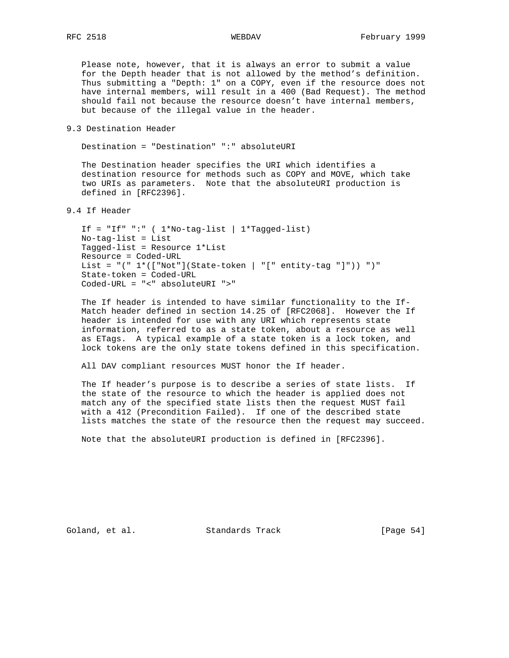Please note, however, that it is always an error to submit a value for the Depth header that is not allowed by the method's definition. Thus submitting a "Depth: 1" on a COPY, even if the resource does not have internal members, will result in a 400 (Bad Request). The method should fail not because the resource doesn't have internal members, but because of the illegal value in the header.

9.3 Destination Header

Destination = "Destination" ":" absoluteURI

 The Destination header specifies the URI which identifies a destination resource for methods such as COPY and MOVE, which take two URIs as parameters. Note that the absoluteURI production is defined in [RFC2396].

9.4 If Header

```
 If = "If" ":" ( 1*No-tag-list | 1*Tagged-list)
 No-tag-list = List
 Tagged-list = Resource 1*List
 Resource = Coded-URL
List = "(" 1*( ["Not"](State-token | "[" entity-tag "]")) ")"
 State-token = Coded-URL
 Coded-URL = "<" absoluteURI ">"
```
 The If header is intended to have similar functionality to the If- Match header defined in section 14.25 of [RFC2068]. However the If header is intended for use with any URI which represents state information, referred to as a state token, about a resource as well as ETags. A typical example of a state token is a lock token, and lock tokens are the only state tokens defined in this specification.

All DAV compliant resources MUST honor the If header.

 The If header's purpose is to describe a series of state lists. If the state of the resource to which the header is applied does not match any of the specified state lists then the request MUST fail with a 412 (Precondition Failed). If one of the described state lists matches the state of the resource then the request may succeed.

Note that the absoluteURI production is defined in [RFC2396].

Goland, et al. Standards Track [Page 54]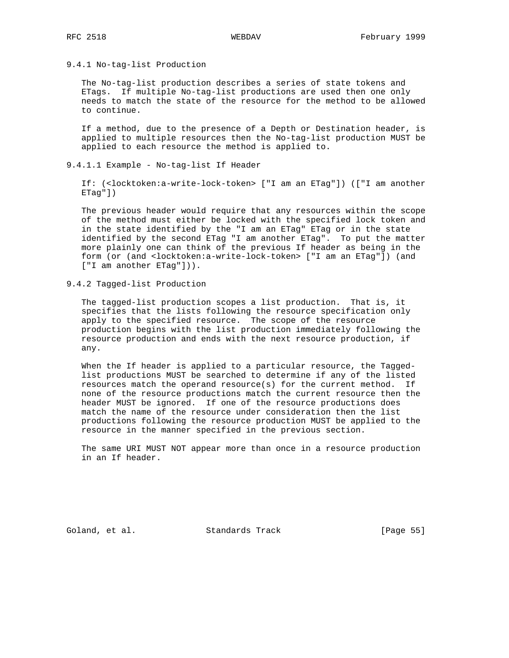9.4.1 No-tag-list Production

 The No-tag-list production describes a series of state tokens and ETags. If multiple No-tag-list productions are used then one only needs to match the state of the resource for the method to be allowed to continue.

 If a method, due to the presence of a Depth or Destination header, is applied to multiple resources then the No-tag-list production MUST be applied to each resource the method is applied to.

9.4.1.1 Example - No-tag-list If Header

 If: (<locktoken:a-write-lock-token> ["I am an ETag"]) (["I am another ETag"])

 The previous header would require that any resources within the scope of the method must either be locked with the specified lock token and in the state identified by the "I am an ETag" ETag or in the state identified by the second ETag "I am another ETag". To put the matter more plainly one can think of the previous If header as being in the form (or (and <locktoken:a-write-lock-token> ["I am an ETag"]) (and ["I am another ETag"])).

9.4.2 Tagged-list Production

 The tagged-list production scopes a list production. That is, it specifies that the lists following the resource specification only apply to the specified resource. The scope of the resource production begins with the list production immediately following the resource production and ends with the next resource production, if any.

When the If header is applied to a particular resource, the Tagged list productions MUST be searched to determine if any of the listed resources match the operand resource(s) for the current method. If none of the resource productions match the current resource then the header MUST be ignored. If one of the resource productions does match the name of the resource under consideration then the list productions following the resource production MUST be applied to the resource in the manner specified in the previous section.

 The same URI MUST NOT appear more than once in a resource production in an If header.

Goland, et al. Standards Track [Page 55]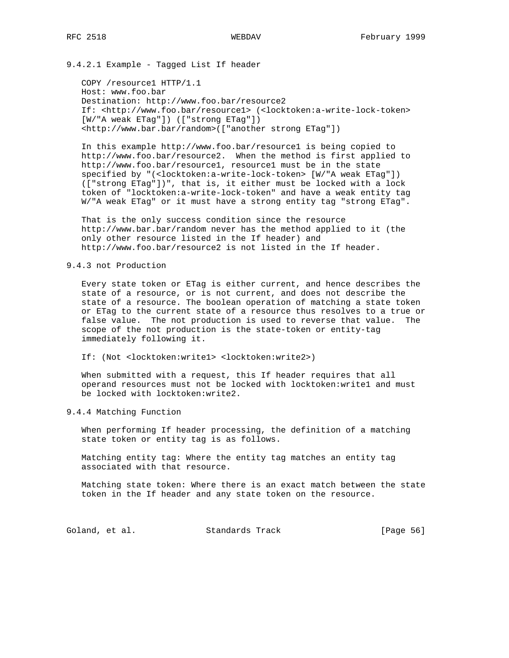9.4.2.1 Example - Tagged List If header

 COPY /resource1 HTTP/1.1 Host: www.foo.bar Destination: http://www.foo.bar/resource2 If: <http://www.foo.bar/resource1> (<locktoken:a-write-lock-token> [W/"A weak ETag"]) (["strong ETag"]) <http://www.bar.bar/random>(["another strong ETag"])

 In this example http://www.foo.bar/resource1 is being copied to http://www.foo.bar/resource2. When the method is first applied to http://www.foo.bar/resource1, resource1 must be in the state specified by "(<locktoken:a-write-lock-token> [W/"A weak ETag"]) (["strong ETag"])", that is, it either must be locked with a lock token of "locktoken:a-write-lock-token" and have a weak entity tag W/"A weak ETag" or it must have a strong entity tag "strong ETag".

 That is the only success condition since the resource http://www.bar.bar/random never has the method applied to it (the only other resource listed in the If header) and http://www.foo.bar/resource2 is not listed in the If header.

## 9.4.3 not Production

 Every state token or ETag is either current, and hence describes the state of a resource, or is not current, and does not describe the state of a resource. The boolean operation of matching a state token or ETag to the current state of a resource thus resolves to a true or false value. The not production is used to reverse that value. The scope of the not production is the state-token or entity-tag immediately following it.

If: (Not <locktoken:write1> <locktoken:write2>)

 When submitted with a request, this If header requires that all operand resources must not be locked with locktoken:write1 and must be locked with locktoken:write2.

9.4.4 Matching Function

 When performing If header processing, the definition of a matching state token or entity tag is as follows.

 Matching entity tag: Where the entity tag matches an entity tag associated with that resource.

 Matching state token: Where there is an exact match between the state token in the If header and any state token on the resource.

Goland, et al. Standards Track [Page 56]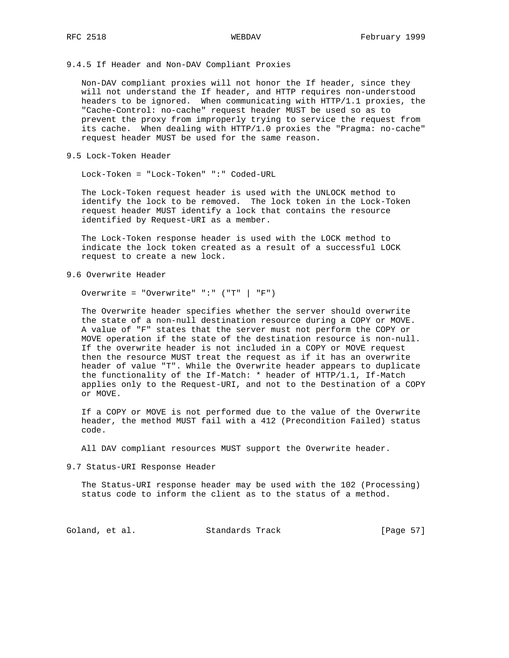9.4.5 If Header and Non-DAV Compliant Proxies

 Non-DAV compliant proxies will not honor the If header, since they will not understand the If header, and HTTP requires non-understood headers to be ignored. When communicating with HTTP/1.1 proxies, the "Cache-Control: no-cache" request header MUST be used so as to prevent the proxy from improperly trying to service the request from its cache. When dealing with HTTP/1.0 proxies the "Pragma: no-cache" request header MUST be used for the same reason.

9.5 Lock-Token Header

Lock-Token = "Lock-Token" ":" Coded-URL

 The Lock-Token request header is used with the UNLOCK method to identify the lock to be removed. The lock token in the Lock-Token request header MUST identify a lock that contains the resource identified by Request-URI as a member.

 The Lock-Token response header is used with the LOCK method to indicate the lock token created as a result of a successful LOCK request to create a new lock.

9.6 Overwrite Header

Overwrite = "Overwrite" ":" ("T" | "F")

 The Overwrite header specifies whether the server should overwrite the state of a non-null destination resource during a COPY or MOVE. A value of "F" states that the server must not perform the COPY or MOVE operation if the state of the destination resource is non-null. If the overwrite header is not included in a COPY or MOVE request then the resource MUST treat the request as if it has an overwrite header of value "T". While the Overwrite header appears to duplicate the functionality of the If-Match: \* header of HTTP/1.1, If-Match applies only to the Request-URI, and not to the Destination of a COPY or MOVE.

 If a COPY or MOVE is not performed due to the value of the Overwrite header, the method MUST fail with a 412 (Precondition Failed) status code.

All DAV compliant resources MUST support the Overwrite header.

9.7 Status-URI Response Header

 The Status-URI response header may be used with the 102 (Processing) status code to inform the client as to the status of a method.

Goland, et al. Standards Track [Page 57]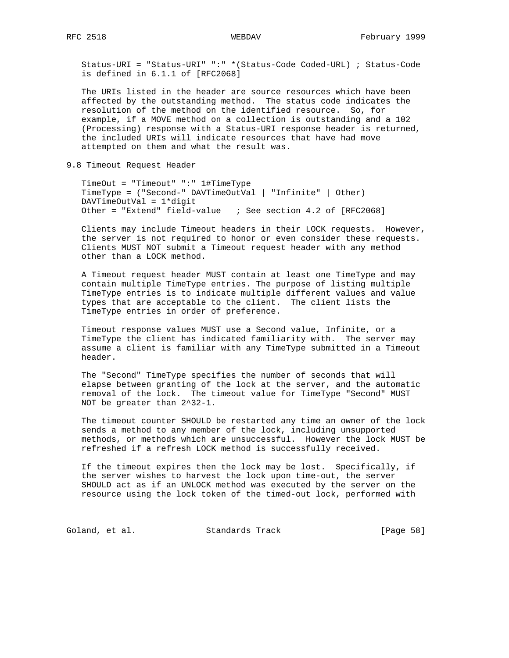Status-URI = "Status-URI" ":" \*(Status-Code Coded-URL) ; Status-Code is defined in 6.1.1 of [RFC2068]

 The URIs listed in the header are source resources which have been affected by the outstanding method. The status code indicates the resolution of the method on the identified resource. So, for example, if a MOVE method on a collection is outstanding and a 102 (Processing) response with a Status-URI response header is returned, the included URIs will indicate resources that have had move attempted on them and what the result was.

9.8 Timeout Request Header

 TimeOut = "Timeout" ":" 1#TimeType TimeType = ("Second-" DAVTimeOutVal | "Infinite" | Other) DAVTimeOutVal = 1\*digit Other = "Extend" field-value ; See section 4.2 of [RFC2068]

 Clients may include Timeout headers in their LOCK requests. However, the server is not required to honor or even consider these requests. Clients MUST NOT submit a Timeout request header with any method other than a LOCK method.

 A Timeout request header MUST contain at least one TimeType and may contain multiple TimeType entries. The purpose of listing multiple TimeType entries is to indicate multiple different values and value types that are acceptable to the client. The client lists the TimeType entries in order of preference.

 Timeout response values MUST use a Second value, Infinite, or a TimeType the client has indicated familiarity with. The server may assume a client is familiar with any TimeType submitted in a Timeout header.

 The "Second" TimeType specifies the number of seconds that will elapse between granting of the lock at the server, and the automatic removal of the lock. The timeout value for TimeType "Second" MUST NOT be greater than 2^32-1.

 The timeout counter SHOULD be restarted any time an owner of the lock sends a method to any member of the lock, including unsupported methods, or methods which are unsuccessful. However the lock MUST be refreshed if a refresh LOCK method is successfully received.

 If the timeout expires then the lock may be lost. Specifically, if the server wishes to harvest the lock upon time-out, the server SHOULD act as if an UNLOCK method was executed by the server on the resource using the lock token of the timed-out lock, performed with

Goland, et al. Standards Track [Page 58]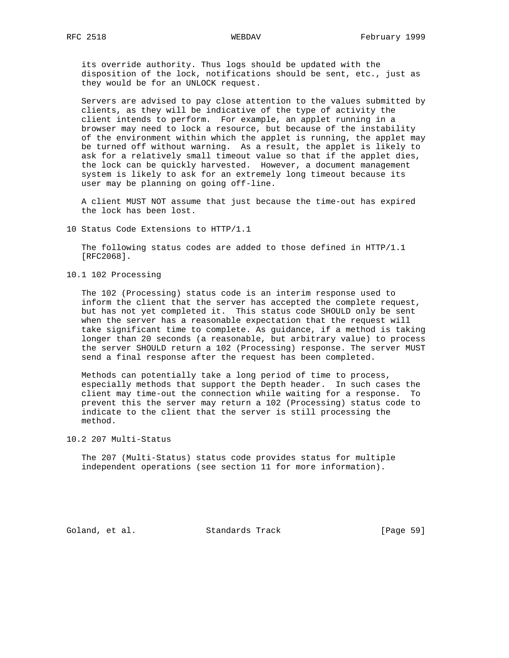its override authority. Thus logs should be updated with the disposition of the lock, notifications should be sent, etc., just as they would be for an UNLOCK request.

 Servers are advised to pay close attention to the values submitted by clients, as they will be indicative of the type of activity the client intends to perform. For example, an applet running in a browser may need to lock a resource, but because of the instability of the environment within which the applet is running, the applet may be turned off without warning. As a result, the applet is likely to ask for a relatively small timeout value so that if the applet dies, the lock can be quickly harvested. However, a document management system is likely to ask for an extremely long timeout because its user may be planning on going off-line.

 A client MUST NOT assume that just because the time-out has expired the lock has been lost.

10 Status Code Extensions to HTTP/1.1

 The following status codes are added to those defined in HTTP/1.1 [RFC2068].

10.1 102 Processing

 The 102 (Processing) status code is an interim response used to inform the client that the server has accepted the complete request, but has not yet completed it. This status code SHOULD only be sent when the server has a reasonable expectation that the request will take significant time to complete. As guidance, if a method is taking longer than 20 seconds (a reasonable, but arbitrary value) to process the server SHOULD return a 102 (Processing) response. The server MUST send a final response after the request has been completed.

 Methods can potentially take a long period of time to process, especially methods that support the Depth header. In such cases the client may time-out the connection while waiting for a response. To prevent this the server may return a 102 (Processing) status code to indicate to the client that the server is still processing the method.

10.2 207 Multi-Status

 The 207 (Multi-Status) status code provides status for multiple independent operations (see section 11 for more information).

Goland, et al. Standards Track [Page 59]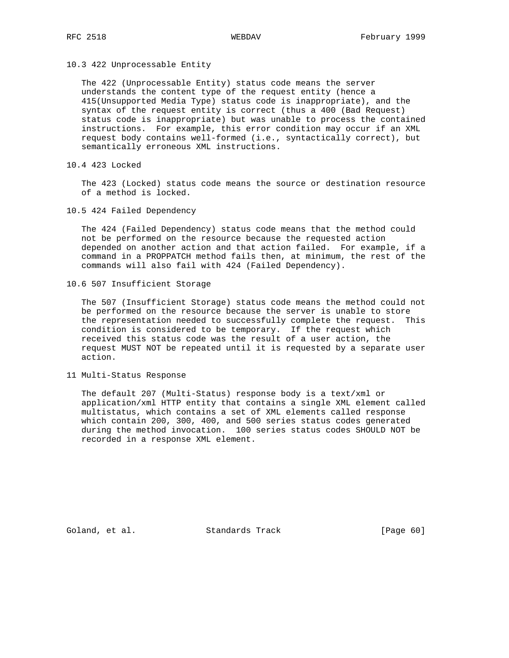10.3 422 Unprocessable Entity

 The 422 (Unprocessable Entity) status code means the server understands the content type of the request entity (hence a 415(Unsupported Media Type) status code is inappropriate), and the syntax of the request entity is correct (thus a 400 (Bad Request) status code is inappropriate) but was unable to process the contained instructions. For example, this error condition may occur if an XML request body contains well-formed (i.e., syntactically correct), but semantically erroneous XML instructions.

10.4 423 Locked

 The 423 (Locked) status code means the source or destination resource of a method is locked.

10.5 424 Failed Dependency

 The 424 (Failed Dependency) status code means that the method could not be performed on the resource because the requested action depended on another action and that action failed. For example, if a command in a PROPPATCH method fails then, at minimum, the rest of the commands will also fail with 424 (Failed Dependency).

10.6 507 Insufficient Storage

 The 507 (Insufficient Storage) status code means the method could not be performed on the resource because the server is unable to store the representation needed to successfully complete the request. This condition is considered to be temporary. If the request which received this status code was the result of a user action, the request MUST NOT be repeated until it is requested by a separate user action.

11 Multi-Status Response

 The default 207 (Multi-Status) response body is a text/xml or application/xml HTTP entity that contains a single XML element called multistatus, which contains a set of XML elements called response which contain 200, 300, 400, and 500 series status codes generated during the method invocation. 100 series status codes SHOULD NOT be recorded in a response XML element.

Goland, et al. Standards Track [Page 60]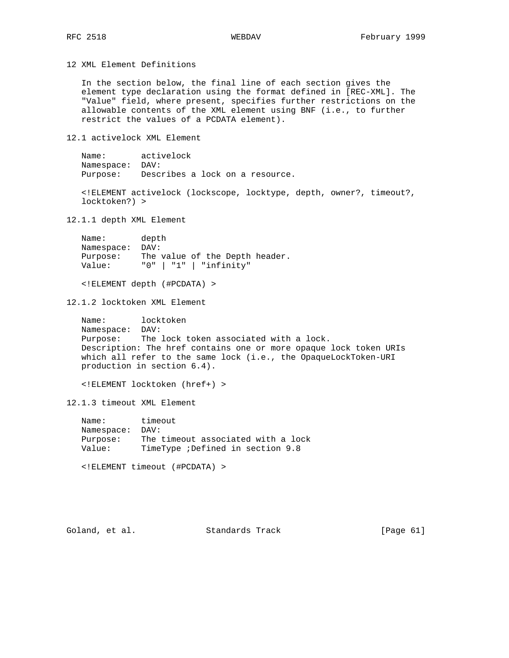12 XML Element Definitions

 In the section below, the final line of each section gives the element type declaration using the format defined in [REC-XML]. The "Value" field, where present, specifies further restrictions on the allowable contents of the XML element using BNF (i.e., to further restrict the values of a PCDATA element).

12.1 activelock XML Element

 Name: activelock Namespace: DAV: Purpose: Describes a lock on a resource.

 <!ELEMENT activelock (lockscope, locktype, depth, owner?, timeout?, locktoken?) >

12.1.1 depth XML Element

| Name:      | depth                          |
|------------|--------------------------------|
| Namespace: | DAV:                           |
| Purpose:   | The value of the Depth header. |
| Value:     | "0"   "1"   "infinity"         |

<!ELEMENT depth (#PCDATA) >

12.1.2 locktoken XML Element

 Name: locktoken Namespace: DAV: Purpose: The lock token associated with a lock. Description: The href contains one or more opaque lock token URIs which all refer to the same lock (i.e., the OpaqueLockToken-URI production in section 6.4).

<!ELEMENT locktoken (href+) >

12.1.3 timeout XML Element

 Name: timeout Namespace: DAV: Purpose: The timeout associated with a lock Value: TimeType ;Defined in section 9.8

<!ELEMENT timeout (#PCDATA) >

Goland, et al. Standards Track [Page 61]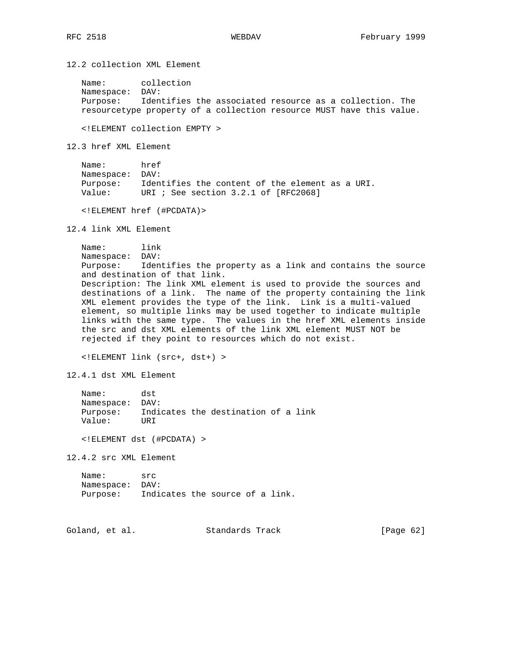12.2 collection XML Element

 Name: collection Namespace: DAV: Purpose: Identifies the associated resource as a collection. The resourcetype property of a collection resource MUST have this value.

<!ELEMENT collection EMPTY >

12.3 href XML Element

| Name:           | href                                            |
|-----------------|-------------------------------------------------|
| Namespace: DAV: |                                                 |
| Purpose:        | Identifies the content of the element as a URI. |
| Value:          | URI ; See section $3.2.1$ of $[RFC2068]$        |

<!ELEMENT href (#PCDATA)>

12.4 link XML Element

 Name: link Namespace: DAV: Purpose: Identifies the property as a link and contains the source and destination of that link. Description: The link XML element is used to provide the sources and destinations of a link. The name of the property containing the link XML element provides the type of the link. Link is a multi-valued element, so multiple links may be used together to indicate multiple links with the same type. The values in the href XML elements inside the src and dst XML elements of the link XML element MUST NOT be rejected if they point to resources which do not exist.

<!ELEMENT link (src+, dst+) >

12.4.1 dst XML Element

| Name:           | dst   |                                     |  |  |
|-----------------|-------|-------------------------------------|--|--|
| Namespace: DAV: |       |                                     |  |  |
| Purpose:        |       | Indicates the destination of a link |  |  |
| Value:          | TJR T |                                     |  |  |
|                 |       |                                     |  |  |

<!ELEMENT dst (#PCDATA) >

12.4.2 src XML Element

| Name:           | src                             |  |  |  |
|-----------------|---------------------------------|--|--|--|
| Namespace: DAV: |                                 |  |  |  |
| Purpose:        | Indicates the source of a link. |  |  |  |

Goland, et al. Standards Track [Page 62]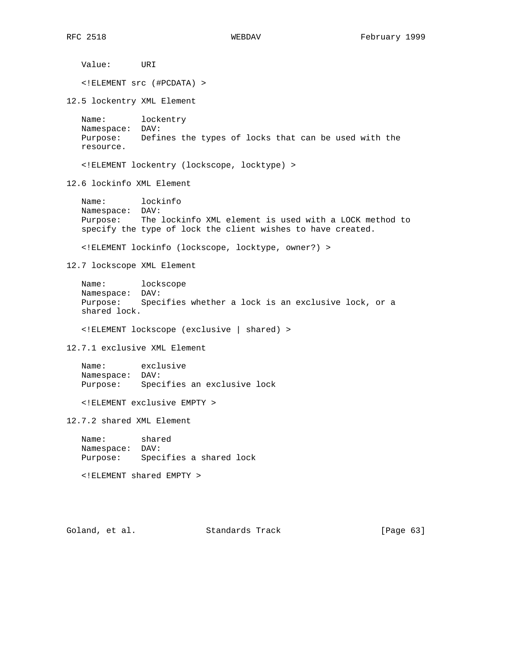Value: URI <!ELEMENT src (#PCDATA) > 12.5 lockentry XML Element Name: lockentry Namespace: DAV: Purpose: Defines the types of locks that can be used with the resource. <!ELEMENT lockentry (lockscope, locktype) > 12.6 lockinfo XML Element Name: lockinfo Namespace: DAV: Purpose: The lockinfo XML element is used with a LOCK method to specify the type of lock the client wishes to have created. <!ELEMENT lockinfo (lockscope, locktype, owner?) > 12.7 lockscope XML Element Name: lockscope Namespace: DAV: Purpose: Specifies whether a lock is an exclusive lock, or a shared lock. <!ELEMENT lockscope (exclusive | shared) > 12.7.1 exclusive XML Element Name: exclusive Namespace: DAV: Purpose: Specifies an exclusive lock <!ELEMENT exclusive EMPTY > 12.7.2 shared XML Element Name: shared Namespace: DAV: Purpose: Specifies a shared lock <!ELEMENT shared EMPTY > Goland, et al. Standards Track [Page 63]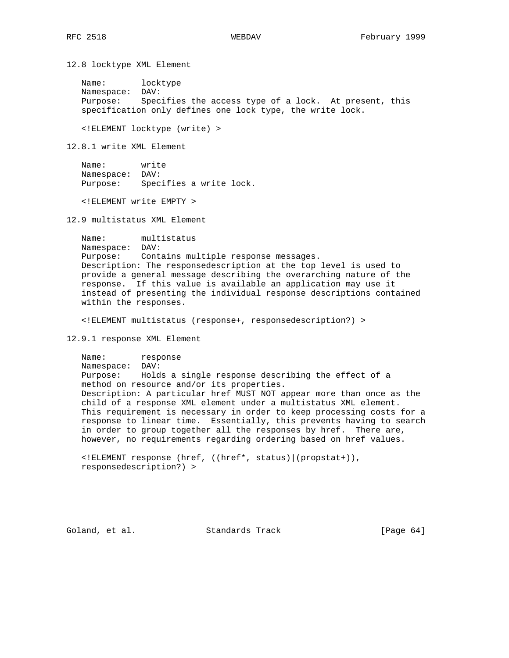12.8 locktype XML Element

 Name: locktype Namespace: DAV: Purpose: Specifies the access type of a lock. At present, this specification only defines one lock type, the write lock.

<!ELEMENT locktype (write) >

12.8.1 write XML Element

 Name: write Namespace: DAV: Purpose: Specifies a write lock.

<!ELEMENT write EMPTY >

12.9 multistatus XML Element

 Name: multistatus Namespace: DAV: Purpose: Contains multiple response messages. Description: The responsedescription at the top level is used to provide a general message describing the overarching nature of the response. If this value is available an application may use it instead of presenting the individual response descriptions contained within the responses.

<!ELEMENT multistatus (response+, responsedescription?) >

12.9.1 response XML Element

 Name: response Namespace: DAV: Purpose: Holds a single response describing the effect of a method on resource and/or its properties. Description: A particular href MUST NOT appear more than once as the child of a response XML element under a multistatus XML element. This requirement is necessary in order to keep processing costs for a response to linear time. Essentially, this prevents having to search in order to group together all the responses by href. There are, however, no requirements regarding ordering based on href values.

 <!ELEMENT response (href, ((href\*, status)|(propstat+)), responsedescription?) >

Goland, et al. Standards Track [Page 64]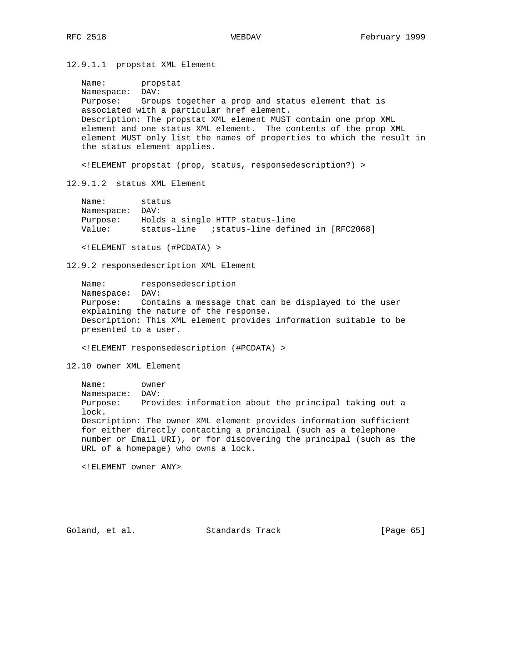12.9.1.1 propstat XML Element

 Name: propstat Namespace: DAV: Purpose: Groups together a prop and status element that is associated with a particular href element. Description: The propstat XML element MUST contain one prop XML element and one status XML element. The contents of the prop XML element MUST only list the names of properties to which the result in the status element applies.

<!ELEMENT propstat (prop, status, responsedescription?) >

12.9.1.2 status XML Element

| Name:           | status                                           |
|-----------------|--------------------------------------------------|
| Namespace: DAV: |                                                  |
| Purpose:        | Holds a single HTTP status-line                  |
| Value:          | istatus-line defined in [RFC2068]<br>status-line |
|                 |                                                  |

<!ELEMENT status (#PCDATA) >

12.9.2 responsedescription XML Element

 Name: responsedescription Namespace: DAV: Purpose: Contains a message that can be displayed to the user explaining the nature of the response. Description: This XML element provides information suitable to be presented to a user.

<!ELEMENT responsedescription (#PCDATA) >

12.10 owner XML Element

 Name: owner Namespace: DAV: Purpose: Provides information about the principal taking out a lock. Description: The owner XML element provides information sufficient for either directly contacting a principal (such as a telephone number or Email URI), or for discovering the principal (such as the URL of a homepage) who owns a lock.

<!ELEMENT owner ANY>

Goland, et al. Standards Track [Page 65]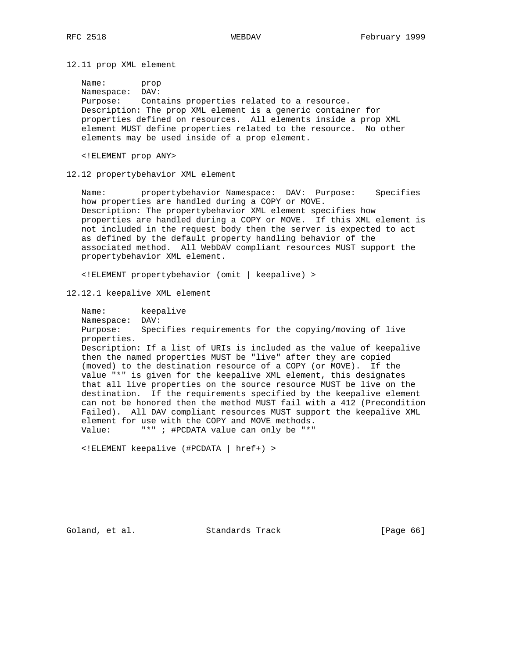12.11 prop XML element

 Name: prop Namespace: DAV: Purpose: Contains properties related to a resource. Description: The prop XML element is a generic container for properties defined on resources. All elements inside a prop XML element MUST define properties related to the resource. No other elements may be used inside of a prop element.

<!ELEMENT prop ANY>

12.12 propertybehavior XML element

 Name: propertybehavior Namespace: DAV: Purpose: Specifies how properties are handled during a COPY or MOVE. Description: The propertybehavior XML element specifies how properties are handled during a COPY or MOVE. If this XML element is not included in the request body then the server is expected to act as defined by the default property handling behavior of the associated method. All WebDAV compliant resources MUST support the propertybehavior XML element.

<!ELEMENT propertybehavior (omit | keepalive) >

12.12.1 keepalive XML element

 Name: keepalive Namespace: DAV: Purpose: Specifies requirements for the copying/moving of live properties. Description: If a list of URIs is included as the value of keepalive then the named properties MUST be "live" after they are copied (moved) to the destination resource of a COPY (or MOVE). If the value "\*" is given for the keepalive XML element, this designates that all live properties on the source resource MUST be live on the destination. If the requirements specified by the keepalive element can not be honored then the method MUST fail with a 412 (Precondition Failed). All DAV compliant resources MUST support the keepalive XML element for use with the COPY and MOVE methods. Value: "\*" ; #PCDATA value can only be "\*"

<!ELEMENT keepalive (#PCDATA | href+) >

Goland, et al. Standards Track [Page 66]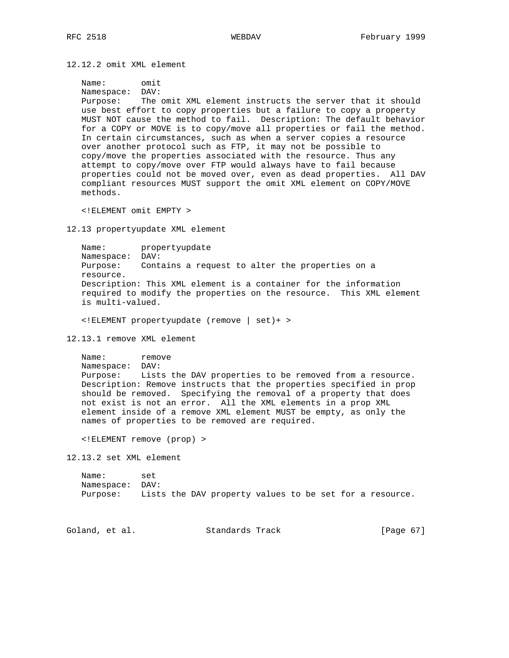12.12.2 omit XML element

```
 Name: omit
```
 Namespace: DAV: Purpose: The omit XML element instructs the server that it should use best effort to copy properties but a failure to copy a property MUST NOT cause the method to fail. Description: The default behavior for a COPY or MOVE is to copy/move all properties or fail the method. In certain circumstances, such as when a server copies a resource over another protocol such as FTP, it may not be possible to copy/move the properties associated with the resource. Thus any attempt to copy/move over FTP would always have to fail because properties could not be moved over, even as dead properties. All DAV compliant resources MUST support the omit XML element on COPY/MOVE methods.

<!ELEMENT omit EMPTY >

12.13 propertyupdate XML element

 Name: propertyupdate Namespace: DAV: Purpose: Contains a request to alter the properties on a resource. Description: This XML element is a container for the information required to modify the properties on the resource. This XML element is multi-valued.

<!ELEMENT propertyupdate (remove | set)+ >

12.13.1 remove XML element

Name: remove Namespace: DAV: Purpose: Lists the DAV properties to be removed from a resource. Description: Remove instructs that the properties specified in prop should be removed. Specifying the removal of a property that does not exist is not an error. All the XML elements in a prop XML element inside of a remove XML element MUST be empty, as only the names of properties to be removed are required.

<!ELEMENT remove (prop) >

12.13.2 set XML element

 Name: set Namespace: DAV: Purpose: Lists the DAV property values to be set for a resource.

Goland, et al. Standards Track [Page 67]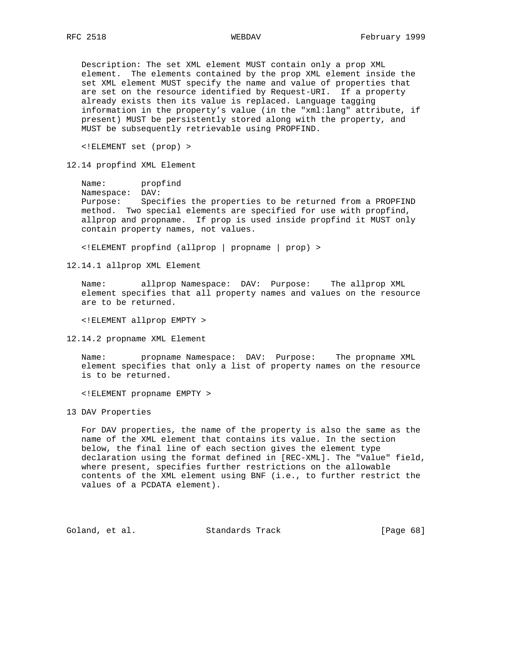Description: The set XML element MUST contain only a prop XML element. The elements contained by the prop XML element inside the set XML element MUST specify the name and value of properties that are set on the resource identified by Request-URI. If a property already exists then its value is replaced. Language tagging information in the property's value (in the "xml:lang" attribute, if present) MUST be persistently stored along with the property, and MUST be subsequently retrievable using PROPFIND.

<!ELEMENT set (prop) >

12.14 propfind XML Element

 Name: propfind Namespace: DAV: Purpose: Specifies the properties to be returned from a PROPFIND method. Two special elements are specified for use with propfind, allprop and propname. If prop is used inside propfind it MUST only contain property names, not values.

<!ELEMENT propfind (allprop | propname | prop) >

12.14.1 allprop XML Element

 Name: allprop Namespace: DAV: Purpose: The allprop XML element specifies that all property names and values on the resource are to be returned.

<!ELEMENT allprop EMPTY >

12.14.2 propname XML Element

 Name: propname Namespace: DAV: Purpose: The propname XML element specifies that only a list of property names on the resource is to be returned.

<!ELEMENT propname EMPTY >

13 DAV Properties

 For DAV properties, the name of the property is also the same as the name of the XML element that contains its value. In the section below, the final line of each section gives the element type declaration using the format defined in [REC-XML]. The "Value" field, where present, specifies further restrictions on the allowable contents of the XML element using BNF (i.e., to further restrict the values of a PCDATA element).

Goland, et al. Standards Track [Page 68]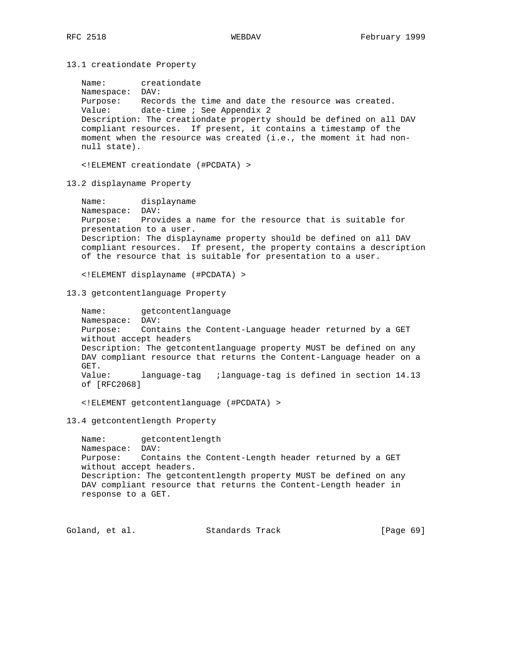13.1 creationdate Property

 Name: creationdate Namespace: DAV: Purpose: Records the time and date the resource was created. Value: date-time ; See Appendix 2 Description: The creationdate property should be defined on all DAV compliant resources. If present, it contains a timestamp of the moment when the resource was created (i.e., the moment it had non null state).

<!ELEMENT creationdate (#PCDATA) >

13.2 displayname Property

 Name: displayname Namespace: DAV: Purpose: Provides a name for the resource that is suitable for presentation to a user. Description: The displayname property should be defined on all DAV compliant resources. If present, the property contains a description of the resource that is suitable for presentation to a user.

<!ELEMENT displayname (#PCDATA) >

13.3 getcontentlanguage Property

Name: getcontentlanguage Namespace: DAV: Purpose: Contains the Content-Language header returned by a GET without accept headers Description: The getcontentlanguage property MUST be defined on any DAV compliant resource that returns the Content-Language header on a GET. Value: language-tag ;language-tag is defined in section 14.13 of [RFC2068]

<!ELEMENT getcontentlanguage (#PCDATA) >

13.4 getcontentlength Property

 Name: getcontentlength Namespace: DAV: Purpose: Contains the Content-Length header returned by a GET without accept headers. Description: The getcontentlength property MUST be defined on any DAV compliant resource that returns the Content-Length header in response to a GET.

Goland, et al. Standards Track [Page 69]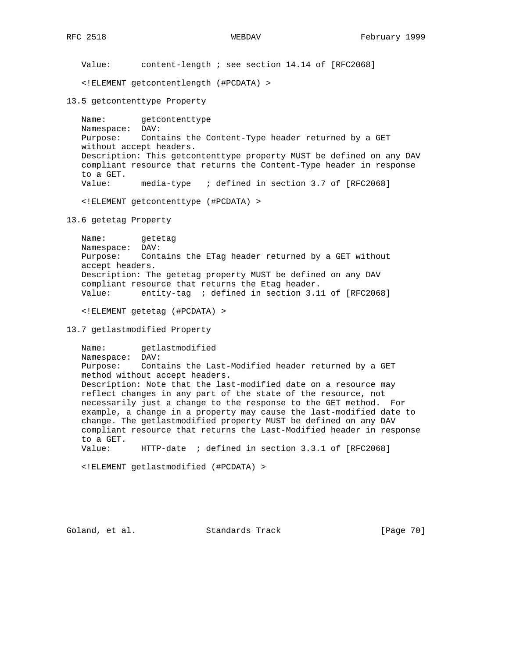Value: content-length ; see section 14.14 of [RFC2068]

<!ELEMENT getcontentlength (#PCDATA) >

13.5 getcontenttype Property

 Name: getcontenttype Namespace: DAV: Purpose: Contains the Content-Type header returned by a GET without accept headers. Description: This getcontenttype property MUST be defined on any DAV compliant resource that returns the Content-Type header in response to a GET. Value: media-type ; defined in section 3.7 of [RFC2068]

<!ELEMENT getcontenttype (#PCDATA) >

13.6 getetag Property

 Name: getetag Namespace: DAV: Purpose: Contains the ETag header returned by a GET without accept headers. Description: The getetag property MUST be defined on any DAV compliant resource that returns the Etag header. Value: entity-tag ; defined in section 3.11 of [RFC2068]

<!ELEMENT getetag (#PCDATA) >

# 13.7 getlastmodified Property

 Name: getlastmodified Namespace: DAV: Purpose: Contains the Last-Modified header returned by a GET method without accept headers. Description: Note that the last-modified date on a resource may reflect changes in any part of the state of the resource, not necessarily just a change to the response to the GET method. For example, a change in a property may cause the last-modified date to change. The getlastmodified property MUST be defined on any DAV compliant resource that returns the Last-Modified header in response to a GET. Value: HTTP-date ; defined in section 3.3.1 of [RFC2068]

<!ELEMENT getlastmodified (#PCDATA) >

Goland, et al. Standards Track [Page 70]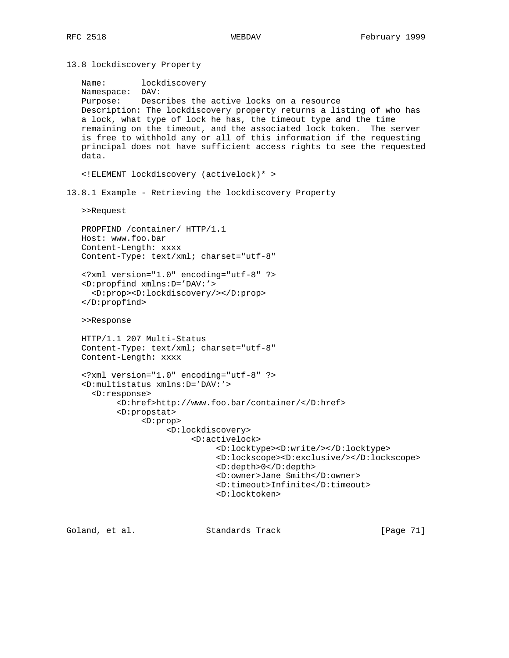13.8 lockdiscovery Property

```
 Name: lockdiscovery
   Namespace: DAV:
   Purpose: Describes the active locks on a resource
   Description: The lockdiscovery property returns a listing of who has
   a lock, what type of lock he has, the timeout type and the time
   remaining on the timeout, and the associated lock token. The server
    is free to withhold any or all of this information if the requesting
   principal does not have sufficient access rights to see the requested
   data.
    <!ELEMENT lockdiscovery (activelock)* >
13.8.1 Example - Retrieving the lockdiscovery Property
   >>Request
   PROPFIND /container/ HTTP/1.1
   Host: www.foo.bar
   Content-Length: xxxx
   Content-Type: text/xml; charset="utf-8"
    <?xml version="1.0" encoding="utf-8" ?>
    <D:propfind xmlns:D='DAV:'>
      <D:prop><D:lockdiscovery/></D:prop>
    </D:propfind>
   >>Response
   HTTP/1.1 207 Multi-Status
   Content-Type: text/xml; charset="utf-8"
   Content-Length: xxxx
    <?xml version="1.0" encoding="utf-8" ?>
    <D:multistatus xmlns:D='DAV:'>
      <D:response>
           <D:href>http://www.foo.bar/container/</D:href>
           <D:propstat>
                <D:prop>
                     <D:lockdiscovery>
                          <D:activelock>
                                <D:locktype><D:write/></D:locktype>
                                <D:lockscope><D:exclusive/></D:lockscope>
                                <D:depth>0</D:depth>
                                <D:owner>Jane Smith</D:owner>
                                <D:timeout>Infinite</D:timeout>
                                <D:locktoken>
```
Goland, et al. Standards Track [Page 71]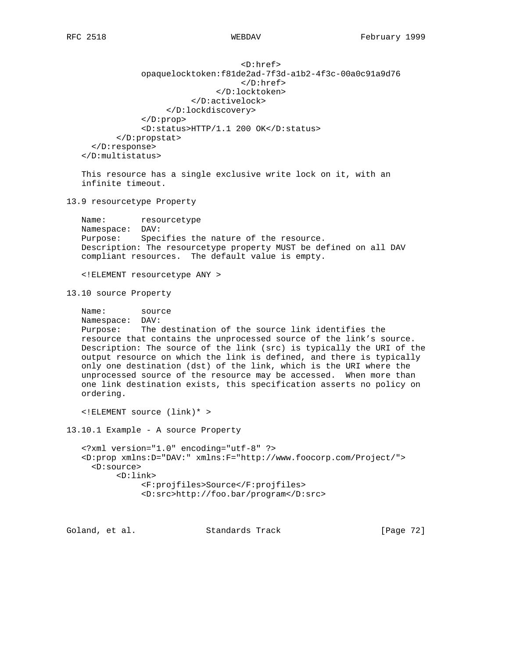```
 <D:href>
              opaquelocktoken:f81de2ad-7f3d-a1b2-4f3c-00a0c91a9d76
                                   </D:href>
                              </D:locktoken>
                         </D:activelock>
                   </D:lockdiscovery>
              </D:prop>
              <D:status>HTTP/1.1 200 OK</D:status>
        </D:propstat>
   </D:response>
 </D:multistatus>
```
 This resource has a single exclusive write lock on it, with an infinite timeout.

13.9 resourcetype Property

Name: resourcetype Namespace: DAV: Purpose: Specifies the nature of the resource. Description: The resourcetype property MUST be defined on all DAV compliant resources. The default value is empty.

<!ELEMENT resourcetype ANY >

13.10 source Property

```
 Name: source
 Namespace: DAV:
 Purpose: The destination of the source link identifies the
 resource that contains the unprocessed source of the link's source.
 Description: The source of the link (src) is typically the URI of the
 output resource on which the link is defined, and there is typically
 only one destination (dst) of the link, which is the URI where the
 unprocessed source of the resource may be accessed. When more than
 one link destination exists, this specification asserts no policy on
 ordering.
```
<!ELEMENT source (link)\* >

13.10.1 Example - A source Property

```
 <?xml version="1.0" encoding="utf-8" ?>
 <D:prop xmlns:D="DAV:" xmlns:F="http://www.foocorp.com/Project/">
   <D:source>
        <D:link>
             <F:projfiles>Source</F:projfiles>
             <D:src>http://foo.bar/program</D:src>
```
Goland, et al. Standards Track [Page 72]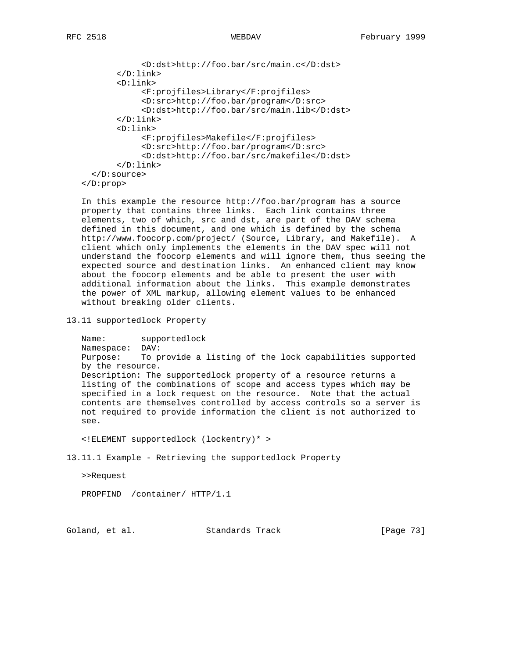```
 <D:dst>http://foo.bar/src/main.c</D:dst>
        </D:link>
        <D:link>
             <F:projfiles>Library</F:projfiles>
             <D:src>http://foo.bar/program</D:src>
             <D:dst>http://foo.bar/src/main.lib</D:dst>
        </D:link>
        <D:link>
             <F:projfiles>Makefile</F:projfiles>
             <D:src>http://foo.bar/program</D:src>
             <D:dst>http://foo.bar/src/makefile</D:dst>
        </D:link>
   </D:source>
 </D:prop>
```
 In this example the resource http://foo.bar/program has a source property that contains three links. Each link contains three elements, two of which, src and dst, are part of the DAV schema defined in this document, and one which is defined by the schema http://www.foocorp.com/project/ (Source, Library, and Makefile). A client which only implements the elements in the DAV spec will not understand the foocorp elements and will ignore them, thus seeing the expected source and destination links. An enhanced client may know about the foocorp elements and be able to present the user with additional information about the links. This example demonstrates the power of XML markup, allowing element values to be enhanced without breaking older clients.

13.11 supportedlock Property

 Name: supportedlock Namespace: DAV: Purpose: To provide a listing of the lock capabilities supported by the resource. Description: The supportedlock property of a resource returns a listing of the combinations of scope and access types which may be specified in a lock request on the resource. Note that the actual contents are themselves controlled by access controls so a server is not required to provide information the client is not authorized to see.

<!ELEMENT supportedlock (lockentry)\* >

13.11.1 Example - Retrieving the supportedlock Property

```
 >>Request
```
PROPFIND /container/ HTTP/1.1

Goland, et al. Standards Track [Page 73]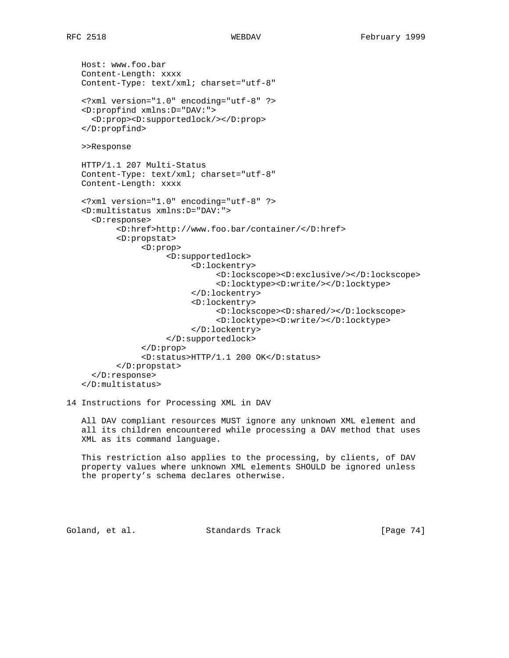Host: www.foo.bar Content-Length: xxxx Content-Type: text/xml; charset="utf-8" <?xml version="1.0" encoding="utf-8" ?> <D:propfind xmlns:D="DAV:"> <D:prop><D:supportedlock/></D:prop> </D:propfind> >>Response HTTP/1.1 207 Multi-Status Content-Type: text/xml; charset="utf-8" Content-Length: xxxx <?xml version="1.0" encoding="utf-8" ?> <D:multistatus xmlns:D="DAV:"> <D:response> <D:href>http://www.foo.bar/container/</D:href> <D:propstat> <D:prop> <D:supportedlock> <D:lockentry> <D:lockscope><D:exclusive/></D:lockscope> <D:locktype><D:write/></D:locktype> </D:lockentry> <D:lockentry> <D:lockscope><D:shared/></D:lockscope> <D:locktype><D:write/></D:locktype> </D:lockentry> </D:supportedlock> </D:prop> <D:status>HTTP/1.1 200 OK</D:status> </D:propstat> </D:response> </D:multistatus>

### 14 Instructions for Processing XML in DAV

 All DAV compliant resources MUST ignore any unknown XML element and all its children encountered while processing a DAV method that uses XML as its command language.

 This restriction also applies to the processing, by clients, of DAV property values where unknown XML elements SHOULD be ignored unless the property's schema declares otherwise.

Goland, et al. Standards Track [Page 74]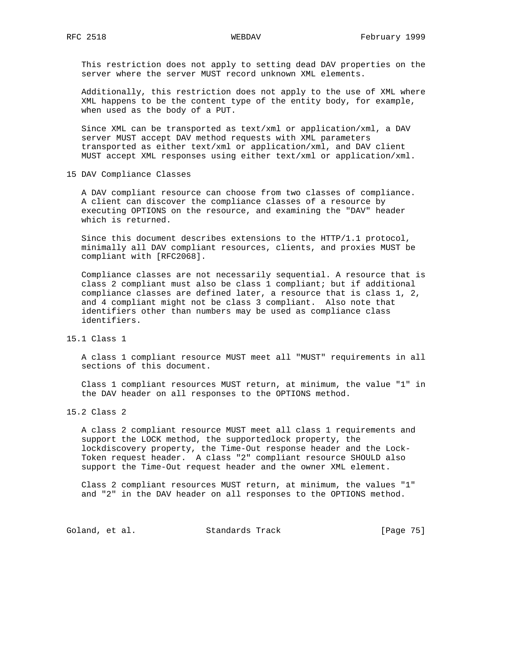This restriction does not apply to setting dead DAV properties on the server where the server MUST record unknown XML elements.

 Additionally, this restriction does not apply to the use of XML where XML happens to be the content type of the entity body, for example, when used as the body of a PUT.

 Since XML can be transported as text/xml or application/xml, a DAV server MUST accept DAV method requests with XML parameters transported as either text/xml or application/xml, and DAV client MUST accept XML responses using either text/xml or application/xml.

15 DAV Compliance Classes

 A DAV compliant resource can choose from two classes of compliance. A client can discover the compliance classes of a resource by executing OPTIONS on the resource, and examining the "DAV" header which is returned.

 Since this document describes extensions to the HTTP/1.1 protocol, minimally all DAV compliant resources, clients, and proxies MUST be compliant with [RFC2068].

 Compliance classes are not necessarily sequential. A resource that is class 2 compliant must also be class 1 compliant; but if additional compliance classes are defined later, a resource that is class 1, 2, and 4 compliant might not be class 3 compliant. Also note that identifiers other than numbers may be used as compliance class identifiers.

15.1 Class 1

 A class 1 compliant resource MUST meet all "MUST" requirements in all sections of this document.

 Class 1 compliant resources MUST return, at minimum, the value "1" in the DAV header on all responses to the OPTIONS method.

15.2 Class 2

 A class 2 compliant resource MUST meet all class 1 requirements and support the LOCK method, the supportedlock property, the lockdiscovery property, the Time-Out response header and the Lock- Token request header. A class "2" compliant resource SHOULD also support the Time-Out request header and the owner XML element.

 Class 2 compliant resources MUST return, at minimum, the values "1" and "2" in the DAV header on all responses to the OPTIONS method.

Goland, et al. Standards Track [Page 75]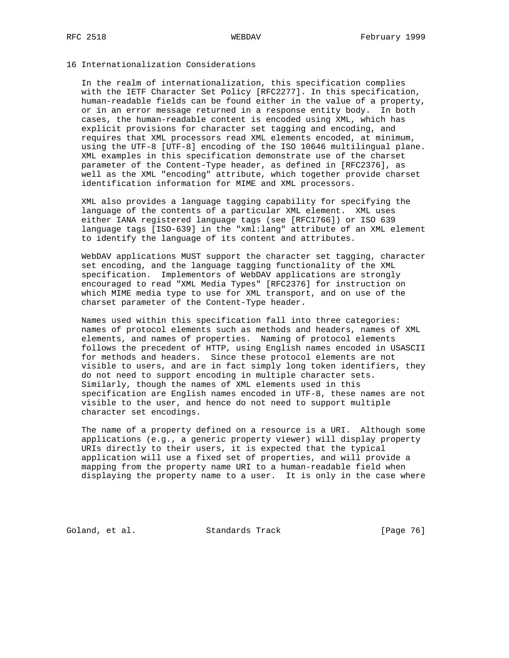## 16 Internationalization Considerations

 In the realm of internationalization, this specification complies with the IETF Character Set Policy [RFC2277]. In this specification, human-readable fields can be found either in the value of a property, or in an error message returned in a response entity body. In both cases, the human-readable content is encoded using XML, which has explicit provisions for character set tagging and encoding, and requires that XML processors read XML elements encoded, at minimum, using the UTF-8 [UTF-8] encoding of the ISO 10646 multilingual plane. XML examples in this specification demonstrate use of the charset parameter of the Content-Type header, as defined in [RFC2376], as well as the XML "encoding" attribute, which together provide charset identification information for MIME and XML processors.

 XML also provides a language tagging capability for specifying the language of the contents of a particular XML element. XML uses either IANA registered language tags (see [RFC1766]) or ISO 639 language tags [ISO-639] in the "xml:lang" attribute of an XML element to identify the language of its content and attributes.

 WebDAV applications MUST support the character set tagging, character set encoding, and the language tagging functionality of the XML specification. Implementors of WebDAV applications are strongly encouraged to read "XML Media Types" [RFC2376] for instruction on which MIME media type to use for XML transport, and on use of the charset parameter of the Content-Type header.

 Names used within this specification fall into three categories: names of protocol elements such as methods and headers, names of XML elements, and names of properties. Naming of protocol elements follows the precedent of HTTP, using English names encoded in USASCII for methods and headers. Since these protocol elements are not visible to users, and are in fact simply long token identifiers, they do not need to support encoding in multiple character sets. Similarly, though the names of XML elements used in this specification are English names encoded in UTF-8, these names are not visible to the user, and hence do not need to support multiple character set encodings.

 The name of a property defined on a resource is a URI. Although some applications (e.g., a generic property viewer) will display property URIs directly to their users, it is expected that the typical application will use a fixed set of properties, and will provide a mapping from the property name URI to a human-readable field when displaying the property name to a user. It is only in the case where

Goland, et al. Standards Track [Page 76]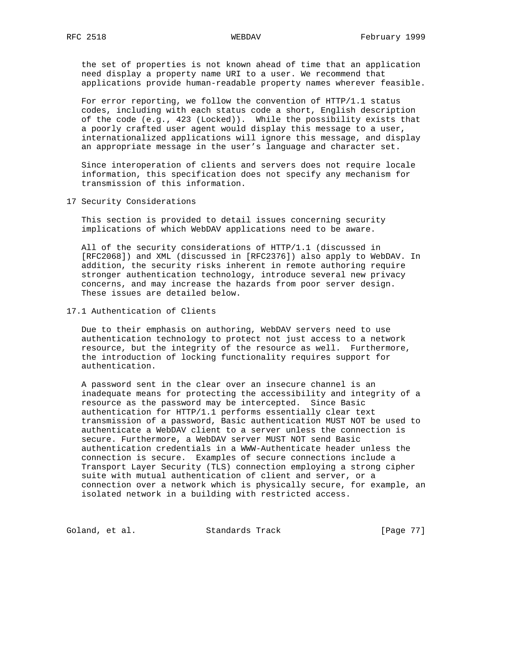the set of properties is not known ahead of time that an application need display a property name URI to a user. We recommend that applications provide human-readable property names wherever feasible.

 For error reporting, we follow the convention of HTTP/1.1 status codes, including with each status code a short, English description of the code (e.g., 423 (Locked)). While the possibility exists that a poorly crafted user agent would display this message to a user, internationalized applications will ignore this message, and display an appropriate message in the user's language and character set.

 Since interoperation of clients and servers does not require locale information, this specification does not specify any mechanism for transmission of this information.

17 Security Considerations

 This section is provided to detail issues concerning security implications of which WebDAV applications need to be aware.

 All of the security considerations of HTTP/1.1 (discussed in [RFC2068]) and XML (discussed in [RFC2376]) also apply to WebDAV. In addition, the security risks inherent in remote authoring require stronger authentication technology, introduce several new privacy concerns, and may increase the hazards from poor server design. These issues are detailed below.

17.1 Authentication of Clients

 Due to their emphasis on authoring, WebDAV servers need to use authentication technology to protect not just access to a network resource, but the integrity of the resource as well. Furthermore, the introduction of locking functionality requires support for authentication.

 A password sent in the clear over an insecure channel is an inadequate means for protecting the accessibility and integrity of a resource as the password may be intercepted. Since Basic authentication for HTTP/1.1 performs essentially clear text transmission of a password, Basic authentication MUST NOT be used to authenticate a WebDAV client to a server unless the connection is secure. Furthermore, a WebDAV server MUST NOT send Basic authentication credentials in a WWW-Authenticate header unless the connection is secure. Examples of secure connections include a Transport Layer Security (TLS) connection employing a strong cipher suite with mutual authentication of client and server, or a connection over a network which is physically secure, for example, an isolated network in a building with restricted access.

Goland, et al. Standards Track [Page 77]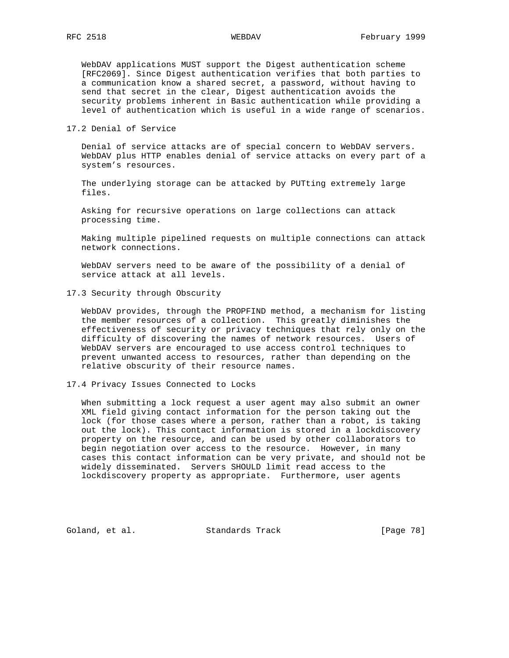WebDAV applications MUST support the Digest authentication scheme [RFC2069]. Since Digest authentication verifies that both parties to a communication know a shared secret, a password, without having to send that secret in the clear, Digest authentication avoids the security problems inherent in Basic authentication while providing a level of authentication which is useful in a wide range of scenarios.

17.2 Denial of Service

 Denial of service attacks are of special concern to WebDAV servers. WebDAV plus HTTP enables denial of service attacks on every part of a system's resources.

 The underlying storage can be attacked by PUTting extremely large files.

 Asking for recursive operations on large collections can attack processing time.

 Making multiple pipelined requests on multiple connections can attack network connections.

 WebDAV servers need to be aware of the possibility of a denial of service attack at all levels.

17.3 Security through Obscurity

 WebDAV provides, through the PROPFIND method, a mechanism for listing the member resources of a collection. This greatly diminishes the effectiveness of security or privacy techniques that rely only on the difficulty of discovering the names of network resources. Users of WebDAV servers are encouraged to use access control techniques to prevent unwanted access to resources, rather than depending on the relative obscurity of their resource names.

17.4 Privacy Issues Connected to Locks

 When submitting a lock request a user agent may also submit an owner XML field giving contact information for the person taking out the lock (for those cases where a person, rather than a robot, is taking out the lock). This contact information is stored in a lockdiscovery property on the resource, and can be used by other collaborators to begin negotiation over access to the resource. However, in many cases this contact information can be very private, and should not be widely disseminated. Servers SHOULD limit read access to the lockdiscovery property as appropriate. Furthermore, user agents

Goland, et al. Standards Track [Page 78]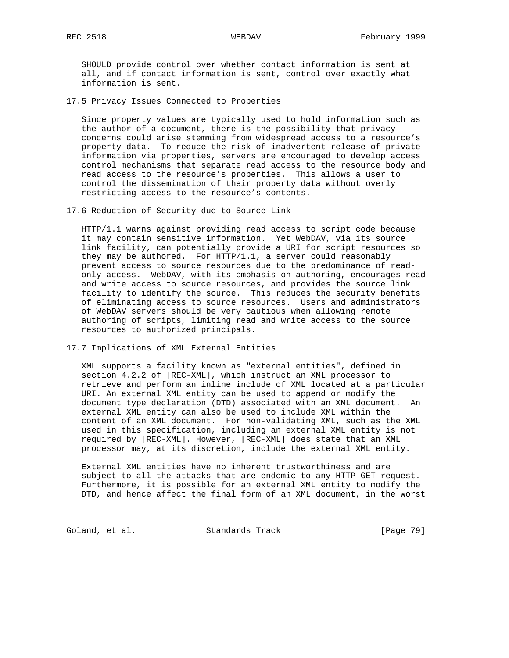SHOULD provide control over whether contact information is sent at all, and if contact information is sent, control over exactly what information is sent.

17.5 Privacy Issues Connected to Properties

 Since property values are typically used to hold information such as the author of a document, there is the possibility that privacy concerns could arise stemming from widespread access to a resource's property data. To reduce the risk of inadvertent release of private information via properties, servers are encouraged to develop access control mechanisms that separate read access to the resource body and read access to the resource's properties. This allows a user to control the dissemination of their property data without overly restricting access to the resource's contents.

17.6 Reduction of Security due to Source Link

 HTTP/1.1 warns against providing read access to script code because it may contain sensitive information. Yet WebDAV, via its source link facility, can potentially provide a URI for script resources so they may be authored. For HTTP/1.1, a server could reasonably prevent access to source resources due to the predominance of read only access. WebDAV, with its emphasis on authoring, encourages read and write access to source resources, and provides the source link facility to identify the source. This reduces the security benefits of eliminating access to source resources. Users and administrators of WebDAV servers should be very cautious when allowing remote authoring of scripts, limiting read and write access to the source resources to authorized principals.

17.7 Implications of XML External Entities

 XML supports a facility known as "external entities", defined in section 4.2.2 of [REC-XML], which instruct an XML processor to retrieve and perform an inline include of XML located at a particular URI. An external XML entity can be used to append or modify the document type declaration (DTD) associated with an XML document. An external XML entity can also be used to include XML within the content of an XML document. For non-validating XML, such as the XML used in this specification, including an external XML entity is not required by [REC-XML]. However, [REC-XML] does state that an XML processor may, at its discretion, include the external XML entity.

 External XML entities have no inherent trustworthiness and are subject to all the attacks that are endemic to any HTTP GET request. Furthermore, it is possible for an external XML entity to modify the DTD, and hence affect the final form of an XML document, in the worst

Goland, et al. Standards Track [Page 79]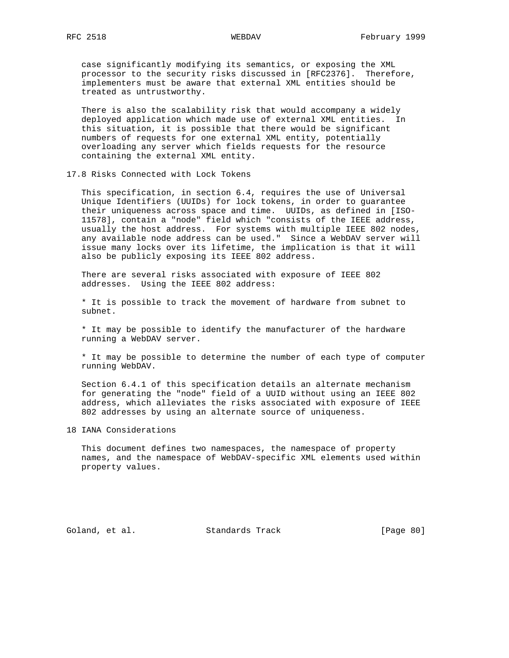case significantly modifying its semantics, or exposing the XML processor to the security risks discussed in [RFC2376]. Therefore, implementers must be aware that external XML entities should be treated as untrustworthy.

 There is also the scalability risk that would accompany a widely deployed application which made use of external XML entities. In this situation, it is possible that there would be significant numbers of requests for one external XML entity, potentially overloading any server which fields requests for the resource containing the external XML entity.

### 17.8 Risks Connected with Lock Tokens

 This specification, in section 6.4, requires the use of Universal Unique Identifiers (UUIDs) for lock tokens, in order to guarantee their uniqueness across space and time. UUIDs, as defined in [ISO- 11578], contain a "node" field which "consists of the IEEE address, usually the host address. For systems with multiple IEEE 802 nodes, any available node address can be used." Since a WebDAV server will issue many locks over its lifetime, the implication is that it will also be publicly exposing its IEEE 802 address.

 There are several risks associated with exposure of IEEE 802 addresses. Using the IEEE 802 address:

 \* It is possible to track the movement of hardware from subnet to subnet.

 \* It may be possible to identify the manufacturer of the hardware running a WebDAV server.

 \* It may be possible to determine the number of each type of computer running WebDAV.

 Section 6.4.1 of this specification details an alternate mechanism for generating the "node" field of a UUID without using an IEEE 802 address, which alleviates the risks associated with exposure of IEEE 802 addresses by using an alternate source of uniqueness.

18 IANA Considerations

 This document defines two namespaces, the namespace of property names, and the namespace of WebDAV-specific XML elements used within property values.

Goland, et al. Standards Track [Page 80]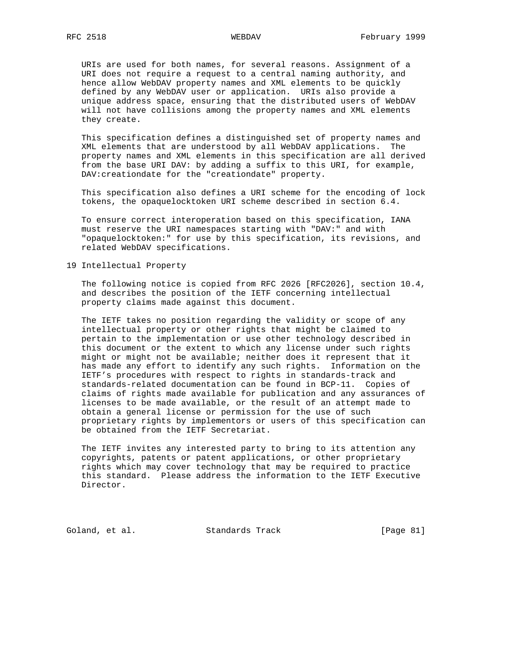URIs are used for both names, for several reasons. Assignment of a URI does not require a request to a central naming authority, and hence allow WebDAV property names and XML elements to be quickly defined by any WebDAV user or application. URIs also provide a unique address space, ensuring that the distributed users of WebDAV will not have collisions among the property names and XML elements they create.

 This specification defines a distinguished set of property names and XML elements that are understood by all WebDAV applications. The property names and XML elements in this specification are all derived from the base URI DAV: by adding a suffix to this URI, for example, DAV:creationdate for the "creationdate" property.

 This specification also defines a URI scheme for the encoding of lock tokens, the opaquelocktoken URI scheme described in section 6.4.

 To ensure correct interoperation based on this specification, IANA must reserve the URI namespaces starting with "DAV:" and with "opaquelocktoken:" for use by this specification, its revisions, and related WebDAV specifications.

19 Intellectual Property

 The following notice is copied from RFC 2026 [RFC2026], section 10.4, and describes the position of the IETF concerning intellectual property claims made against this document.

 The IETF takes no position regarding the validity or scope of any intellectual property or other rights that might be claimed to pertain to the implementation or use other technology described in this document or the extent to which any license under such rights might or might not be available; neither does it represent that it has made any effort to identify any such rights. Information on the IETF's procedures with respect to rights in standards-track and standards-related documentation can be found in BCP-11. Copies of claims of rights made available for publication and any assurances of licenses to be made available, or the result of an attempt made to obtain a general license or permission for the use of such proprietary rights by implementors or users of this specification can be obtained from the IETF Secretariat.

 The IETF invites any interested party to bring to its attention any copyrights, patents or patent applications, or other proprietary rights which may cover technology that may be required to practice this standard. Please address the information to the IETF Executive Director.

Goland, et al. Standards Track [Page 81]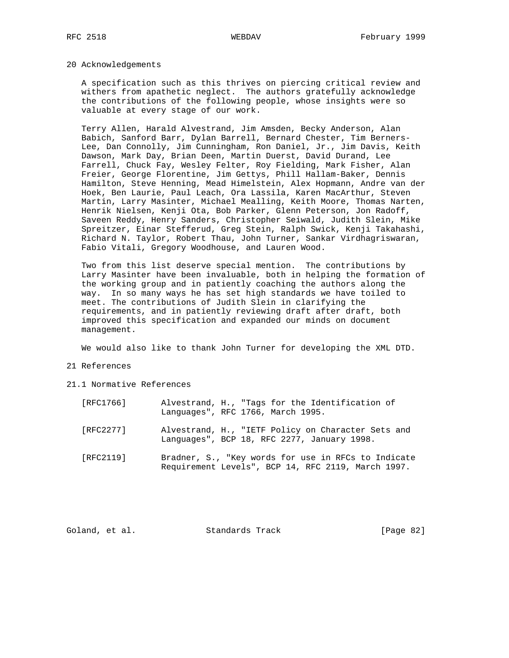## 20 Acknowledgements

 A specification such as this thrives on piercing critical review and withers from apathetic neglect. The authors gratefully acknowledge the contributions of the following people, whose insights were so valuable at every stage of our work.

 Terry Allen, Harald Alvestrand, Jim Amsden, Becky Anderson, Alan Babich, Sanford Barr, Dylan Barrell, Bernard Chester, Tim Berners- Lee, Dan Connolly, Jim Cunningham, Ron Daniel, Jr., Jim Davis, Keith Dawson, Mark Day, Brian Deen, Martin Duerst, David Durand, Lee Farrell, Chuck Fay, Wesley Felter, Roy Fielding, Mark Fisher, Alan Freier, George Florentine, Jim Gettys, Phill Hallam-Baker, Dennis Hamilton, Steve Henning, Mead Himelstein, Alex Hopmann, Andre van der Hoek, Ben Laurie, Paul Leach, Ora Lassila, Karen MacArthur, Steven Martin, Larry Masinter, Michael Mealling, Keith Moore, Thomas Narten, Henrik Nielsen, Kenji Ota, Bob Parker, Glenn Peterson, Jon Radoff, Saveen Reddy, Henry Sanders, Christopher Seiwald, Judith Slein, Mike Spreitzer, Einar Stefferud, Greg Stein, Ralph Swick, Kenji Takahashi, Richard N. Taylor, Robert Thau, John Turner, Sankar Virdhagriswaran, Fabio Vitali, Gregory Woodhouse, and Lauren Wood.

 Two from this list deserve special mention. The contributions by Larry Masinter have been invaluable, both in helping the formation of the working group and in patiently coaching the authors along the way. In so many ways he has set high standards we have toiled to meet. The contributions of Judith Slein in clarifying the requirements, and in patiently reviewing draft after draft, both improved this specification and expanded our minds on document management.

We would also like to thank John Turner for developing the XML DTD.

## 21 References

21.1 Normative References

| [RFC1766] | Alvestrand, H., "Tags for the Identification of<br>Languages", RFC 1766, March 1995.                      |
|-----------|-----------------------------------------------------------------------------------------------------------|
| [RFC2277] | Alvestrand, H., "IETF Policy on Character Sets and<br>Languages", BCP 18, RFC 2277, January 1998.         |
| [RFC2119] | Bradner, S., "Key words for use in RFCs to Indicate<br>Requirement Levels", BCP 14, RFC 2119, March 1997. |

Goland, et al. Standards Track [Page 82]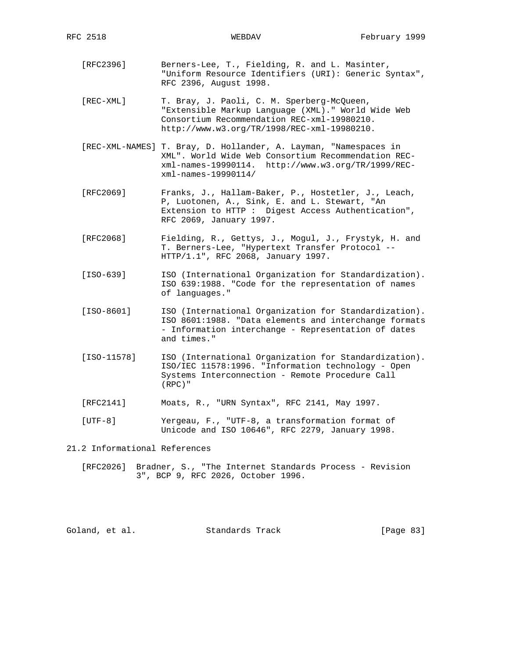[RFC2396] Berners-Lee, T., Fielding, R. and L. Masinter, "Uniform Resource Identifiers (URI): Generic Syntax", RFC 2396, August 1998.

 [REC-XML] T. Bray, J. Paoli, C. M. Sperberg-McQueen, "Extensible Markup Language (XML)." World Wide Web Consortium Recommendation REC-xml-19980210. http://www.w3.org/TR/1998/REC-xml-19980210.

- [REC-XML-NAMES] T. Bray, D. Hollander, A. Layman, "Namespaces in XML". World Wide Web Consortium Recommendation REC xml-names-19990114. http://www.w3.org/TR/1999/REC xml-names-19990114/
- [RFC2069] Franks, J., Hallam-Baker, P., Hostetler, J., Leach, P, Luotonen, A., Sink, E. and L. Stewart, "An Extension to HTTP : Digest Access Authentication", RFC 2069, January 1997.
- [RFC2068] Fielding, R., Gettys, J., Mogul, J., Frystyk, H. and T. Berners-Lee, "Hypertext Transfer Protocol -- HTTP/1.1", RFC 2068, January 1997.
- [ISO-639] ISO (International Organization for Standardization). ISO 639:1988. "Code for the representation of names of languages."
- [ISO-8601] ISO (International Organization for Standardization). ISO 8601:1988. "Data elements and interchange formats - Information interchange - Representation of dates and times."
- [ISO-11578] ISO (International Organization for Standardization). ISO/IEC 11578:1996. "Information technology - Open Systems Interconnection - Remote Procedure Call (RPC)"
- [RFC2141] Moats, R., "URN Syntax", RFC 2141, May 1997.
- [UTF-8] Yergeau, F., "UTF-8, a transformation format of Unicode and ISO 10646", RFC 2279, January 1998.

21.2 Informational References

 [RFC2026] Bradner, S., "The Internet Standards Process - Revision 3", BCP 9, RFC 2026, October 1996.

| Goland, et al. | Standards Track | [Page $83$ ] |
|----------------|-----------------|--------------|
|                |                 |              |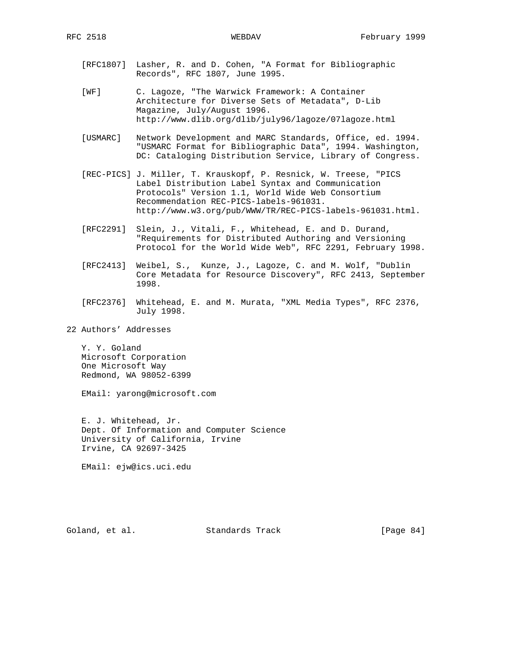- [RFC1807] Lasher, R. and D. Cohen, "A Format for Bibliographic Records", RFC 1807, June 1995.
- [WF] C. Lagoze, "The Warwick Framework: A Container Architecture for Diverse Sets of Metadata", D-Lib Magazine, July/August 1996. http://www.dlib.org/dlib/july96/lagoze/07lagoze.html
- [USMARC] Network Development and MARC Standards, Office, ed. 1994. "USMARC Format for Bibliographic Data", 1994. Washington, DC: Cataloging Distribution Service, Library of Congress.
- [REC-PICS] J. Miller, T. Krauskopf, P. Resnick, W. Treese, "PICS Label Distribution Label Syntax and Communication Protocols" Version 1.1, World Wide Web Consortium Recommendation REC-PICS-labels-961031. http://www.w3.org/pub/WWW/TR/REC-PICS-labels-961031.html.
- [RFC2291] Slein, J., Vitali, F., Whitehead, E. and D. Durand, "Requirements for Distributed Authoring and Versioning Protocol for the World Wide Web", RFC 2291, February 1998.
- [RFC2413] Weibel, S., Kunze, J., Lagoze, C. and M. Wolf, "Dublin Core Metadata for Resource Discovery", RFC 2413, September 1998.
- [RFC2376] Whitehead, E. and M. Murata, "XML Media Types", RFC 2376, July 1998.
- 22 Authors' Addresses

 Y. Y. Goland Microsoft Corporation One Microsoft Way Redmond, WA 98052-6399

EMail: yarong@microsoft.com

 E. J. Whitehead, Jr. Dept. Of Information and Computer Science University of California, Irvine Irvine, CA 92697-3425

EMail: ejw@ics.uci.edu

Goland, et al. Standards Track [Page 84]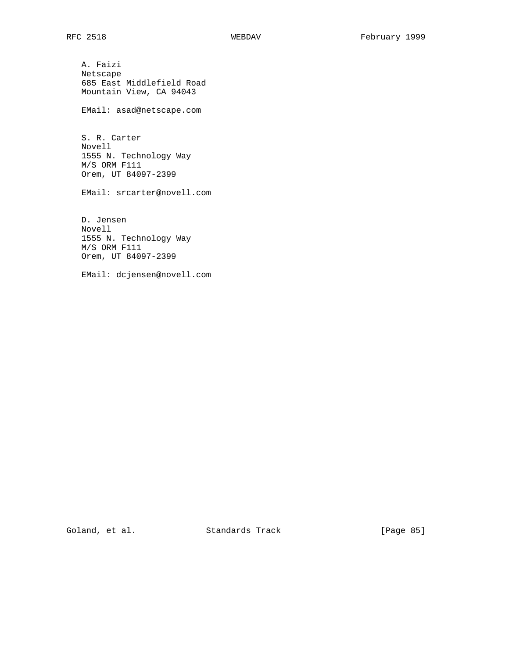A. Faizi Netscape 685 East Middlefield Road Mountain View, CA 94043

EMail: asad@netscape.com

 S. R. Carter Novell 1555 N. Technology Way M/S ORM F111 Orem, UT 84097-2399

EMail: srcarter@novell.com

 D. Jensen Novell 1555 N. Technology Way M/S ORM F111 Orem, UT 84097-2399

EMail: dcjensen@novell.com

Goland, et al. Standards Track [Page 85]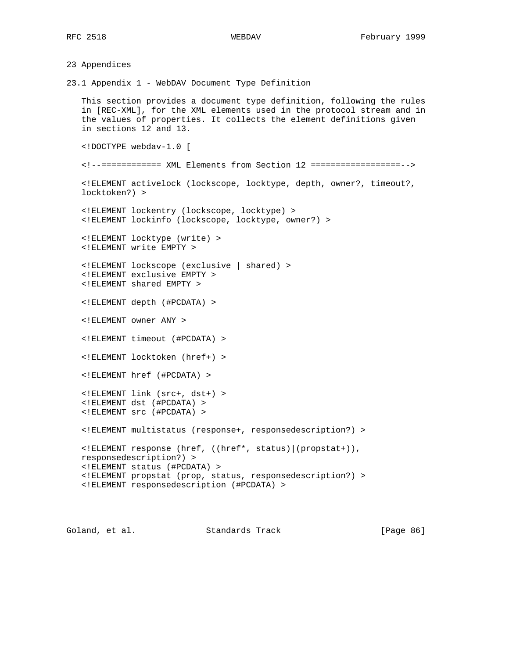23 Appendices 23.1 Appendix 1 - WebDAV Document Type Definition This section provides a document type definition, following the rules in [REC-XML], for the XML elements used in the protocol stream and in the values of properties. It collects the element definitions given in sections 12 and 13. <!DOCTYPE webdav-1.0 [ <!--============ XML Elements from Section 12 ==================--> <!ELEMENT activelock (lockscope, locktype, depth, owner?, timeout?, locktoken?) > <!ELEMENT lockentry (lockscope, locktype) > <!ELEMENT lockinfo (lockscope, locktype, owner?) > <!ELEMENT locktype (write) > <!ELEMENT write EMPTY > <!ELEMENT lockscope (exclusive | shared) > <!ELEMENT exclusive EMPTY > <!ELEMENT shared EMPTY > <!ELEMENT depth (#PCDATA) > <!ELEMENT owner ANY > <!ELEMENT timeout (#PCDATA) > <!ELEMENT locktoken (href+) > <!ELEMENT href (#PCDATA) > <!ELEMENT link (src+, dst+) > <!ELEMENT dst (#PCDATA) > <!ELEMENT src (#PCDATA) > <!ELEMENT multistatus (response+, responsedescription?) > <!ELEMENT response (href, ((href\*, status)|(propstat+)), responsedescription?) > <!ELEMENT status (#PCDATA) > <!ELEMENT propstat (prop, status, responsedescription?) > <!ELEMENT responsedescription (#PCDATA) >

Goland, et al. Standards Track [Page 86]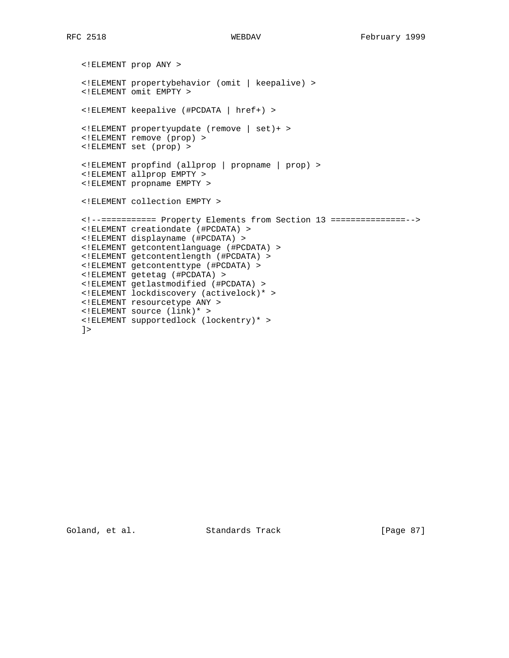```
 <!ELEMENT prop ANY >
 <!ELEMENT propertybehavior (omit | keepalive) >
 <!ELEMENT omit EMPTY >
 <!ELEMENT keepalive (#PCDATA | href+) >
 <!ELEMENT propertyupdate (remove | set)+ >
 <!ELEMENT remove (prop) >
 <!ELEMENT set (prop) >
 <!ELEMENT propfind (allprop | propname | prop) >
 <!ELEMENT allprop EMPTY >
 <!ELEMENT propname EMPTY >
 <!ELEMENT collection EMPTY >
 <!--=========== Property Elements from Section 13 ===============-->
 <!ELEMENT creationdate (#PCDATA) >
 <!ELEMENT displayname (#PCDATA) >
 <!ELEMENT getcontentlanguage (#PCDATA) >
 <!ELEMENT getcontentlength (#PCDATA) >
 <!ELEMENT getcontenttype (#PCDATA) >
 <!ELEMENT getetag (#PCDATA) >
 <!ELEMENT getlastmodified (#PCDATA) >
 <!ELEMENT lockdiscovery (activelock)* >
 <!ELEMENT resourcetype ANY >
 <!ELEMENT source (link)* >
 <!ELEMENT supportedlock (lockentry)* >
]
```
Goland, et al. Standards Track [Page 87]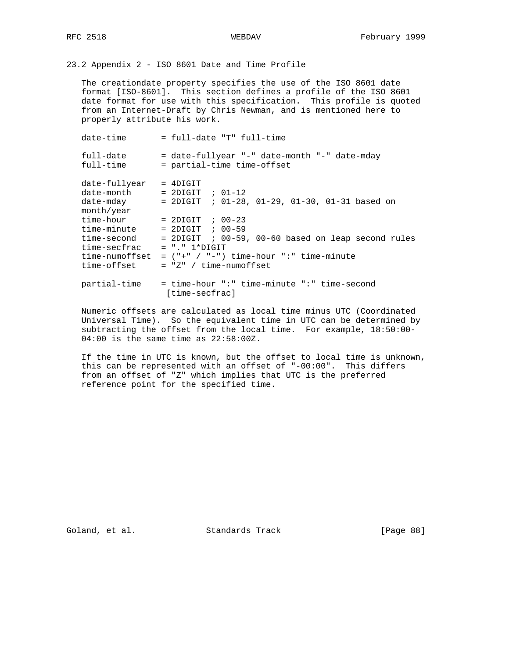23.2 Appendix 2 - ISO 8601 Date and Time Profile

 The creationdate property specifies the use of the ISO 8601 date format [ISO-8601]. This section defines a profile of the ISO 8601 date format for use with this specification. This profile is quoted from an Internet-Draft by Chris Newman, and is mentioned here to properly attribute his work.

| date-time                                                                                | $=$ full-date "T" full-time                                                                                                                                                                    |
|------------------------------------------------------------------------------------------|------------------------------------------------------------------------------------------------------------------------------------------------------------------------------------------------|
| full-date<br>full-time                                                                   | = date-fullyear "-" date-month "-" date-mday<br>= partial-time time-offset                                                                                                                     |
| date-fullyear<br>date-month<br>date-mday<br>month/year                                   | $=$ 4DIGIT<br>$= 2$ DIGIT ; 01-12<br>$= 2$ DIGIT ; 01-28, 01-29, 01-30, 01-31 based on                                                                                                         |
| time-hour<br>time-minute<br>time-second<br>time-secfrac<br>time-numoffset<br>time-offset | $= 2DIGIT$ ; 00-23<br>$= 2DIGIT$ ; 00-59<br>$= 2DIGIT$ ; 00-59, 00-60 based on leap second rules<br>$= "." 1*DTGIT$<br>$=$ $($ "+" $/$ "-") time-hour ":" time-minute<br>$= "Z" / time-number$ |
| partial-time                                                                             | = time-hour ":" time-minute ":" time-second<br>[time-secfrac]                                                                                                                                  |

 Numeric offsets are calculated as local time minus UTC (Coordinated Universal Time). So the equivalent time in UTC can be determined by subtracting the offset from the local time. For example, 18:50:00- 04:00 is the same time as 22:58:00Z.

 If the time in UTC is known, but the offset to local time is unknown, this can be represented with an offset of "-00:00". This differs from an offset of "Z" which implies that UTC is the preferred reference point for the specified time.

Goland, et al. Standards Track [Page 88]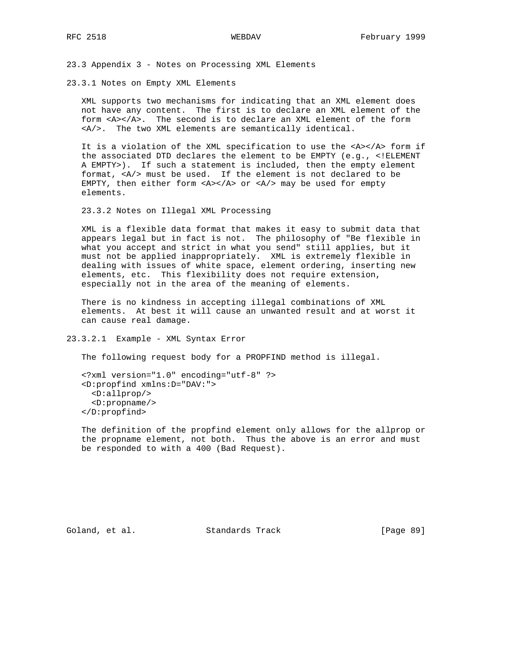23.3 Appendix 3 - Notes on Processing XML Elements

23.3.1 Notes on Empty XML Elements

 XML supports two mechanisms for indicating that an XML element does not have any content. The first is to declare an XML element of the form <A></A>. The second is to declare an XML element of the form <A/>. The two XML elements are semantically identical.

 It is a violation of the XML specification to use the <A></A> form if the associated DTD declares the element to be EMPTY (e.g., <!ELEMENT A EMPTY>). If such a statement is included, then the empty element format, <A/> must be used. If the element is not declared to be EMPTY, then either form  $a < A > c$  or  $a < A$  and  $b$  and  $b$  are empty elements.

23.3.2 Notes on Illegal XML Processing

 XML is a flexible data format that makes it easy to submit data that appears legal but in fact is not. The philosophy of "Be flexible in what you accept and strict in what you send" still applies, but it must not be applied inappropriately. XML is extremely flexible in dealing with issues of white space, element ordering, inserting new elements, etc. This flexibility does not require extension, especially not in the area of the meaning of elements.

 There is no kindness in accepting illegal combinations of XML elements. At best it will cause an unwanted result and at worst it can cause real damage.

23.3.2.1 Example - XML Syntax Error

The following request body for a PROPFIND method is illegal.

 <?xml version="1.0" encoding="utf-8" ?> <D:propfind xmlns:D="DAV:"> <D:allprop/> <D:propname/> </D:propfind>

 The definition of the propfind element only allows for the allprop or the propname element, not both. Thus the above is an error and must be responded to with a 400 (Bad Request).

Goland, et al. Standards Track [Page 89]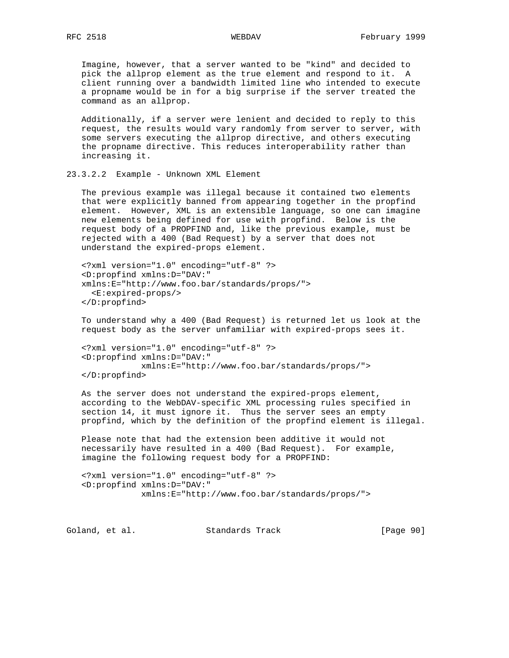Imagine, however, that a server wanted to be "kind" and decided to pick the allprop element as the true element and respond to it. A client running over a bandwidth limited line who intended to execute a propname would be in for a big surprise if the server treated the command as an allprop.

 Additionally, if a server were lenient and decided to reply to this request, the results would vary randomly from server to server, with some servers executing the allprop directive, and others executing the propname directive. This reduces interoperability rather than increasing it.

23.3.2.2 Example - Unknown XML Element

 The previous example was illegal because it contained two elements that were explicitly banned from appearing together in the propfind element. However, XML is an extensible language, so one can imagine new elements being defined for use with propfind. Below is the request body of a PROPFIND and, like the previous example, must be rejected with a 400 (Bad Request) by a server that does not understand the expired-props element.

 <?xml version="1.0" encoding="utf-8" ?> <D:propfind xmlns:D="DAV:" xmlns:E="http://www.foo.bar/standards/props/"> <E:expired-props/> </D:propfind>

 To understand why a 400 (Bad Request) is returned let us look at the request body as the server unfamiliar with expired-props sees it.

```
 <?xml version="1.0" encoding="utf-8" ?>
 <D:propfind xmlns:D="DAV:"
             xmlns:E="http://www.foo.bar/standards/props/">
 </D:propfind>
```
 As the server does not understand the expired-props element, according to the WebDAV-specific XML processing rules specified in section 14, it must ignore it. Thus the server sees an empty propfind, which by the definition of the propfind element is illegal.

 Please note that had the extension been additive it would not necessarily have resulted in a 400 (Bad Request). For example, imagine the following request body for a PROPFIND:

```
 <?xml version="1.0" encoding="utf-8" ?>
 <D:propfind xmlns:D="DAV:"
             xmlns:E="http://www.foo.bar/standards/props/">
```
Goland, et al. Standards Track [Page 90]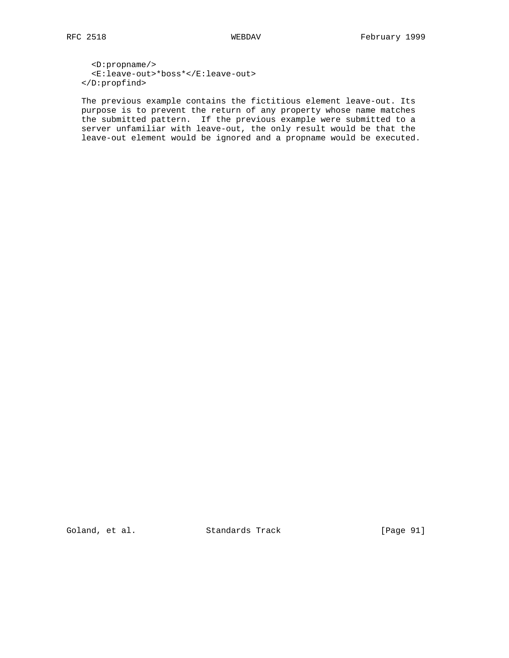<D:propname/> <E:leave-out>\*boss\*</E:leave-out> </D:propfind>

 The previous example contains the fictitious element leave-out. Its purpose is to prevent the return of any property whose name matches the submitted pattern. If the previous example were submitted to a server unfamiliar with leave-out, the only result would be that the leave-out element would be ignored and a propname would be executed.

Goland, et al. Standards Track [Page 91]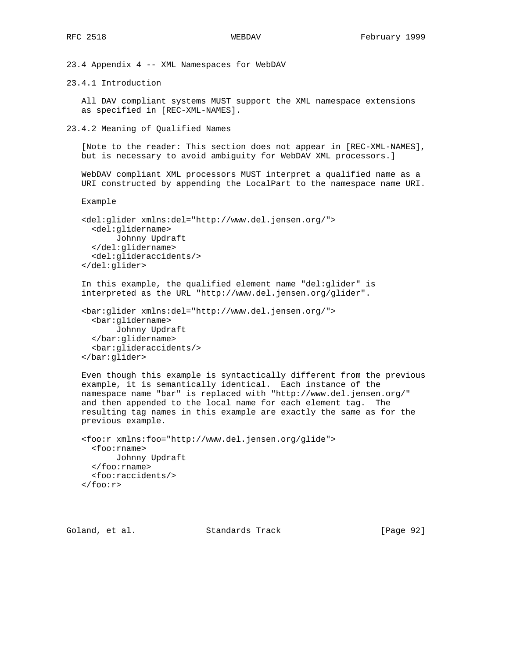23.4 Appendix 4 -- XML Namespaces for WebDAV

23.4.1 Introduction

 All DAV compliant systems MUST support the XML namespace extensions as specified in [REC-XML-NAMES].

23.4.2 Meaning of Qualified Names

 [Note to the reader: This section does not appear in [REC-XML-NAMES], but is necessary to avoid ambiguity for WebDAV XML processors.]

 WebDAV compliant XML processors MUST interpret a qualified name as a URI constructed by appending the LocalPart to the namespace name URI.

Example

```
 <del:glider xmlns:del="http://www.del.jensen.org/">
  <del:glidername>
        Johnny Updraft
   </del:glidername>
   <del:glideraccidents/>
 </del:glider>
```
 In this example, the qualified element name "del:glider" is interpreted as the URL "http://www.del.jensen.org/glider".

```
 <bar:glider xmlns:del="http://www.del.jensen.org/">
   <bar:glidername>
        Johnny Updraft
   </bar:glidername>
   <bar:glideraccidents/>
 </bar:glider>
```
 Even though this example is syntactically different from the previous example, it is semantically identical. Each instance of the namespace name "bar" is replaced with "http://www.del.jensen.org/" and then appended to the local name for each element tag. The resulting tag names in this example are exactly the same as for the previous example.

```
 <foo:r xmlns:foo="http://www.del.jensen.org/glide">
  <foo:rname>
        Johnny Updraft
   </foo:rname>
   <foo:raccidents/>
\langlefoo:r>
```
Goland, et al. Standards Track [Page 92]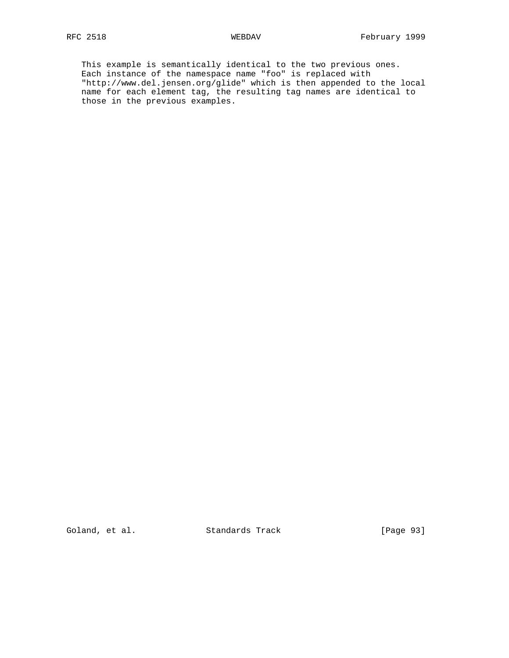This example is semantically identical to the two previous ones. Each instance of the namespace name "foo" is replaced with "http://www.del.jensen.org/glide" which is then appended to the local name for each element tag, the resulting tag names are identical to those in the previous examples.

Goland, et al. Standards Track [Page 93]